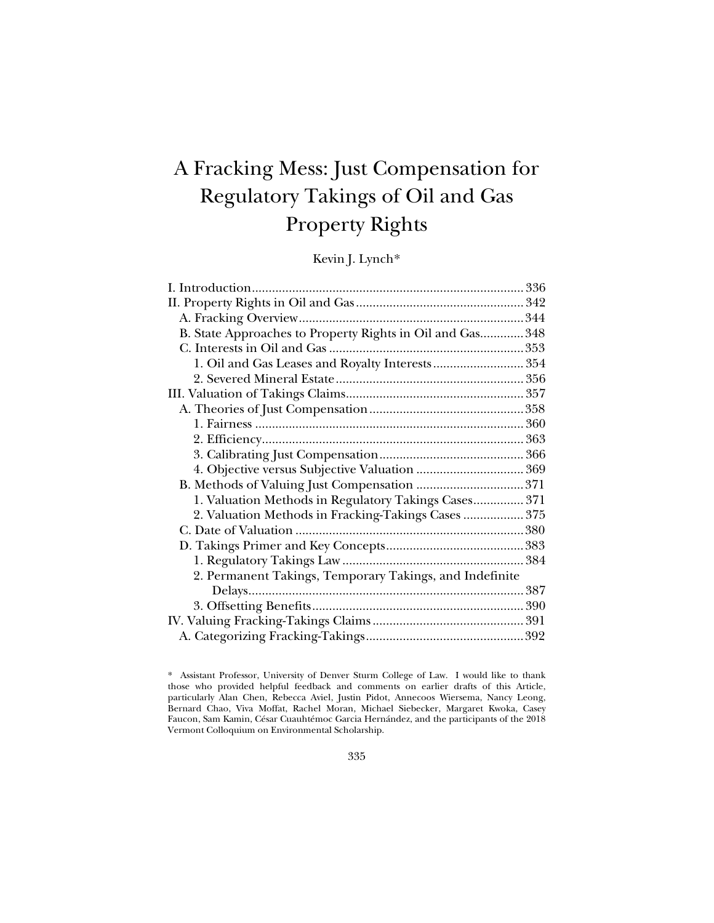# A Fracking Mess: Just Compensation for Regulatory Takings of Oil and Gas Property Rights

# Kevin J. Lynch[\\*](#page-0-0)

| B. State Approaches to Property Rights in Oil and Gas 348 |
|-----------------------------------------------------------|
|                                                           |
|                                                           |
|                                                           |
|                                                           |
|                                                           |
|                                                           |
|                                                           |
|                                                           |
|                                                           |
|                                                           |
| 1. Valuation Methods in Regulatory Takings Cases 371      |
| 2. Valuation Methods in Fracking-Takings Cases  375       |
|                                                           |
|                                                           |
|                                                           |
|                                                           |
|                                                           |
|                                                           |
|                                                           |
|                                                           |
|                                                           |

<span id="page-0-0"></span><sup>\*</sup> Assistant Professor, University of Denver Sturm College of Law. I would like to thank those who provided helpful feedback and comments on earlier drafts of this Article, particularly Alan Chen, Rebecca Aviel, Justin Pidot, Annecoos Wiersema, Nancy Leong, Bernard Chao, Viva Moffat, Rachel Moran, Michael Siebecker, Margaret Kwoka, Casey Faucon, Sam Kamin, César Cuauhtémoc Garcia Hernández, and the participants of the 2018 Vermont Colloquium on Environmental Scholarship.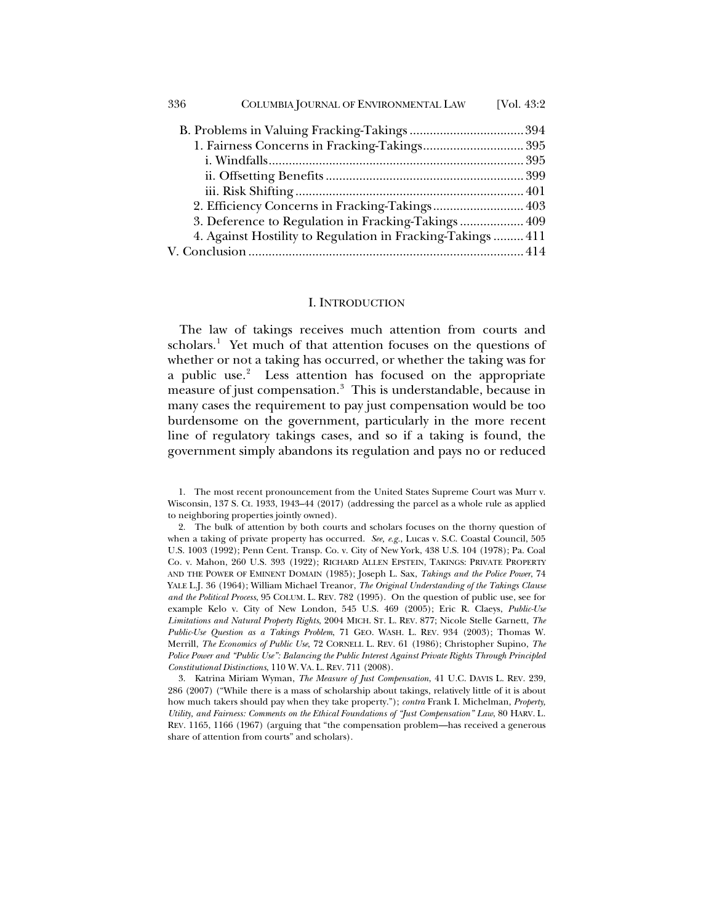| COLUMBIA JOURNAL OF ENVIRONMENTAL LAW<br>336                | [Vol. $43:2$ ] |
|-------------------------------------------------------------|----------------|
|                                                             |                |
|                                                             |                |
|                                                             |                |
|                                                             |                |
|                                                             |                |
| 2. Efficiency Concerns in Fracking-Takings 403              |                |
| 3. Deference to Regulation in Fracking-Takings 409          |                |
| 4. Against Hostility to Regulation in Fracking-Takings  411 |                |
|                                                             |                |

# <span id="page-1-4"></span>I. INTRODUCTION

<span id="page-1-3"></span>The law of takings receives much attention from courts and scholars.<sup>[1](#page-1-0)</sup> Yet much of that attention focuses on the questions of whether or not a taking has occurred, or whether the taking was for a public use.<sup>[2](#page-1-1)</sup> Less attention has focused on the appropriate measure of just compensation.<sup>[3](#page-1-2)</sup> This is understandable, because in many cases the requirement to pay just compensation would be too burdensome on the government, particularly in the more recent line of regulatory takings cases, and so if a taking is found, the government simply abandons its regulation and pays no or reduced

<span id="page-1-1"></span>2. The bulk of attention by both courts and scholars focuses on the thorny question of when a taking of private property has occurred. *See, e.g.*, Lucas v. S.C. Coastal Council, 505 U.S. 1003 (1992); Penn Cent. Transp. Co. v. City of New York, 438 U.S. 104 (1978); Pa. Coal Co. v. Mahon, 260 U.S. 393 (1922); RICHARD ALLEN EPSTEIN, TAKINGS: PRIVATE PROPERTY AND THE POWER OF EMINENT DOMAIN (1985); Joseph L. Sax, *Takings and the Police Power*, 74 YALE L.J. 36 (1964); William Michael Treanor, *The Original Understanding of the Takings Clause and the Political Process*, 95 COLUM. L. REV. 782 (1995). On the question of public use, see for example Kelo v. City of New London, 545 U.S. 469 (2005); Eric R. Claeys, *Public-Use Limitations and Natural Property Rights*, 2004 MICH. ST. L. REV. 877; Nicole Stelle Garnett, *The Public-Use Question as a Takings Problem*, 71 GEO. WASH. L. REV. 934 (2003); Thomas W. Merrill, *The Economics of Public Use*, 72 CORNELL L. REV. 61 (1986); Christopher Supino, *The Police Power and "Public Use": Balancing the Public Interest Against Private Rights Through Principled Constitutional Distinctions*, 110 W. VA. L. REV. 711 (2008).

<span id="page-1-2"></span>3. Katrina Miriam Wyman, *The Measure of Just Compensation*, 41 U.C. DAVIS L. REV. 239, 286 (2007) ("While there is a mass of scholarship about takings, relatively little of it is about how much takers should pay when they take property."); *contra* Frank I. Michelman, *Property, Utility, and Fairness: Comments on the Ethical Foundations of "Just Compensation" Law*, 80 HARV. L. REV. 1165, 1166 (1967) (arguing that "the compensation problem—has received a generous share of attention from courts" and scholars).

<span id="page-1-0"></span><sup>1.</sup> The most recent pronouncement from the United States Supreme Court was Murr v. Wisconsin, 137 S. Ct. 1933, 1943–44 (2017) (addressing the parcel as a whole rule as applied to neighboring properties jointly owned).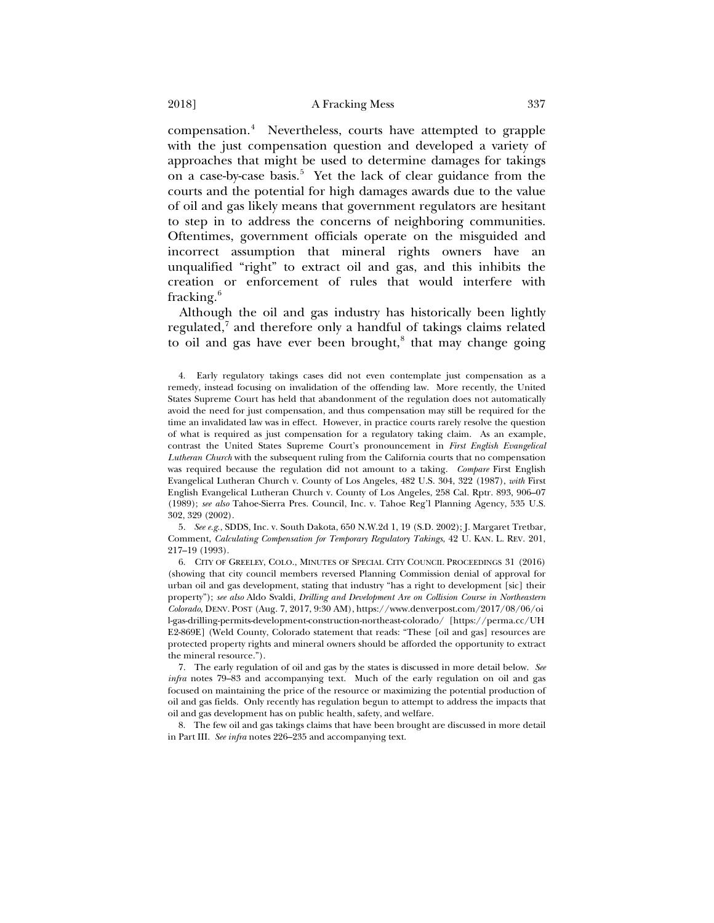compensation.[4](#page-2-0) Nevertheless, courts have attempted to grapple with the just compensation question and developed a variety of approaches that might be used to determine damages for takings on a case-by-case basis.<sup>5</sup> Yet the lack of clear guidance from the courts and the potential for high damages awards due to the value of oil and gas likely means that government regulators are hesitant to step in to address the concerns of neighboring communities. Oftentimes, government officials operate on the misguided and incorrect assumption that mineral rights owners have an unqualified "right" to extract oil and gas, and this inhibits the creation or enforcement of rules that would interfere with fracking.<sup>[6](#page-2-2)</sup>

Although the oil and gas industry has historically been lightly regulated, $^7$  $^7$  and therefore only a handful of takings claims related to oil and gas have ever been brought, $\delta$  that may change going

<span id="page-2-1"></span>5. *See e.g.*, SDDS, Inc. v. South Dakota, 650 N.W.2d 1, 19 (S.D. 2002); J. Margaret Tretbar, Comment, *Calculating Compensation for Temporary Regulatory Takings*, 42 U. KAN. L. REV. 201, 217–19 (1993).

<span id="page-2-2"></span>6. CITY OF GREELEY, COLO., MINUTES OF SPECIAL CITY COUNCIL PROCEEDINGS 31 (2016) (showing that city council members reversed Planning Commission denial of approval for urban oil and gas development, stating that industry "has a right to development [sic] their property"); *see also* Aldo Svaldi, *Drilling and Development Are on Collision Course in Northeastern Colorado*, DENV. POST (Aug. 7, 2017, 9:30 AM), https://www.denverpost.com/2017/08/06/oi l-gas-drilling-permits-development-construction-northeast-colorado/ [https://perma.cc/UH E2-869E] (Weld County, Colorado statement that reads: "These [oil and gas] resources are protected property rights and mineral owners should be afforded the opportunity to extract the mineral resource.").

<span id="page-2-3"></span>7. The early regulation of oil and gas by the states is discussed in more detail below. *See infra* notes [79](#page-17-0)[–83](#page-18-0) and accompanying text. Much of the early regulation on oil and gas focused on maintaining the price of the resource or maximizing the potential production of oil and gas fields. Only recently has regulation begun to attempt to address the impacts that oil and gas development has on public health, safety, and welfare.

<span id="page-2-4"></span>8. The few oil and gas takings claims that have been brought are discussed in more detail in Part III. *See infra* note[s 226](#page-44-0)[–235](#page-45-0) and accompanying text.

<span id="page-2-0"></span><sup>4.</sup> Early regulatory takings cases did not even contemplate just compensation as a remedy, instead focusing on invalidation of the offending law. More recently, the United States Supreme Court has held that abandonment of the regulation does not automatically avoid the need for just compensation, and thus compensation may still be required for the time an invalidated law was in effect. However, in practice courts rarely resolve the question of what is required as just compensation for a regulatory taking claim. As an example, contrast the United States Supreme Court's pronouncement in *First English Evangelical Lutheran Church* with the subsequent ruling from the California courts that no compensation was required because the regulation did not amount to a taking. *Compare* First English Evangelical Lutheran Church v. County of Los Angeles, 482 U.S. 304, 322 (1987), *with* First English Evangelical Lutheran Church v. County of Los Angeles, 258 Cal. Rptr. 893, 906–07 (1989); *see also* Tahoe-Sierra Pres. Council, Inc. v. Tahoe Reg'l Planning Agency, 535 U.S. 302, 329 (2002).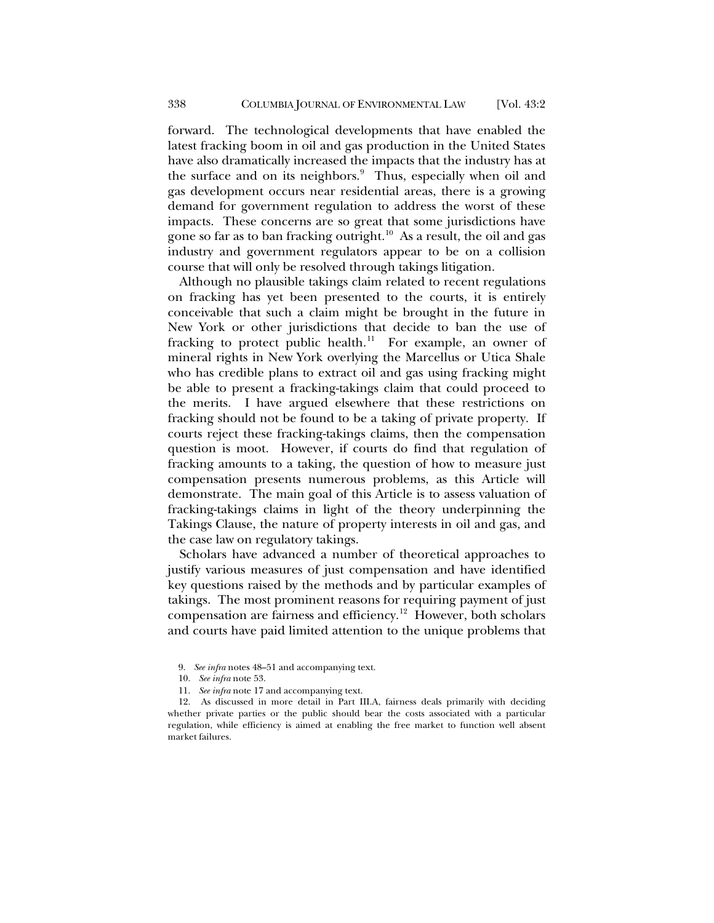forward. The technological developments that have enabled the latest fracking boom in oil and gas production in the United States have also dramatically increased the impacts that the industry has at the surface and on its neighbors.<sup>[9](#page-3-0)</sup> Thus, especially when oil and gas development occurs near residential areas, there is a growing demand for government regulation to address the worst of these impacts. These concerns are so great that some jurisdictions have gone so far as to ban fracking outright.<sup>[10](#page-3-1)</sup> As a result, the oil and gas industry and government regulators appear to be on a collision course that will only be resolved through takings litigation.

Although no plausible takings claim related to recent regulations on fracking has yet been presented to the courts, it is entirely conceivable that such a claim might be brought in the future in New York or other jurisdictions that decide to ban the use of fracking to protect public health.<sup>11</sup> For example, an owner of mineral rights in New York overlying the Marcellus or Utica Shale who has credible plans to extract oil and gas using fracking might be able to present a fracking-takings claim that could proceed to the merits. I have argued elsewhere that these restrictions on fracking should not be found to be a taking of private property. If courts reject these fracking-takings claims, then the compensation question is moot. However, if courts do find that regulation of fracking amounts to a taking, the question of how to measure just compensation presents numerous problems, as this Article will demonstrate. The main goal of this Article is to assess valuation of fracking-takings claims in light of the theory underpinning the Takings Clause, the nature of property interests in oil and gas, and the case law on regulatory takings.

Scholars have advanced a number of theoretical approaches to justify various measures of just compensation and have identified key questions raised by the methods and by particular examples of takings. The most prominent reasons for requiring payment of just compensation are fairness and efficiency.[12](#page-3-3) However, both scholars and courts have paid limited attention to the unique problems that

<sup>9.</sup> *See infra* note[s 48](#page-12-0)[–51](#page-12-1) and accompanying text.

<sup>10.</sup> *See infra* not[e 53.](#page-13-0)

<sup>11.</sup> *See infra* not[e 17](#page-5-0) and accompanying text.

<span id="page-3-3"></span><span id="page-3-2"></span><span id="page-3-1"></span><span id="page-3-0"></span><sup>12.</sup> As discussed in more detail in Part III.A, fairness deals primarily with deciding whether private parties or the public should bear the costs associated with a particular regulation, while efficiency is aimed at enabling the free market to function well absent market failures.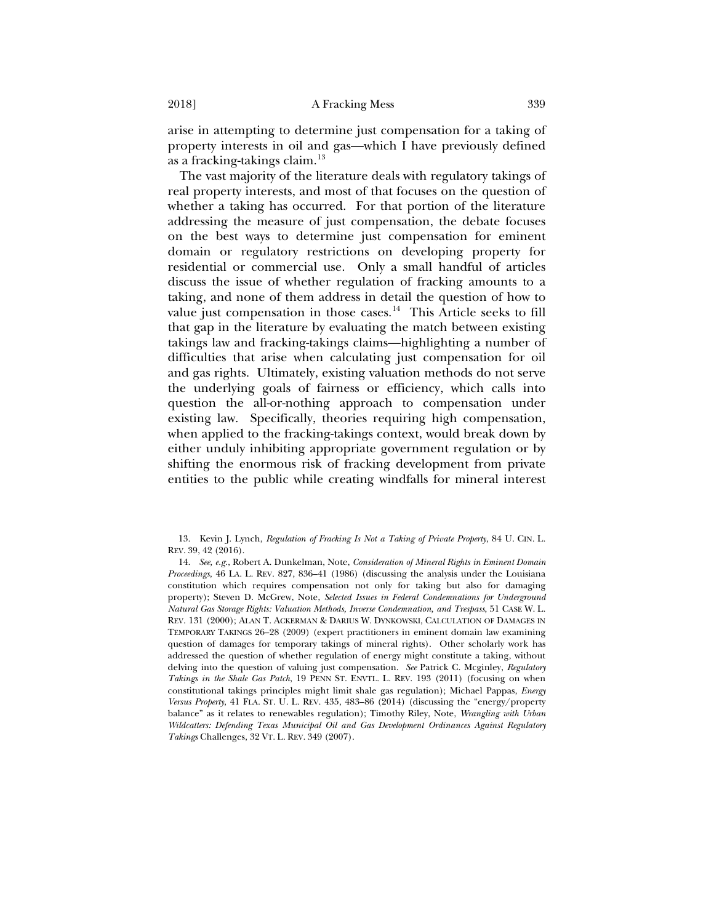arise in attempting to determine just compensation for a taking of property interests in oil and gas—which I have previously defined as a fracking-takings claim. $13$ 

<span id="page-4-4"></span><span id="page-4-3"></span><span id="page-4-2"></span>The vast majority of the literature deals with regulatory takings of real property interests, and most of that focuses on the question of whether a taking has occurred. For that portion of the literature addressing the measure of just compensation, the debate focuses on the best ways to determine just compensation for eminent domain or regulatory restrictions on developing property for residential or commercial use. Only a small handful of articles discuss the issue of whether regulation of fracking amounts to a taking, and none of them address in detail the question of how to value just compensation in those cases.<sup>[14](#page-4-1)</sup> This Article seeks to fill that gap in the literature by evaluating the match between existing takings law and fracking-takings claims—highlighting a number of difficulties that arise when calculating just compensation for oil and gas rights. Ultimately, existing valuation methods do not serve the underlying goals of fairness or efficiency, which calls into question the all-or-nothing approach to compensation under existing law. Specifically, theories requiring high compensation, when applied to the fracking-takings context, would break down by either unduly inhibiting appropriate government regulation or by shifting the enormous risk of fracking development from private entities to the public while creating windfalls for mineral interest

<span id="page-4-0"></span><sup>13.</sup> Kevin J. Lynch, *Regulation of Fracking Is Not a Taking of Private Property*, 84 U. CIN. L. REV. 39, 42 (2016).

<span id="page-4-1"></span><sup>14.</sup> *See, e.g.*, Robert A. Dunkelman, Note, *Consideration of Mineral Rights in Eminent Domain Proceedings*, 46 LA. L. REV. 827, 836–41 (1986) (discussing the analysis under the Louisiana constitution which requires compensation not only for taking but also for damaging property); Steven D. McGrew, Note, *Selected Issues in Federal Condemnations for Underground Natural Gas Storage Rights: Valuation Methods, Inverse Condemnation, and Trespass*, 51 CASE W. L. REV. 131 (2000); ALAN T. ACKERMAN & DARIUS W. DYNKOWSKI, CALCULATION OF DAMAGES IN TEMPORARY TAKINGS 26–28 (2009) (expert practitioners in eminent domain law examining question of damages for temporary takings of mineral rights). Other scholarly work has addressed the question of whether regulation of energy might constitute a taking, without delving into the question of valuing just compensation. *See* Patrick C. Mcginley, *Regulatory Takings in the Shale Gas Patch*, 19 PENN ST. ENVTL. L. REV. 193 (2011) (focusing on when constitutional takings principles might limit shale gas regulation); Michael Pappas, *Energy Versus Property*, 41 FLA. ST. U. L. REV. 435, 483–86 (2014) (discussing the "energy/property balance" as it relates to renewables regulation); Timothy Riley, Note, *Wrangling with Urban Wildcatters: Defending Texas Municipal Oil and Gas Development Ordinances Against Regulatory Takings* Challenges, 32 VT. L. REV. 349 (2007).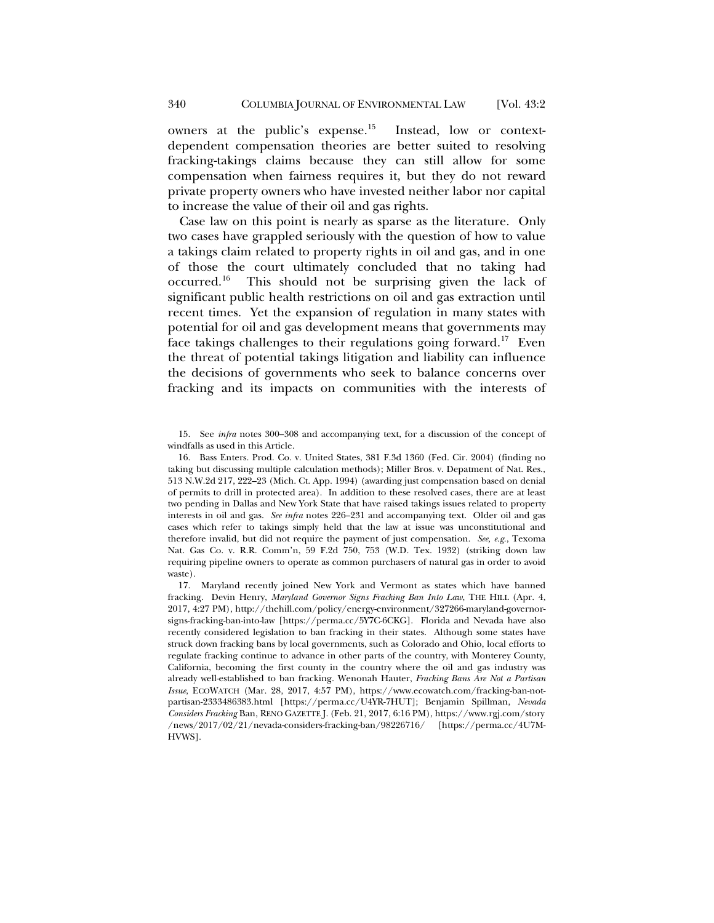owners at the public's expense.[15](#page-5-1) Instead, low or contextdependent compensation theories are better suited to resolving fracking-takings claims because they can still allow for some compensation when fairness requires it, but they do not reward private property owners who have invested neither labor nor capital to increase the value of their oil and gas rights.

Case law on this point is nearly as sparse as the literature. Only two cases have grappled seriously with the question of how to value a takings claim related to property rights in oil and gas, and in one of those the court ultimately concluded that no taking had occurred.[16](#page-5-2) This should not be surprising given the lack of significant public health restrictions on oil and gas extraction until recent times. Yet the expansion of regulation in many states with potential for oil and gas development means that governments may face takings challenges to their regulations going forward.<sup>[17](#page-5-3)</sup> Even the threat of potential takings litigation and liability can influence the decisions of governments who seek to balance concerns over fracking and its impacts on communities with the interests of

<span id="page-5-1"></span><span id="page-5-0"></span>15. See *infra* notes [300](#page-60-0)[–308](#page-63-0) and accompanying text, for a discussion of the concept of windfalls as used in this Article.

<span id="page-5-2"></span>16. Bass Enters. Prod. Co. v. United States, 381 F.3d 1360 (Fed. Cir. 2004) (finding no taking but discussing multiple calculation methods); Miller Bros. v. Depatment of Nat. Res., 513 N.W.2d 217, 222–23 (Mich. Ct. App. 1994) (awarding just compensation based on denial of permits to drill in protected area). In addition to these resolved cases, there are at least two pending in Dallas and New York State that have raised takings issues related to property interests in oil and gas. *See infra* notes [226–](#page-44-0)[231](#page-45-1) and accompanying text. Older oil and gas cases which refer to takings simply held that the law at issue was unconstitutional and therefore invalid, but did not require the payment of just compensation. *See, e.g.*, Texoma Nat. Gas Co. v. R.R. Comm'n, 59 F.2d 750, 753 (W.D. Tex. 1932) (striking down law requiring pipeline owners to operate as common purchasers of natural gas in order to avoid waste).

<span id="page-5-3"></span>17. Maryland recently joined New York and Vermont as states which have banned fracking. Devin Henry, *Maryland Governor Signs Fracking Ban Into Law*, THE HILL (Apr. 4, 2017, 4:27 PM), http://thehill.com/policy/energy-environment/327266-maryland-governorsigns-fracking-ban-into-law [https://perma.cc/5Y7C-6CKG]. Florida and Nevada have also recently considered legislation to ban fracking in their states. Although some states have struck down fracking bans by local governments, such as Colorado and Ohio, local efforts to regulate fracking continue to advance in other parts of the country, with Monterey County, California, becoming the first county in the country where the oil and gas industry was already well-established to ban fracking. Wenonah Hauter, *Fracking Bans Are Not a Partisan Issue*, ECOWATCH (Mar. 28, 2017, 4:57 PM), https://www.ecowatch.com/fracking-ban-notpartisan-2333486383.html [https://perma.cc/U4YR-7HUT]; Benjamin Spillman, *Nevada Considers Fracking* Ban, RENO GAZETTE J. (Feb. 21, 2017, 6:16 PM), https://www.rgj.com/story /news/2017/02/21/nevada-considers-fracking-ban/98226716/ [https://perma.cc/4U7M-HVWS].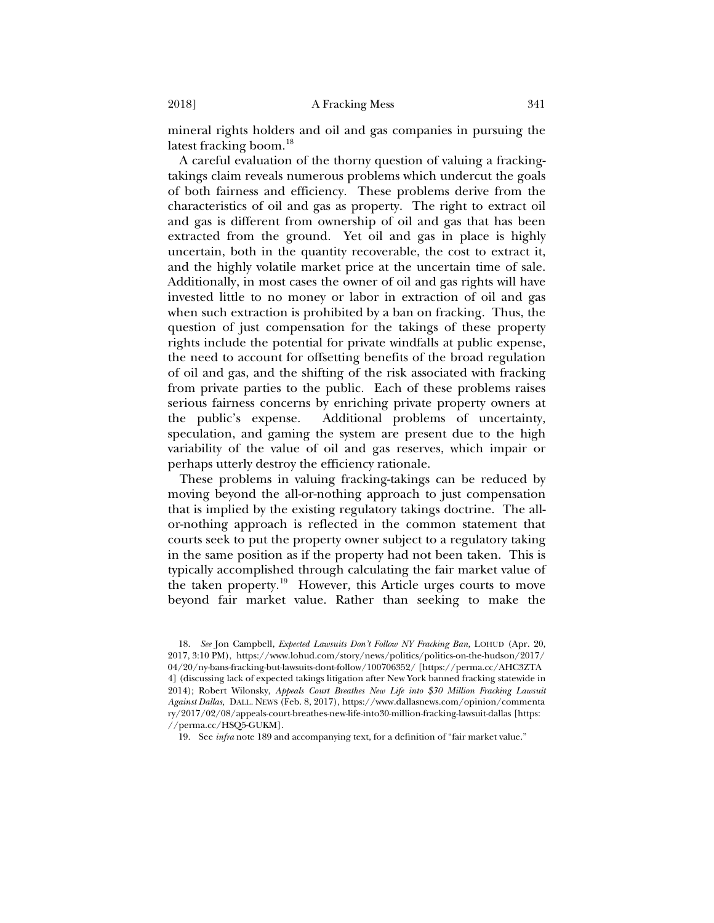mineral rights holders and oil and gas companies in pursuing the latest fracking boom.<sup>[18](#page-6-0)</sup>

A careful evaluation of the thorny question of valuing a frackingtakings claim reveals numerous problems which undercut the goals of both fairness and efficiency. These problems derive from the characteristics of oil and gas as property. The right to extract oil and gas is different from ownership of oil and gas that has been extracted from the ground. Yet oil and gas in place is highly uncertain, both in the quantity recoverable, the cost to extract it, and the highly volatile market price at the uncertain time of sale. Additionally, in most cases the owner of oil and gas rights will have invested little to no money or labor in extraction of oil and gas when such extraction is prohibited by a ban on fracking. Thus, the question of just compensation for the takings of these property rights include the potential for private windfalls at public expense, the need to account for offsetting benefits of the broad regulation of oil and gas, and the shifting of the risk associated with fracking from private parties to the public. Each of these problems raises serious fairness concerns by enriching private property owners at the public's expense. Additional problems of uncertainty, speculation, and gaming the system are present due to the high variability of the value of oil and gas reserves, which impair or perhaps utterly destroy the efficiency rationale.

These problems in valuing fracking-takings can be reduced by moving beyond the all-or-nothing approach to just compensation that is implied by the existing regulatory takings doctrine. The allor-nothing approach is reflected in the common statement that courts seek to put the property owner subject to a regulatory taking in the same position as if the property had not been taken. This is typically accomplished through calculating the fair market value of the taken property.[19](#page-6-1) However, this Article urges courts to move beyond fair market value. Rather than seeking to make the

<span id="page-6-0"></span><sup>18.</sup> *See* Jon Campbell, *Expected Lawsuits Don't Follow NY Fracking Ban,* LOHUD (Apr. 20, 2017, 3:10 PM), https://www.lohud.com/story/news/politics/politics-on-the-hudson/2017/ 04/20/ny-bans-fracking-but-lawsuits-dont-follow/100706352/ [https://perma.cc/AHC3ZTA 4] (discussing lack of expected takings litigation after New York banned fracking statewide in 2014); Robert Wilonsky, *Appeals Court Breathes New Life into \$30 Million Fracking Lawsuit Against Dallas,* DALL. NEWS (Feb. 8, 2017), https://www.dallasnews.com/opinion/commenta ry/2017/02/08/appeals-court-breathes-new-life-into30-million-fracking-lawsuit-dallas [https: //perma.cc/HSQ5-GUKM].

<span id="page-6-1"></span><sup>19.</sup> See *infra* not[e 189](#page-37-0) and accompanying text, for a definition of "fair market value."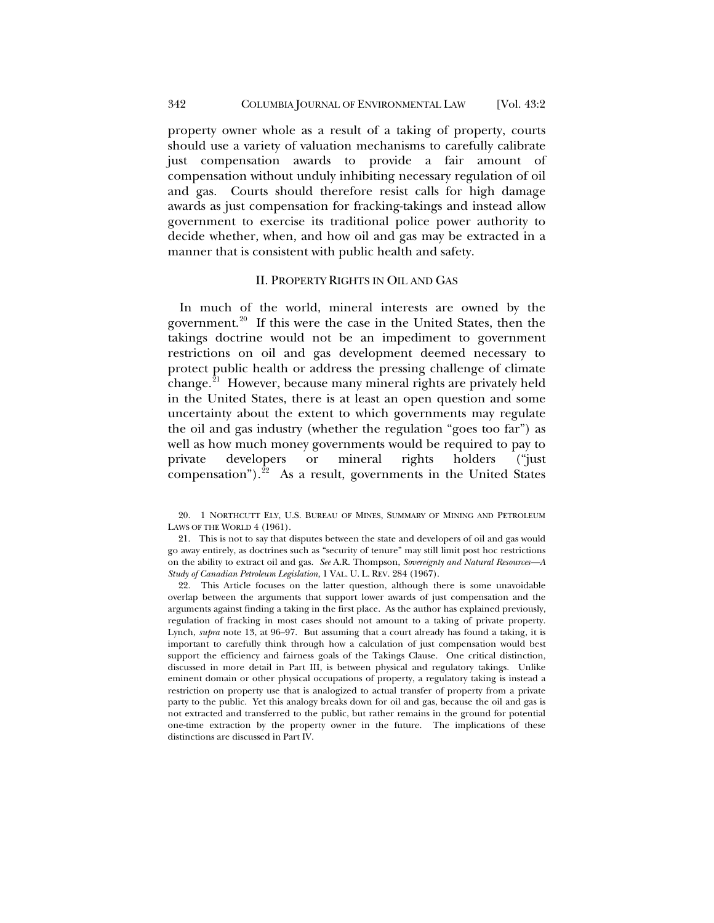property owner whole as a result of a taking of property, courts should use a variety of valuation mechanisms to carefully calibrate just compensation awards to provide a fair amount of compensation without unduly inhibiting necessary regulation of oil and gas. Courts should therefore resist calls for high damage awards as just compensation for fracking-takings and instead allow government to exercise its traditional police power authority to decide whether, when, and how oil and gas may be extracted in a manner that is consistent with public health and safety.

#### II. PROPERTY RIGHTS IN OIL AND GAS

In much of the world, mineral interests are owned by the government[.20](#page-7-0) If this were the case in the United States, then the takings doctrine would not be an impediment to government restrictions on oil and gas development deemed necessary to protect public health or address the pressing challenge of climate change.[21](#page-7-1) However, because many mineral rights are privately held in the United States, there is at least an open question and some uncertainty about the extent to which governments may regulate the oil and gas industry (whether the regulation "goes too far") as well as how much money governments would be required to pay to private developers or mineral rights holders ("just compensation"). $22$  As a result, governments in the United States

<span id="page-7-2"></span>22. This Article focuses on the latter question, although there is some unavoidable overlap between the arguments that support lower awards of just compensation and the arguments against finding a taking in the first place. As the author has explained previously, regulation of fracking in most cases should not amount to a taking of private property. Lynch, *supra* note [13,](#page-4-2) at 96–97. But assuming that a court already has found a taking, it is important to carefully think through how a calculation of just compensation would best support the efficiency and fairness goals of the Takings Clause. One critical distinction, discussed in more detail in Part III, is between physical and regulatory takings. Unlike eminent domain or other physical occupations of property, a regulatory taking is instead a restriction on property use that is analogized to actual transfer of property from a private party to the public. Yet this analogy breaks down for oil and gas, because the oil and gas is not extracted and transferred to the public, but rather remains in the ground for potential one-time extraction by the property owner in the future. The implications of these distinctions are discussed in Part IV.

<span id="page-7-0"></span><sup>20.</sup> 1 NORTHCUTT ELY, U.S. BUREAU OF MINES, SUMMARY OF MINING AND PETROLEUM LAWS OF THE WORLD 4 (1961).

<span id="page-7-1"></span><sup>21.</sup> This is not to say that disputes between the state and developers of oil and gas would go away entirely, as doctrines such as "security of tenure" may still limit post hoc restrictions on the ability to extract oil and gas. *See* A.R. Thompson, *Sovereignty and Natural Resources—A Study of Canadian Petroleum Legislation*, 1 VAL. U. L. REV. 284 (1967).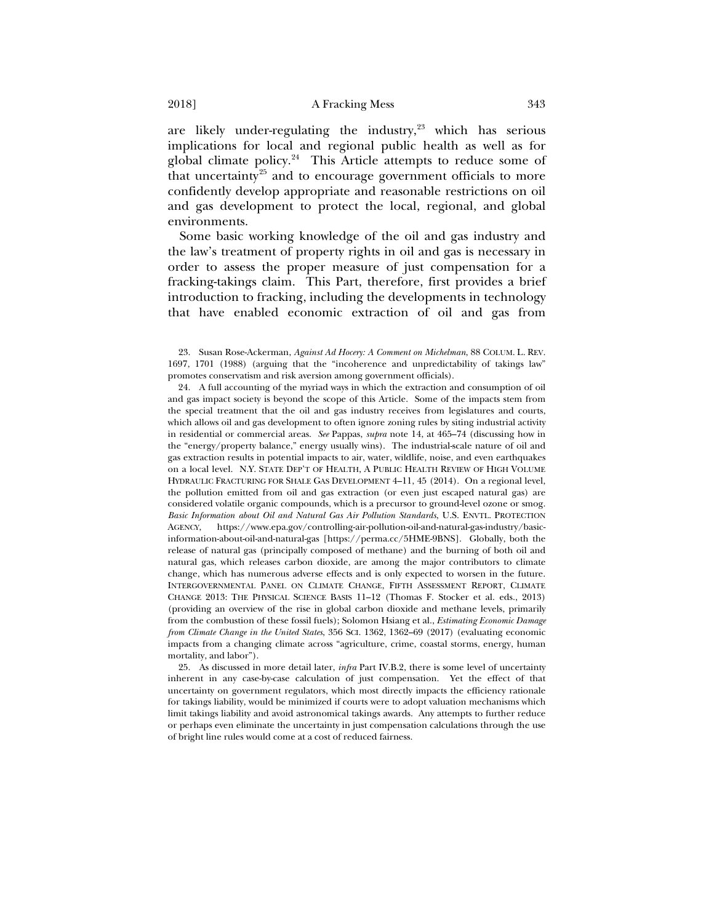<span id="page-8-4"></span><span id="page-8-3"></span>are likely under-regulating the industry, $23$  which has serious implications for local and regional public health as well as for global climate policy.<sup>24</sup> This Article attempts to reduce some of that uncertainty<sup>[25](#page-8-2)</sup> and to encourage government officials to more confidently develop appropriate and reasonable restrictions on oil and gas development to protect the local, regional, and global environments.

Some basic working knowledge of the oil and gas industry and the law's treatment of property rights in oil and gas is necessary in order to assess the proper measure of just compensation for a fracking-takings claim. This Part, therefore, first provides a brief introduction to fracking, including the developments in technology that have enabled economic extraction of oil and gas from

<span id="page-8-1"></span>24. A full accounting of the myriad ways in which the extraction and consumption of oil and gas impact society is beyond the scope of this Article. Some of the impacts stem from the special treatment that the oil and gas industry receives from legislatures and courts, which allows oil and gas development to often ignore zoning rules by siting industrial activity in residential or commercial areas. *See* Pappas, *supra* note [14,](#page-4-3) at 465–74 (discussing how in the "energy/property balance," energy usually wins). The industrial-scale nature of oil and gas extraction results in potential impacts to air, water, wildlife, noise, and even earthquakes on a local level. N.Y. STATE DEP'T OF HEALTH, A PUBLIC HEALTH REVIEW OF HIGH VOLUME HYDRAULIC FRACTURING FOR SHALE GAS DEVELOPMENT 4–11, 45 (2014). On a regional level, the pollution emitted from oil and gas extraction (or even just escaped natural gas) are considered volatile organic compounds, which is a precursor to ground-level ozone or smog. *Basic Information about Oil and Natural Gas Air Pollution Standards*, U.S. ENVTL. PROTECTION AGENCY, https://www.epa.gov/controlling-air-pollution-oil-and-natural-gas-industry/basicinformation-about-oil-and-natural-gas [https://perma.cc/5HME-9BNS]. Globally, both the release of natural gas (principally composed of methane) and the burning of both oil and natural gas, which releases carbon dioxide, are among the major contributors to climate change, which has numerous adverse effects and is only expected to worsen in the future. INTERGOVERNMENTAL PANEL ON CLIMATE CHANGE, FIFTH ASSESSMENT REPORT, CLIMATE CHANGE 2013: THE PHYSICAL SCIENCE BASIS 11–12 (Thomas F. Stocker et al. eds., 2013) (providing an overview of the rise in global carbon dioxide and methane levels, primarily from the combustion of these fossil fuels); Solomon Hsiang et al., *Estimating Economic Damage from Climate Change in the United States*, 356 SCI. 1362, 1362–69 (2017) (evaluating economic impacts from a changing climate across "agriculture, crime, coastal storms, energy, human mortality, and labor").

<span id="page-8-2"></span>25. As discussed in more detail later, *infra* Part IV.B.2, there is some level of uncertainty inherent in any case-by-case calculation of just compensation. Yet the effect of that uncertainty on government regulators, which most directly impacts the efficiency rationale for takings liability, would be minimized if courts were to adopt valuation mechanisms which limit takings liability and avoid astronomical takings awards. Any attempts to further reduce or perhaps even eliminate the uncertainty in just compensation calculations through the use of bright line rules would come at a cost of reduced fairness.

<span id="page-8-0"></span><sup>23.</sup> Susan Rose-Ackerman, *Against Ad Hocery: A Comment on Michelman*, 88 COLUM. L. REV. 1697, 1701 (1988) (arguing that the "incoherence and unpredictability of takings law" promotes conservatism and risk aversion among government officials).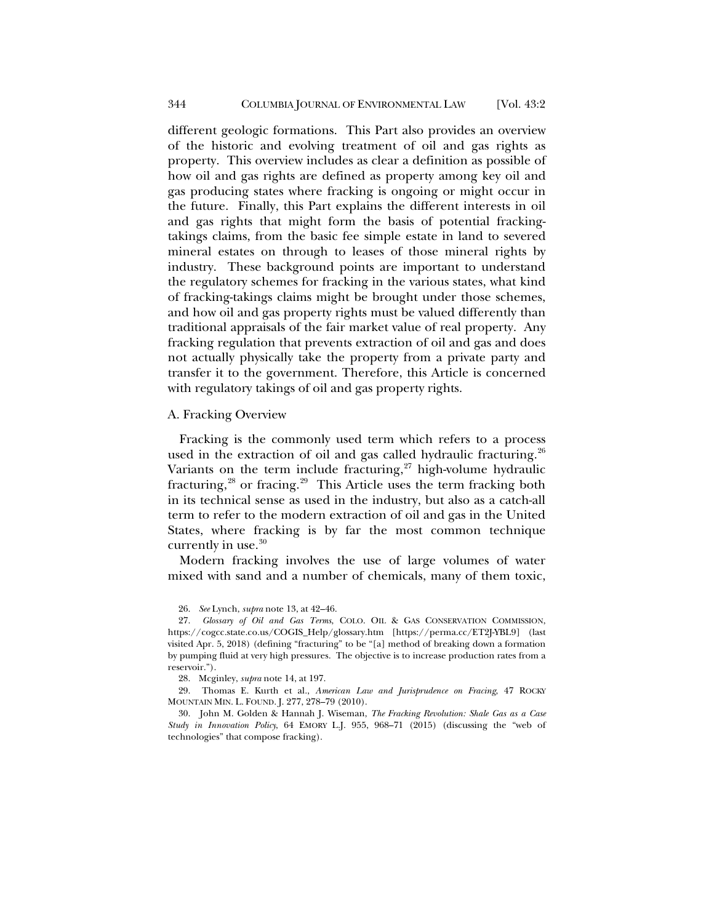different geologic formations. This Part also provides an overview of the historic and evolving treatment of oil and gas rights as property. This overview includes as clear a definition as possible of how oil and gas rights are defined as property among key oil and gas producing states where fracking is ongoing or might occur in the future. Finally, this Part explains the different interests in oil and gas rights that might form the basis of potential frackingtakings claims, from the basic fee simple estate in land to severed mineral estates on through to leases of those mineral rights by industry. These background points are important to understand the regulatory schemes for fracking in the various states, what kind of fracking-takings claims might be brought under those schemes, and how oil and gas property rights must be valued differently than traditional appraisals of the fair market value of real property. Any fracking regulation that prevents extraction of oil and gas and does not actually physically take the property from a private party and transfer it to the government. Therefore, this Article is concerned with regulatory takings of oil and gas property rights.

#### A. Fracking Overview

Fracking is the commonly used term which refers to a process used in the extraction of oil and gas called hydraulic fracturing.<sup>[26](#page-9-0)</sup> Variants on the term include fracturing,<sup>[27](#page-9-1)</sup> high-volume hydraulic fracturing,<sup>[28](#page-9-2)</sup> or fracing.<sup>29</sup> This Article uses the term fracking both in its technical sense as used in the industry, but also as a catch-all term to refer to the modern extraction of oil and gas in the United States, where fracking is by far the most common technique currently in use. $30$ 

<span id="page-9-5"></span>Modern fracking involves the use of large volumes of water mixed with sand and a number of chemicals, many of them toxic,

26. *See* Lynch, *supra* not[e 13,](#page-4-2) at 42–46.

<span id="page-9-1"></span><span id="page-9-0"></span>27. *Glossary of Oil and Gas Terms*, COLO. OIL & GAS CONSERVATION COMMISSION, https://cogcc.state.co.us/COGIS\_Help/glossary.htm [https://perma.cc/ET2J-YBL9] (last visited Apr. 5, 2018) (defining "fracturing" to be "[a] method of breaking down a formation by pumping fluid at very high pressures. The objective is to increase production rates from a reservoir.").

28. Mcginley, *supra* note [14,](#page-4-3) at 197.

<span id="page-9-3"></span><span id="page-9-2"></span>29. Thomas E. Kurth et al., *American Law and Jurisprudence on Fracing*, 47 ROCKY MOUNTAIN MIN. L. FOUND. J. 277, 278–79 (2010).

<span id="page-9-4"></span>30. John M. Golden & Hannah J. Wiseman, *The Fracking Revolution: Shale Gas as a Case Study in Innovation Policy*, 64 EMORY L.J. 955, 968–71 (2015) (discussing the "web of technologies" that compose fracking).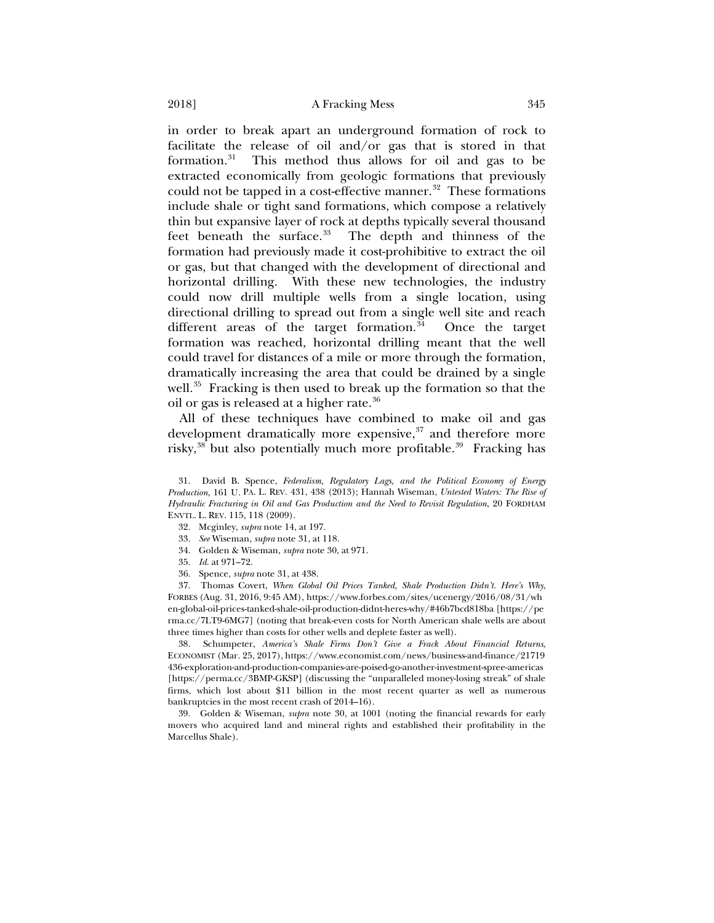<span id="page-10-0"></span>in order to break apart an underground formation of rock to facilitate the release of oil and/or gas that is stored in that formation.[31](#page-10-1) This method thus allows for oil and gas to be extracted economically from geologic formations that previously could not be tapped in a cost-effective manner.<sup>32</sup> These formations include shale or tight sand formations, which compose a relatively thin but expansive layer of rock at depths typically several thousand feet beneath the surface.<sup>33</sup> The depth and thinness of the formation had previously made it cost-prohibitive to extract the oil or gas, but that changed with the development of directional and horizontal drilling. With these new technologies, the industry could now drill multiple wells from a single location, using directional drilling to spread out from a single well site and reach different areas of the target formation. $34$  Once the target formation was reached, horizontal drilling meant that the well could travel for distances of a mile or more through the formation, dramatically increasing the area that could be drained by a single well. $35$  Fracking is then used to break up the formation so that the oil or gas is released at a higher rate.<sup>[36](#page-10-6)</sup>

All of these techniques have combined to make oil and gas development dramatically more expensive,<sup>[37](#page-10-7)</sup> and therefore more risky, $38$  but also potentially much more profitable. $39$  Fracking has

- 32. Mcginley, *supra* note [14,](#page-4-3) at 197.
- 33. *See* Wiseman, *supra* not[e 31,](#page-10-0) at 118.
- 34. Golden & Wiseman, *supra* not[e 30,](#page-9-5) at 971.
- 35. *Id*. at 971–72.
- 36. Spence, *supra* not[e 31,](#page-10-0) at 438.

<span id="page-10-7"></span><span id="page-10-6"></span><span id="page-10-5"></span><span id="page-10-4"></span><span id="page-10-3"></span>37. Thomas Covert, *When Global Oil Prices Tanked, Shale Production Didn't. Here's Why*, FORBES (Aug. 31, 2016, 9:45 AM), https://www.forbes.com/sites/ucenergy/2016/08/31/wh en-global-oil-prices-tanked-shale-oil-production-didnt-heres-why/#46b7bcd818ba [https://pe rma.cc/7LT9-6MG7] (noting that break-even costs for North American shale wells are about three times higher than costs for other wells and deplete faster as well).

<span id="page-10-8"></span>38. Schumpeter, *America's Shale Firms Don't Give a Frack About Financial Returns*, ECONOMIST (Mar. 25, 2017), https://www.economist.com/news/business-and-finance/21719 436-exploration-and-production-companies-are-poised-go-another-investment-spree-americas [https://perma.cc/3BMP-GKSP] (discussing the "unparalleled money-losing streak" of shale firms, which lost about \$11 billion in the most recent quarter as well as numerous bankruptcies in the most recent crash of 2014–16).

<span id="page-10-9"></span>39. Golden & Wiseman, *supra* note [30,](#page-9-5) at 1001 (noting the financial rewards for early movers who acquired land and mineral rights and established their profitability in the Marcellus Shale).

<span id="page-10-2"></span><span id="page-10-1"></span><sup>31.</sup> David B. Spence, *Federalism, Regulatory Lags, and the Political Economy of Energy Production*, 161 U. PA. L. REV. 431, 438 (2013); Hannah Wiseman, *Untested Waters: The Rise of Hydraulic Fracturing in Oil and Gas Production and the Need to Revisit Regulation*, 20 FORDHAM ENVTL. L. REV. 115, 118 (2009).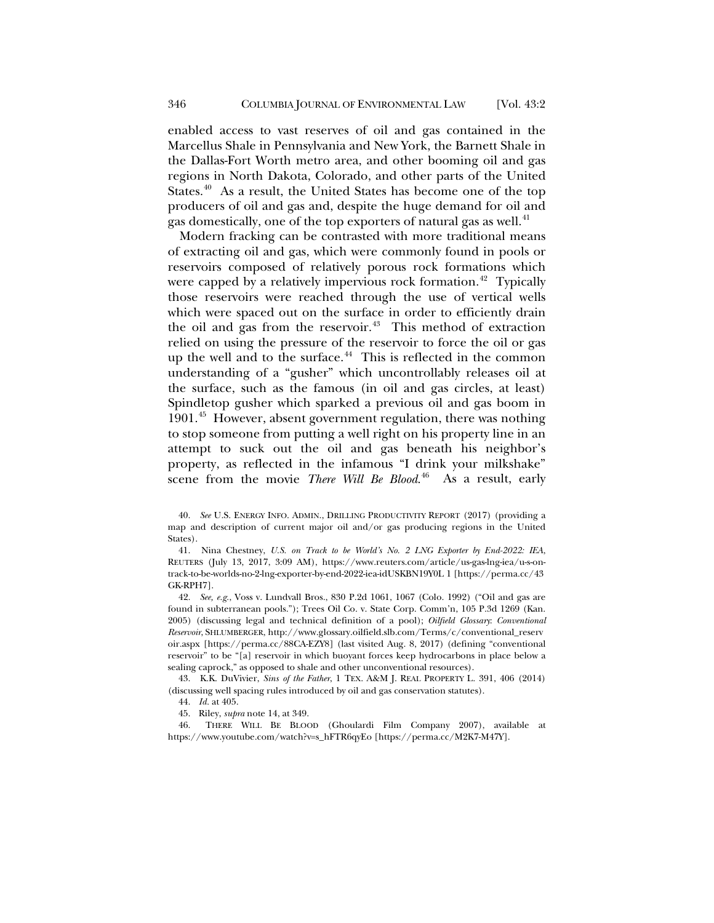enabled access to vast reserves of oil and gas contained in the Marcellus Shale in Pennsylvania and New York, the Barnett Shale in the Dallas-Fort Worth metro area, and other booming oil and gas regions in North Dakota, Colorado, and other parts of the United States.<sup>40</sup> As a result, the United States has become one of the top producers of oil and gas and, despite the huge demand for oil and gas domestically, one of the top exporters of natural gas as well.<sup>[41](#page-11-1)</sup>

<span id="page-11-7"></span>Modern fracking can be contrasted with more traditional means of extracting oil and gas, which were commonly found in pools or reservoirs composed of relatively porous rock formations which were capped by a relatively impervious rock formation.<sup>42</sup> Typically those reservoirs were reached through the use of vertical wells which were spaced out on the surface in order to efficiently drain the oil and gas from the reservoir.<sup>43</sup> This method of extraction relied on using the pressure of the reservoir to force the oil or gas up the well and to the surface. $44$  This is reflected in the common understanding of a "gusher" which uncontrollably releases oil at the surface, such as the famous (in oil and gas circles, at least) Spindletop gusher which sparked a previous oil and gas boom in 1901.<sup>[45](#page-11-5)</sup> However, absent government regulation, there was nothing to stop someone from putting a well right on his property line in an attempt to suck out the oil and gas beneath his neighbor's property, as reflected in the infamous "I drink your milkshake" scene from the movie *There Will Be Blood*. [46](#page-11-6) As a result, early

<span id="page-11-1"></span>41. Nina Chestney, *U.S. on Track to be World's No. 2 LNG Exporter by End-2022: IEA*, REUTERS (July 13, 2017, 3:09 AM), https://www.reuters.com/article/us-gas-lng-iea/u-s-ontrack-to-be-worlds-no-2-lng-exporter-by-end-2022-iea-idUSKBN19Y0L 1 [https://perma.cc/43 GK-RPH7].

<span id="page-11-2"></span>42. *See, e.g.*, Voss v. Lundvall Bros., 830 P.2d 1061, 1067 (Colo. 1992) ("Oil and gas are found in subterranean pools."); Trees Oil Co. v. State Corp. Comm'n, 105 P.3d 1269 (Kan. 2005) (discussing legal and technical definition of a pool); *Oilfield Glossary*: *Conventional Reservoir*, SHLUMBERGER, http://www.glossary.oilfield.slb.com/Terms/c/conventional\_reserv oir.aspx [https://perma.cc/88CA-EZY8] (last visited Aug. 8, 2017) (defining "conventional reservoir" to be "[a] reservoir in which buoyant forces keep hydrocarbons in place below a sealing caprock," as opposed to shale and other unconventional resources).

<span id="page-11-3"></span>43. K.K. DuVivier, *Sins of the Father*, 1 TEX. A&M J. REAL PROPERTY L. 391, 406 (2014) (discussing well spacing rules introduced by oil and gas conservation statutes).

45. Riley, *supra* not[e 14,](#page-4-3) at 349.

<span id="page-11-6"></span><span id="page-11-5"></span><span id="page-11-4"></span>46. THERE WILL BE BLOOD (Ghoulardi Film Company 2007), available at https://www.youtube.com/watch?v=s\_hFTR6qyEo [https://perma.cc/M2K7-M47Y].

<span id="page-11-0"></span><sup>40.</sup> *See* U.S. ENERGY INFO. ADMIN., DRILLING PRODUCTIVITY REPORT (2017) (providing a map and description of current major oil and/or gas producing regions in the United States).

<sup>44.</sup> *Id.* at 405.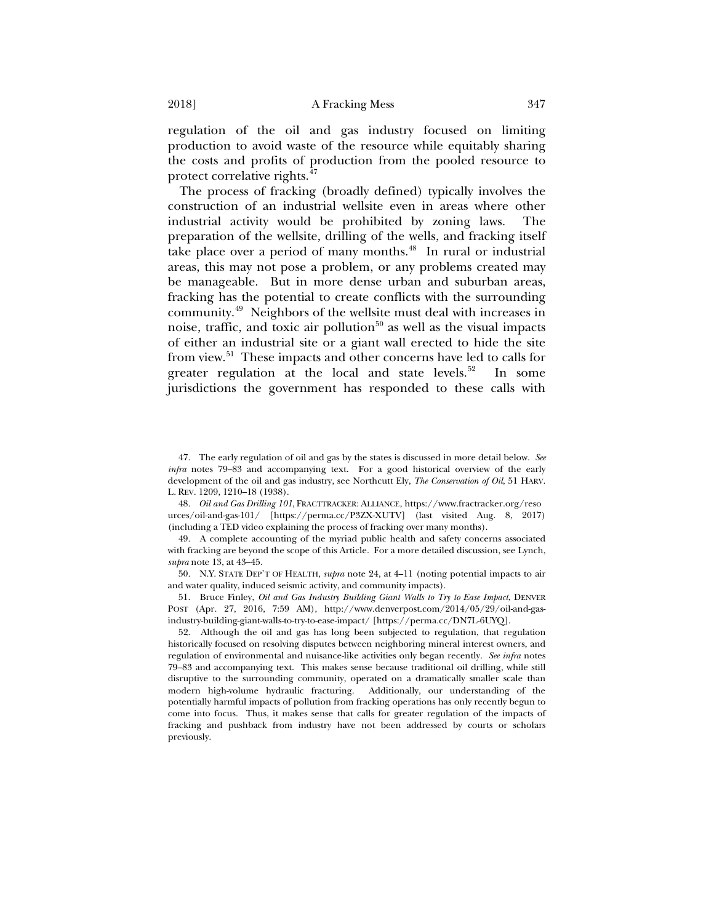regulation of the oil and gas industry focused on limiting production to avoid waste of the resource while equitably sharing the costs and profits of production from the pooled resource to protect correlative rights.<sup>[47](#page-12-2)</sup>

<span id="page-12-8"></span><span id="page-12-0"></span>The process of fracking (broadly defined) typically involves the construction of an industrial wellsite even in areas where other industrial activity would be prohibited by zoning laws. The preparation of the wellsite, drilling of the wells, and fracking itself take place over a period of many months. $48$  In rural or industrial areas, this may not pose a problem, or any problems created may be manageable. But in more dense urban and suburban areas, fracking has the potential to create conflicts with the surrounding community.[49](#page-12-4) Neighbors of the wellsite must deal with increases in noise, traffic, and toxic air pollution<sup>[50](#page-12-5)</sup> as well as the visual impacts of either an industrial site or a giant wall erected to hide the site from view.[51](#page-12-6) These impacts and other concerns have led to calls for greater regulation at the local and state levels. $52$  In some jurisdictions the government has responded to these calls with

<span id="page-12-2"></span><span id="page-12-1"></span>47. The early regulation of oil and gas by the states is discussed in more detail below. *See infra* notes [79](#page-17-0)[–83](#page-18-0) and accompanying text. For a good historical overview of the early development of the oil and gas industry, see Northcutt Ely, *The Conservation of Oil*, 51 HARV. L. REV. 1209, 1210–18 (1938).

<span id="page-12-3"></span>48. *Oil and Gas Drilling 101*, FRACTTRACKER: ALLIANCE, https://www.fractracker.org/reso urces/oil-and-gas-101/ [https://perma.cc/P3ZX-XUTV] (last visited Aug. 8, 2017) (including a TED video explaining the process of fracking over many months).

<span id="page-12-4"></span>49. A complete accounting of the myriad public health and safety concerns associated with fracking are beyond the scope of this Article. For a more detailed discussion, see Lynch, *supra* note [13,](#page-4-4) at 43–45.

<span id="page-12-5"></span>50. N.Y. STATE DEP'T OF HEALTH, *supra* note [24,](#page-8-3) at 4–11 (noting potential impacts to air and water quality, induced seismic activity, and community impacts).

<span id="page-12-6"></span>51. Bruce Finley, *Oil and Gas Industry Building Giant Walls to Try to Ease Impact*, DENVER POST (Apr. 27, 2016, 7:59 AM), http://www.denverpost.com/2014/05/29/oil-and-gasindustry-building-giant-walls-to-try-to-ease-impact/ [https://perma.cc/DN7L-6UYQ].

<span id="page-12-7"></span>52. Although the oil and gas has long been subjected to regulation, that regulation historically focused on resolving disputes between neighboring mineral interest owners, and regulation of environmental and nuisance-like activities only began recently. *See infra* notes [79–](#page-17-0)[83](#page-18-0) and accompanying text. This makes sense because traditional oil drilling, while still disruptive to the surrounding community, operated on a dramatically smaller scale than modern high-volume hydraulic fracturing. Additionally, our understanding of the potentially harmful impacts of pollution from fracking operations has only recently begun to come into focus. Thus, it makes sense that calls for greater regulation of the impacts of fracking and pushback from industry have not been addressed by courts or scholars previously.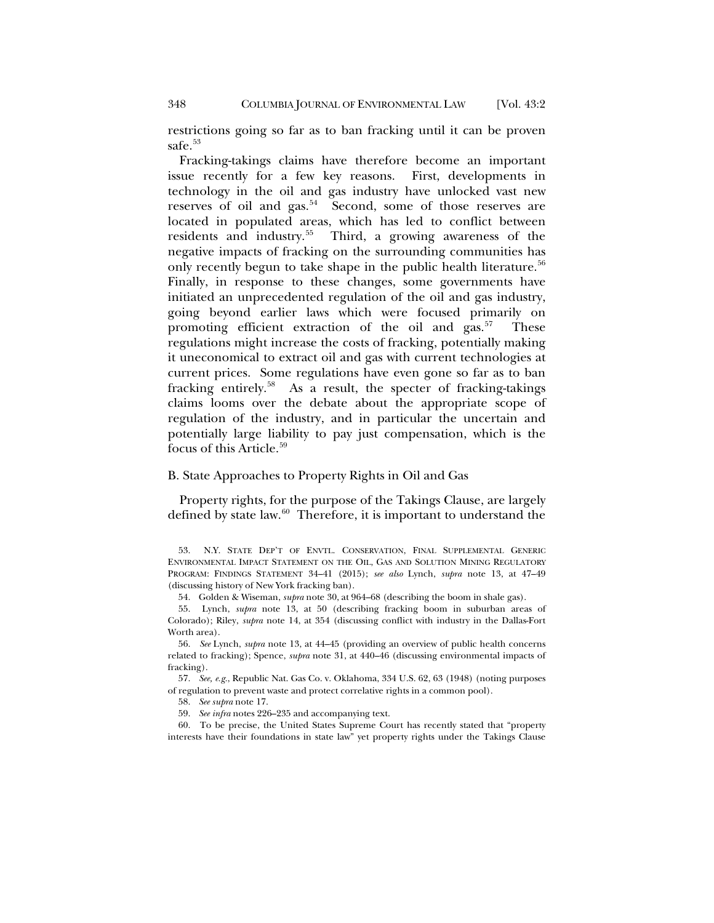<span id="page-13-0"></span>restrictions going so far as to ban fracking until it can be proven safe.[53](#page-13-1)

Fracking-takings claims have therefore become an important issue recently for a few key reasons. First, developments in technology in the oil and gas industry have unlocked vast new reserves of oil and gas.<sup>[54](#page-13-2)</sup> Second, some of those reserves are located in populated areas, which has led to conflict between residents and industry.[55](#page-13-3) Third, a growing awareness of the negative impacts of fracking on the surrounding communities has only recently begun to take shape in the public health literature.<sup>[56](#page-13-4)</sup> Finally, in response to these changes, some governments have initiated an unprecedented regulation of the oil and gas industry, going beyond earlier laws which were focused primarily on promoting efficient extraction of the oil and gas.<sup>57</sup> These regulations might increase the costs of fracking, potentially making it uneconomical to extract oil and gas with current technologies at current prices. Some regulations have even gone so far as to ban fracking entirely.[58](#page-13-6) As a result, the specter of fracking-takings claims looms over the debate about the appropriate scope of regulation of the industry, and in particular the uncertain and potentially large liability to pay just compensation, which is the focus of this Article.[59](#page-13-7)

# B. State Approaches to Property Rights in Oil and Gas

Property rights, for the purpose of the Takings Clause, are largely defined by state law.[60](#page-13-8) Therefore, it is important to understand the

54. Golden & Wiseman, *supra* not[e 30,](#page-9-5) at 964–68 (describing the boom in shale gas).

<span id="page-13-4"></span>56. *See* Lynch, *supra* note [13,](#page-4-2) at 44–45 (providing an overview of public health concerns related to fracking); Spence, *supra* note [31,](#page-10-0) at 440–46 (discussing environmental impacts of fracking).

<span id="page-13-6"></span><span id="page-13-5"></span>57. *See, e.g.*, Republic Nat. Gas Co. v. Oklahoma, 334 U.S. 62, 63 (1948) (noting purposes of regulation to prevent waste and protect correlative rights in a common pool).

58. *See supra* not[e 17.](#page-5-0)

59. *See infra* note[s 226](#page-44-0)[–235](#page-45-0) and accompanying text.

<span id="page-13-8"></span><span id="page-13-7"></span>60. To be precise, the United States Supreme Court has recently stated that "property interests have their foundations in state law" yet property rights under the Takings Clause

<span id="page-13-1"></span><sup>53.</sup> N.Y. STATE DEP'T OF ENVTL. CONSERVATION, FINAL SUPPLEMENTAL GENERIC ENVIRONMENTAL IMPACT STATEMENT ON THE OIL, GAS AND SOLUTION MINING REGULATORY PROGRAM: FINDINGS STATEMENT 34–41 (2015); *see also* Lynch, *supra* note [13,](#page-4-2) at 47–49 (discussing history of New York fracking ban).

<span id="page-13-3"></span><span id="page-13-2"></span><sup>55.</sup> Lynch, *supra* note [13,](#page-4-2) at 50 (describing fracking boom in suburban areas of Colorado); Riley, *supra* note [14,](#page-4-3) at 354 (discussing conflict with industry in the Dallas-Fort Worth area).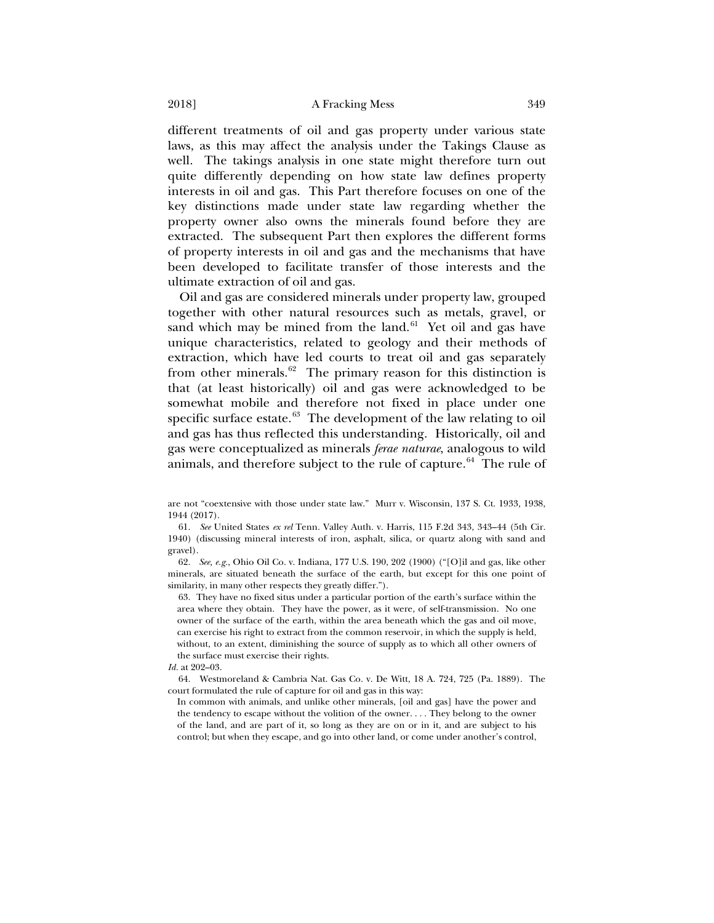different treatments of oil and gas property under various state laws, as this may affect the analysis under the Takings Clause as well. The takings analysis in one state might therefore turn out quite differently depending on how state law defines property interests in oil and gas. This Part therefore focuses on one of the key distinctions made under state law regarding whether the property owner also owns the minerals found before they are extracted. The subsequent Part then explores the different forms of property interests in oil and gas and the mechanisms that have been developed to facilitate transfer of those interests and the ultimate extraction of oil and gas.

Oil and gas are considered minerals under property law, grouped together with other natural resources such as metals, gravel, or sand which may be mined from the land. $61$  Yet oil and gas have unique characteristics, related to geology and their methods of extraction, which have led courts to treat oil and gas separately from other minerals. $62$  The primary reason for this distinction is that (at least historically) oil and gas were acknowledged to be somewhat mobile and therefore not fixed in place under one specific surface estate. $63$  The development of the law relating to oil and gas has thus reflected this understanding. Historically, oil and gas were conceptualized as minerals *ferae naturae*, analogous to wild animals, and therefore subject to the rule of capture.<sup>64</sup> The rule of

<span id="page-14-0"></span>61. *See* United States *ex rel* Tenn. Valley Auth. v. Harris, 115 F.2d 343, 343–44 (5th Cir. 1940) (discussing mineral interests of iron, asphalt, silica, or quartz along with sand and gravel).

<span id="page-14-2"></span><span id="page-14-1"></span>62. *See, e.g.*, Ohio Oil Co. v. Indiana, 177 U.S. 190, 202 (1900) ("[O]il and gas, like other minerals, are situated beneath the surface of the earth, but except for this one point of similarity, in many other respects they greatly differ.").

63. They have no fixed situs under a particular portion of the earth's surface within the area where they obtain. They have the power, as it were, of self-transmission. No one owner of the surface of the earth, within the area beneath which the gas and oil move, can exercise his right to extract from the common reservoir, in which the supply is held, without, to an extent, diminishing the source of supply as to which all other owners of the surface must exercise their rights.

*Id.* at 202–03.

<span id="page-14-3"></span>64. Westmoreland & Cambria Nat. Gas Co. v. De Witt, 18 A. 724, 725 (Pa. 1889). The court formulated the rule of capture for oil and gas in this way:

In common with animals, and unlike other minerals, [oil and gas] have the power and the tendency to escape without the volition of the owner. . . . They belong to the owner of the land, and are part of it, so long as they are on or in it, and are subject to his control; but when they escape, and go into other land, or come under another's control,

are not "coextensive with those under state law." Murr v. Wisconsin, 137 S. Ct. 1933, 1938, 1944 (2017).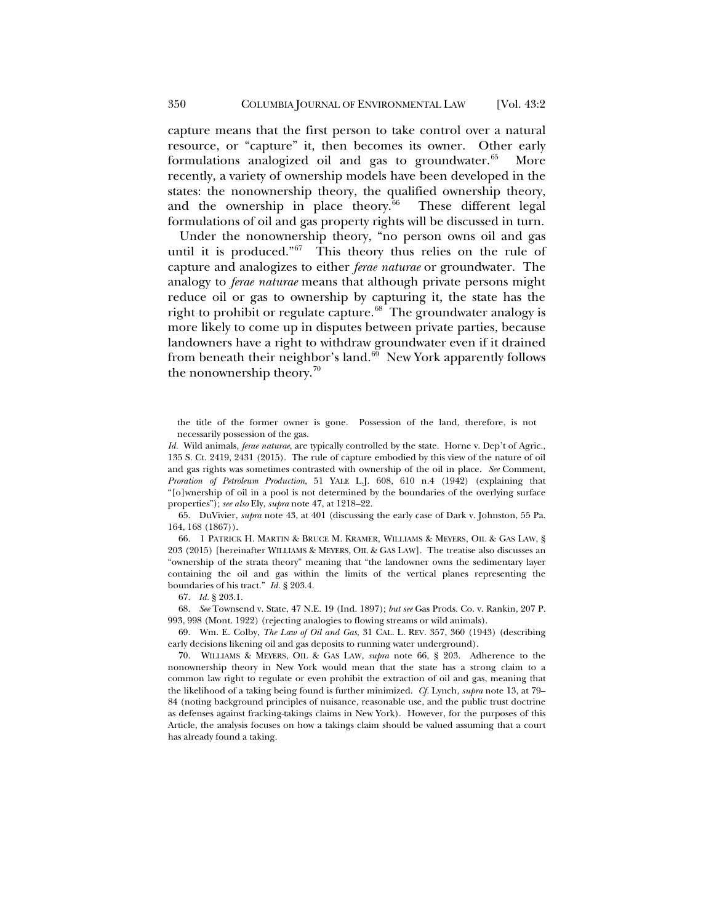capture means that the first person to take control over a natural resource, or "capture" it, then becomes its owner. Other early formulations analogized oil and gas to groundwater.<sup>65</sup> More recently, a variety of ownership models have been developed in the states: the nonownership theory, the qualified ownership theory, and the ownership in place theory. $66$  These different legal formulations of oil and gas property rights will be discussed in turn.

<span id="page-15-0"></span>Under the nonownership theory, "no person owns oil and gas until it is produced."<sup>[67](#page-15-3)</sup> This theory thus relies on the rule of capture and analogizes to either *ferae naturae* or groundwater. The analogy to *ferae naturae* means that although private persons might reduce oil or gas to ownership by capturing it, the state has the right to prohibit or regulate capture. $68$  The groundwater analogy is more likely to come up in disputes between private parties, because landowners have a right to withdraw groundwater even if it drained from beneath their neighbor's land.<sup>[69](#page-15-5)</sup> New York apparently follows the nonownership theory.<sup>[70](#page-15-6)</sup>

the title of the former owner is gone. Possession of the land, therefore, is not necessarily possession of the gas.

*Id.*Wild animals, *ferae naturae*, are typically controlled by the state. Horne v. Dep't of Agric., 135 S. Ct. 2419, 2431 (2015). The rule of capture embodied by this view of the nature of oil and gas rights was sometimes contrasted with ownership of the oil in place. *See* Comment, *Proration of Petroleum Production*, 51 YALE L.J. 608, 610 n.4 (1942) (explaining that "[o]wnership of oil in a pool is not determined by the boundaries of the overlying surface properties"); *see also* Ely, *supra* not[e 47,](#page-12-8) at 1218–22.

65. DuVivier, *supra* note [43,](#page-11-7) at 401 (discussing the early case of Dark v. Johnston, 55 Pa. 164, 168 (1867)).

<span id="page-15-2"></span><span id="page-15-1"></span>66. 1 PATRICK H. MARTIN & BRUCE M. KRAMER, WILLIAMS & MEYERS, OIL & GAS LAW, § 203 (2015) [hereinafter WILLIAMS & MEYERS, OIL & GAS LAW]. The treatise also discusses an "ownership of the strata theory" meaning that "the landowner owns the sedimentary layer containing the oil and gas within the limits of the vertical planes representing the boundaries of his tract." *Id.* § 203.4.

67. *Id.* § 203.1.

<span id="page-15-4"></span><span id="page-15-3"></span>68. *See* Townsend v. State, 47 N.E. 19 (Ind. 1897); *but see* Gas Prods. Co. v. Rankin, 207 P. 993, 998 (Mont. 1922) (rejecting analogies to flowing streams or wild animals).

<span id="page-15-5"></span>69. Wm. E. Colby, *The Law of Oil and Gas*, 31 CAL. L. REV. 357, 360 (1943) (describing early decisions likening oil and gas deposits to running water underground).

<span id="page-15-6"></span>70. WILLIAMS & MEYERS, OIL & GAS LAW, *supra* note [66,](#page-15-0) § 203. Adherence to the nonownership theory in New York would mean that the state has a strong claim to a common law right to regulate or even prohibit the extraction of oil and gas, meaning that the likelihood of a taking being found is further minimized. *Cf.* Lynch, *supra* not[e 13,](#page-4-2) at 79– 84 (noting background principles of nuisance, reasonable use, and the public trust doctrine as defenses against fracking-takings claims in New York). However, for the purposes of this Article, the analysis focuses on how a takings claim should be valued assuming that a court has already found a taking.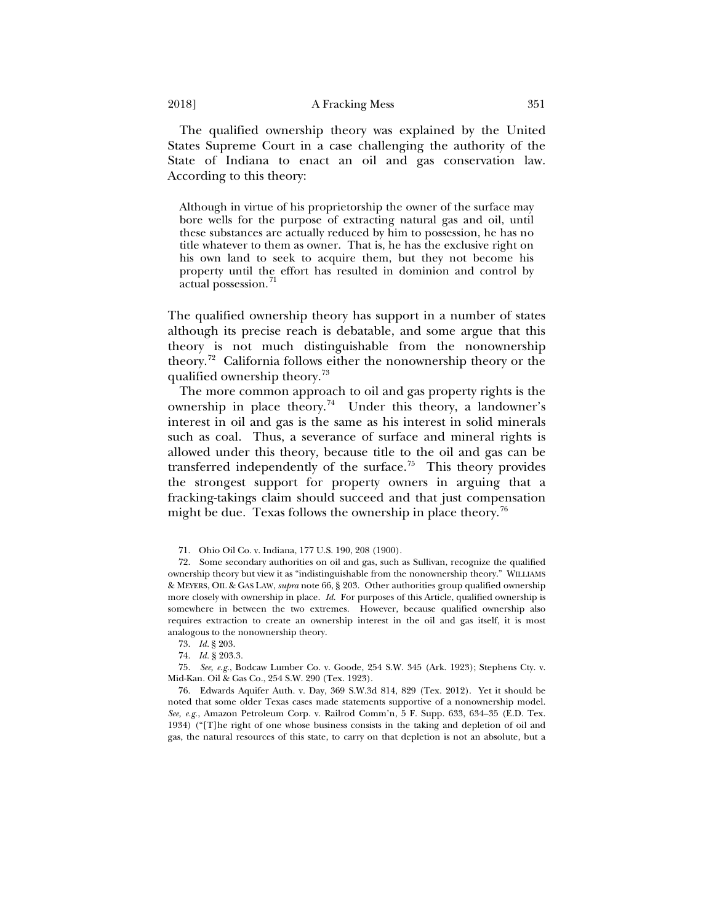The qualified ownership theory was explained by the United States Supreme Court in a case challenging the authority of the State of Indiana to enact an oil and gas conservation law. According to this theory:

Although in virtue of his proprietorship the owner of the surface may bore wells for the purpose of extracting natural gas and oil, until these substances are actually reduced by him to possession, he has no title whatever to them as owner. That is, he has the exclusive right on his own land to seek to acquire them, but they not become his property until the effort has resulted in dominion and control by actual possession.<sup>[71](#page-16-0)</sup>

The qualified ownership theory has support in a number of states although its precise reach is debatable, and some argue that this theory is not much distinguishable from the nonownership theory.[72](#page-16-1) California follows either the nonownership theory or the qualified ownership theory.<sup>[73](#page-16-2)</sup>

The more common approach to oil and gas property rights is the ownership in place theory.<sup>[74](#page-16-3)</sup> Under this theory, a landowner's interest in oil and gas is the same as his interest in solid minerals such as coal. Thus, a severance of surface and mineral rights is allowed under this theory, because title to the oil and gas can be transferred independently of the surface.<sup>75</sup> This theory provides the strongest support for property owners in arguing that a fracking-takings claim should succeed and that just compensation might be due. Texas follows the ownership in place theory.<sup>[76](#page-16-5)</sup>

<span id="page-16-1"></span><span id="page-16-0"></span>72. Some secondary authorities on oil and gas, such as Sullivan, recognize the qualified ownership theory but view it as "indistinguishable from the nonownership theory." WILLIAMS & MEYERS, OIL & GAS LAW, *supra* note [66,](#page-15-0) § 203. Other authorities group qualified ownership more closely with ownership in place. *Id.* For purposes of this Article, qualified ownership is somewhere in between the two extremes. However, because qualified ownership also requires extraction to create an ownership interest in the oil and gas itself, it is most analogous to the nonownership theory.

74. *Id.* § 203.3.

<span id="page-16-4"></span><span id="page-16-3"></span><span id="page-16-2"></span>75. *See, e.g.*, Bodcaw Lumber Co. v. Goode, 254 S.W. 345 (Ark. 1923); Stephens Cty. v. Mid-Kan. Oil & Gas Co., 254 S.W. 290 (Tex. 1923).

<span id="page-16-5"></span>76. Edwards Aquifer Auth. v. Day, 369 S.W.3d 814, 829 (Tex. 2012). Yet it should be noted that some older Texas cases made statements supportive of a nonownership model. *See, e.g.*, Amazon Petroleum Corp. v. Railrod Comm'n, 5 F. Supp. 633, 634–35 (E.D. Tex. 1934) ("[T]he right of one whose business consists in the taking and depletion of oil and gas, the natural resources of this state, to carry on that depletion is not an absolute, but a

<sup>71.</sup> Ohio Oil Co. v. Indiana, 177 U.S. 190, 208 (1900).

<sup>73.</sup> *Id.* § 203.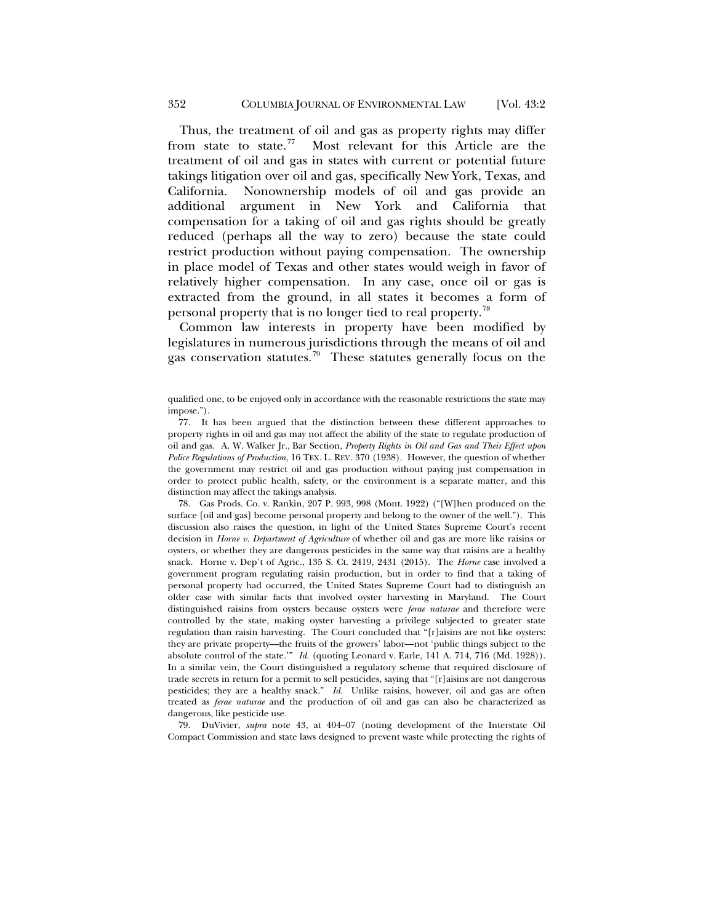Thus, the treatment of oil and gas as property rights may differ from state to state.<sup>[77](#page-17-1)</sup> Most relevant for this Article are the treatment of oil and gas in states with current or potential future takings litigation over oil and gas, specifically New York, Texas, and California. Nonownership models of oil and gas provide an additional argument in New York and California that compensation for a taking of oil and gas rights should be greatly reduced (perhaps all the way to zero) because the state could restrict production without paying compensation. The ownership in place model of Texas and other states would weigh in favor of relatively higher compensation. In any case, once oil or gas is extracted from the ground, in all states it becomes a form of personal property that is no longer tied to real property.[78](#page-17-2)

<span id="page-17-0"></span>Common law interests in property have been modified by legislatures in numerous jurisdictions through the means of oil and gas conservation statutes.<sup>79</sup> These statutes generally focus on the

<span id="page-17-1"></span>77. It has been argued that the distinction between these different approaches to property rights in oil and gas may not affect the ability of the state to regulate production of oil and gas. A. W. Walker Jr., Bar Section, *Property Rights in Oil and Gas and Their Effect upon Police Regulations of Production*, 16 TEX. L. REV. 370 (1938). However, the question of whether the government may restrict oil and gas production without paying just compensation in order to protect public health, safety, or the environment is a separate matter, and this distinction may affect the takings analysis.

<span id="page-17-2"></span>78. Gas Prods. Co. v. Rankin, 207 P. 993, 998 (Mont. 1922) ("[W]hen produced on the surface [oil and gas] become personal property and belong to the owner of the well."). This discussion also raises the question, in light of the United States Supreme Court's recent decision in *Horne v. Department of Agriculture* of whether oil and gas are more like raisins or oysters, or whether they are dangerous pesticides in the same way that raisins are a healthy snack. Horne v. Dep't of Agric., 135 S. Ct. 2419, 2431 (2015). The *Horne* case involved a government program regulating raisin production, but in order to find that a taking of personal property had occurred, the United States Supreme Court had to distinguish an older case with similar facts that involved oyster harvesting in Maryland. The Court distinguished raisins from oysters because oysters were *ferae naturae* and therefore were controlled by the state, making oyster harvesting a privilege subjected to greater state regulation than raisin harvesting. The Court concluded that "[r]aisins are not like oysters: they are private property—the fruits of the growers' labor—not 'public things subject to the absolute control of the state.'" *Id.* (quoting Leonard v. Earle, 141 A. 714, 716 (Md. 1928)). In a similar vein, the Court distinguished a regulatory scheme that required disclosure of trade secrets in return for a permit to sell pesticides, saying that "[r]aisins are not dangerous pesticides; they are a healthy snack." *Id.* Unlike raisins, however, oil and gas are often treated as *ferae naturae* and the production of oil and gas can also be characterized as dangerous, like pesticide use.

<span id="page-17-3"></span>79. DuVivier, *supra* note [43,](#page-11-7) at 404–07 (noting development of the Interstate Oil Compact Commission and state laws designed to prevent waste while protecting the rights of

qualified one, to be enjoyed only in accordance with the reasonable restrictions the state may impose.").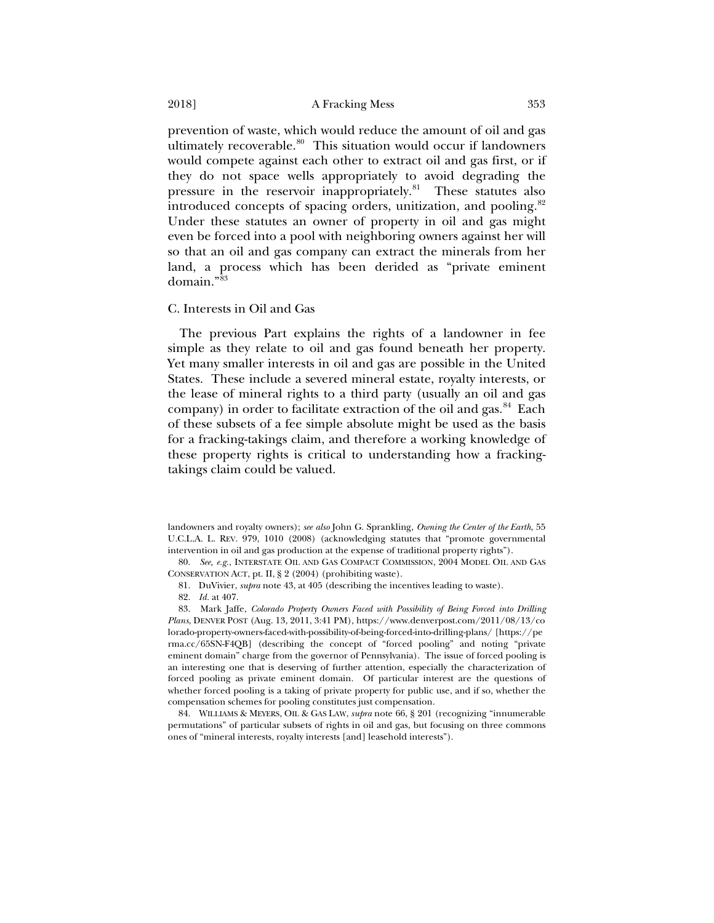prevention of waste, which would reduce the amount of oil and gas ultimately recoverable.<sup>80</sup> This situation would occur if landowners would compete against each other to extract oil and gas first, or if they do not space wells appropriately to avoid degrading the pressure in the reservoir inappropriately.<sup>81</sup> These statutes also introduced concepts of spacing orders, unitization, and pooling.<sup>[82](#page-18-3)</sup> Under these statutes an owner of property in oil and gas might even be forced into a pool with neighboring owners against her will so that an oil and gas company can extract the minerals from her land, a process which has been derided as "private eminent domain."[83](#page-18-4)

#### <span id="page-18-0"></span>C. Interests in Oil and Gas

The previous Part explains the rights of a landowner in fee simple as they relate to oil and gas found beneath her property. Yet many smaller interests in oil and gas are possible in the United States. These include a severed mineral estate, royalty interests, or the lease of mineral rights to a third party (usually an oil and gas company) in order to facilitate extraction of the oil and gas. $84$  Each of these subsets of a fee simple absolute might be used as the basis for a fracking-takings claim, and therefore a working knowledge of these property rights is critical to understanding how a frackingtakings claim could be valued.

<span id="page-18-4"></span><span id="page-18-3"></span>83. Mark Jaffe, *Colorado Property Owners Faced with Possibility of Being Forced into Drilling Plans*, DENVER POST (Aug. 13, 2011, 3:41 PM), https://www.denverpost.com/2011/08/13/co lorado-property-owners-faced-with-possibility-of-being-forced-into-drilling-plans/ [https://pe rma.cc/65SN-F4QB] (describing the concept of "forced pooling" and noting "private eminent domain" charge from the governor of Pennsylvania). The issue of forced pooling is an interesting one that is deserving of further attention, especially the characterization of forced pooling as private eminent domain. Of particular interest are the questions of whether forced pooling is a taking of private property for public use, and if so, whether the compensation schemes for pooling constitutes just compensation.

<span id="page-18-5"></span>84. WILLIAMS & MEYERS, OIL & GAS LAW, *supra* note [66,](#page-15-0) § 201 (recognizing "innumerable permutations" of particular subsets of rights in oil and gas, but focusing on three commons ones of "mineral interests, royalty interests [and] leasehold interests").

landowners and royalty owners); *see also* John G. Sprankling, *Owning the Center of the Earth*, 55 U.C.L.A. L. REV. 979, 1010 (2008) (acknowledging statutes that "promote governmental intervention in oil and gas production at the expense of traditional property rights").

<span id="page-18-2"></span><span id="page-18-1"></span><sup>80.</sup> *See, e.g.*, INTERSTATE OIL AND GAS COMPACT COMMISSION, 2004 MODEL OIL AND GAS CONSERVATION ACT, pt. II, § 2 (2004) (prohibiting waste).

<sup>81.</sup> DuVivier, *supra* not[e 43,](#page-11-7) at 405 (describing the incentives leading to waste).

<sup>82.</sup> *Id.* at 407.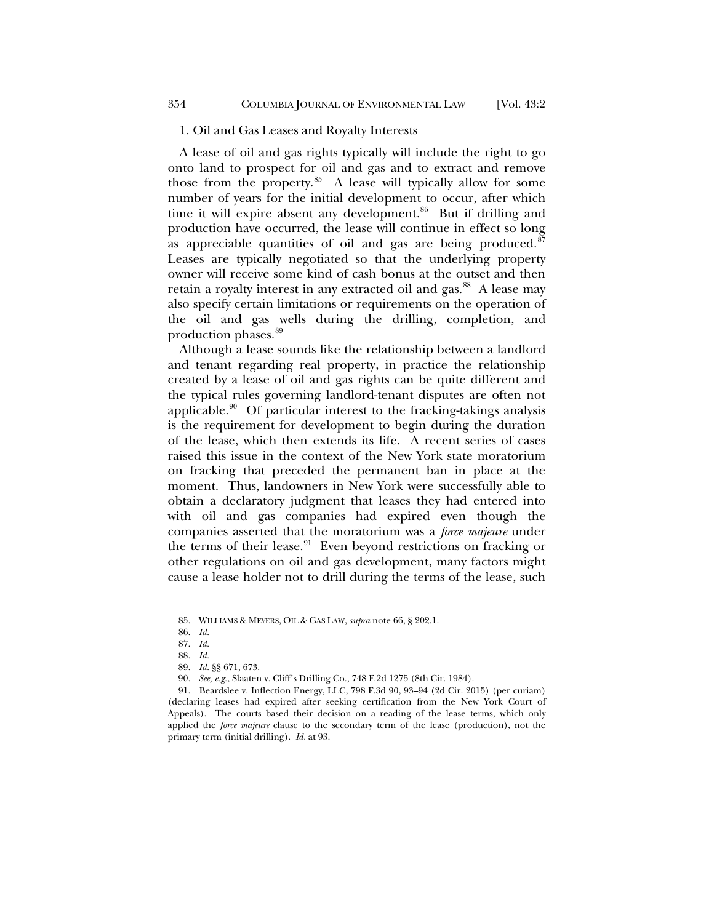#### 1. Oil and Gas Leases and Royalty Interests

A lease of oil and gas rights typically will include the right to go onto land to prospect for oil and gas and to extract and remove those from the property. $85$  A lease will typically allow for some number of years for the initial development to occur, after which time it will expire absent any development.<sup>[86](#page-19-1)</sup> But if drilling and production have occurred, the lease will continue in effect so long as appreciable quantities of oil and gas are being produced.<sup>[87](#page-19-2)</sup> Leases are typically negotiated so that the underlying property owner will receive some kind of cash bonus at the outset and then retain a royalty interest in any extracted oil and gas.<sup>88</sup> A lease may also specify certain limitations or requirements on the operation of the oil and gas wells during the drilling, completion, and production phases.[89](#page-19-4)

Although a lease sounds like the relationship between a landlord and tenant regarding real property, in practice the relationship created by a lease of oil and gas rights can be quite different and the typical rules governing landlord-tenant disputes are often not applicable.<sup>[90](#page-19-5)</sup> Of particular interest to the fracking-takings analysis is the requirement for development to begin during the duration of the lease, which then extends its life. A recent series of cases raised this issue in the context of the New York state moratorium on fracking that preceded the permanent ban in place at the moment. Thus, landowners in New York were successfully able to obtain a declaratory judgment that leases they had entered into with oil and gas companies had expired even though the companies asserted that the moratorium was a *force majeure* under the terms of their lease. $91$  Even beyond restrictions on fracking or other regulations on oil and gas development, many factors might cause a lease holder not to drill during the terms of the lease, such

<span id="page-19-0"></span><sup>85.</sup> WILLIAMS & MEYERS, OIL & GAS LAW, *supra* not[e 66,](#page-15-0) § 202.1.

<sup>86.</sup> *Id.*

<span id="page-19-1"></span><sup>87.</sup> *Id.*

<sup>88.</sup> *Id.*

<sup>89.</sup> *Id.* §§ 671, 673.

<sup>90.</sup> *See, e.g.*, Slaaten v. Cliff's Drilling Co., 748 F.2d 1275 (8th Cir. 1984).

<span id="page-19-6"></span><span id="page-19-5"></span><span id="page-19-4"></span><span id="page-19-3"></span><span id="page-19-2"></span><sup>91.</sup> Beardslee v. Inflection Energy, LLC, 798 F.3d 90, 93–94 (2d Cir. 2015) (per curiam) (declaring leases had expired after seeking certification from the New York Court of Appeals). The courts based their decision on a reading of the lease terms, which only applied the *force majeure* clause to the secondary term of the lease (production), not the primary term (initial drilling). *Id.* at 93.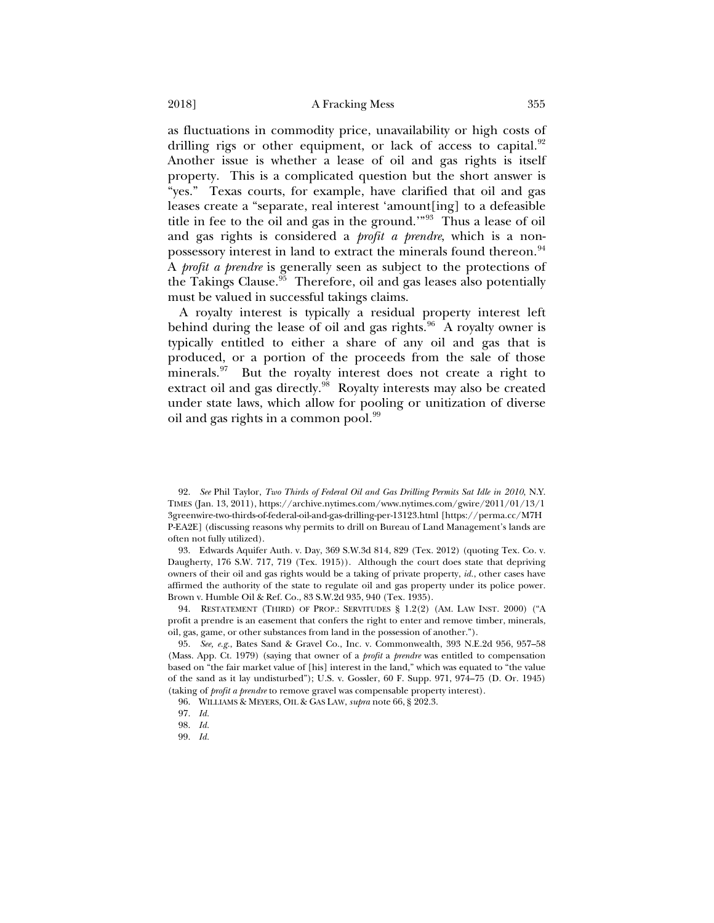as fluctuations in commodity price, unavailability or high costs of drilling rigs or other equipment, or lack of access to capital.<sup>[92](#page-20-0)</sup> Another issue is whether a lease of oil and gas rights is itself property. This is a complicated question but the short answer is "yes." Texas courts, for example, have clarified that oil and gas leases create a "separate, real interest 'amount[ing] to a defeasible title in fee to the oil and gas in the ground.'"[93](#page-20-1) Thus a lease of oil and gas rights is considered a *profit a prendre*, which is a non-possessory interest in land to extract the minerals found thereon.<sup>[94](#page-20-2)</sup> A *profit a prendre* is generally seen as subject to the protections of the Takings Clause.<sup>[95](#page-20-3)</sup> Therefore, oil and gas leases also potentially must be valued in successful takings claims.

A royalty interest is typically a residual property interest left behind during the lease of oil and gas rights. $96$  A royalty owner is typically entitled to either a share of any oil and gas that is produced, or a portion of the proceeds from the sale of those minerals.<sup>[97](#page-20-5)</sup> But the royalty interest does not create a right to extract oil and gas directly.<sup>98</sup> Royalty interests may also be created under state laws, which allow for pooling or unitization of diverse oil and gas rights in a common pool.<sup>[99](#page-20-7)</sup>

<span id="page-20-2"></span>94. RESTATEMENT (THIRD) OF PROP.: SERVITUDES § 1.2(2) (AM. LAW INST. 2000) ("A profit a prendre is an easement that confers the right to enter and remove timber, minerals, oil, gas, game, or other substances from land in the possession of another.").

<span id="page-20-4"></span><span id="page-20-3"></span>95. *See, e.g.*, Bates Sand & Gravel Co., Inc. v. Commonwealth, 393 N.E.2d 956, 957–58 (Mass. App. Ct. 1979) (saying that owner of a *profit* a *prendre* was entitled to compensation based on "the fair market value of [his] interest in the land," which was equated to "the value of the sand as it lay undisturbed"); U.S. v. Gossler, 60 F. Supp. 971, 974–75 (D. Or. 1945) (taking of *profit a prendre* to remove gravel was compensable property interest).

<span id="page-20-0"></span><sup>92.</sup> *See* Phil Taylor, *Two Thirds of Federal Oil and Gas Drilling Permits Sat Idle in 2010*, N.Y. TIMES (Jan. 13, 2011), https://archive.nytimes.com/www.nytimes.com/gwire/2011/01/13/1 3greenwire-two-thirds-of-federal-oil-and-gas-drilling-per-13123.html [https://perma.cc/M7H P-EA2E] (discussing reasons why permits to drill on Bureau of Land Management's lands are often not fully utilized).

<span id="page-20-1"></span><sup>93.</sup> Edwards Aquifer Auth. v. Day, 369 S.W.3d 814, 829 (Tex. 2012) (quoting Tex. Co. v. Daugherty, 176 S.W. 717, 719 (Tex. 1915)). Although the court does state that depriving owners of their oil and gas rights would be a taking of private property, *id.*, other cases have affirmed the authority of the state to regulate oil and gas property under its police power. Brown v. Humble Oil & Ref. Co., 83 S.W.2d 935, 940 (Tex. 1935).

<span id="page-20-5"></span><sup>96.</sup> WILLIAMS & MEYERS, OIL & GAS LAW, *supra* note [66,](#page-15-0) § 202.3.

<sup>97.</sup> *Id.*

<span id="page-20-7"></span><span id="page-20-6"></span><sup>98.</sup> *Id.*

<sup>99.</sup> *Id.*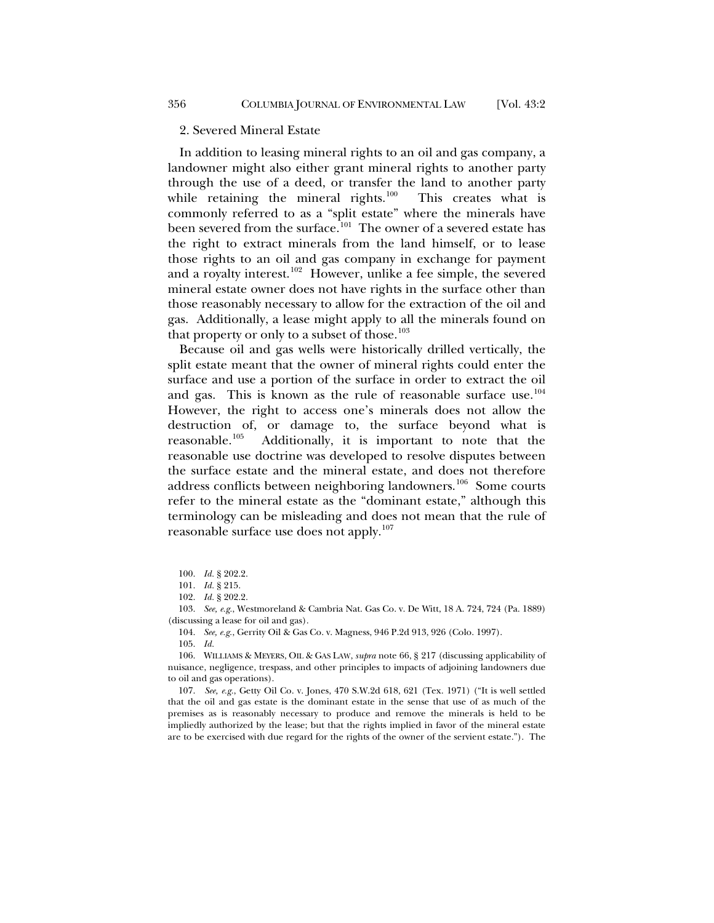#### 2. Severed Mineral Estate

In addition to leasing mineral rights to an oil and gas company, a landowner might also either grant mineral rights to another party through the use of a deed, or transfer the land to another party while retaining the mineral rights. $100$  This creates what is commonly referred to as a "split estate" where the minerals have been severed from the surface.<sup>101</sup> The owner of a severed estate has the right to extract minerals from the land himself, or to lease those rights to an oil and gas company in exchange for payment and a royalty interest.<sup>[102](#page-21-2)</sup> However, unlike a fee simple, the severed mineral estate owner does not have rights in the surface other than those reasonably necessary to allow for the extraction of the oil and gas. Additionally, a lease might apply to all the minerals found on that property or only to a subset of those.<sup>103</sup>

Because oil and gas wells were historically drilled vertically, the split estate meant that the owner of mineral rights could enter the surface and use a portion of the surface in order to extract the oil and gas. This is known as the rule of reasonable surface use. $104$ However, the right to access one's minerals does not allow the destruction of, or damage to, the surface beyond what is reasonable.[105](#page-21-5) Additionally, it is important to note that the reasonable use doctrine was developed to resolve disputes between the surface estate and the mineral estate, and does not therefore address conflicts between neighboring landowners.[106](#page-21-6) Some courts refer to the mineral estate as the "dominant estate," although this terminology can be misleading and does not mean that the rule of reasonable surface use does not apply.<sup>[107](#page-21-7)</sup>

<span id="page-21-4"></span><span id="page-21-3"></span><span id="page-21-2"></span><span id="page-21-1"></span><span id="page-21-0"></span>103. *See, e.g.*, Westmoreland & Cambria Nat. Gas Co. v. De Witt, 18 A. 724, 724 (Pa. 1889) (discussing a lease for oil and gas).

104. *See, e.g.*, Gerrity Oil & Gas Co. v. Magness, 946 P.2d 913, 926 (Colo. 1997).

105. *Id.*

<span id="page-21-6"></span><span id="page-21-5"></span>106. WILLIAMS & MEYERS, OIL & GAS LAW, *supra* not[e 66,](#page-15-0) § 217 (discussing applicability of nuisance, negligence, trespass, and other principles to impacts of adjoining landowners due to oil and gas operations).

<span id="page-21-7"></span>107. *See, e.g.*, Getty Oil Co. v. Jones, 470 S.W.2d 618, 621 (Tex. 1971) ("It is well settled that the oil and gas estate is the dominant estate in the sense that use of as much of the premises as is reasonably necessary to produce and remove the minerals is held to be impliedly authorized by the lease; but that the rights implied in favor of the mineral estate are to be exercised with due regard for the rights of the owner of the servient estate."). The

<sup>100.</sup> *Id.* § 202.2.

<sup>101.</sup> *Id.* § 215.

<sup>102.</sup> *Id.* § 202.2.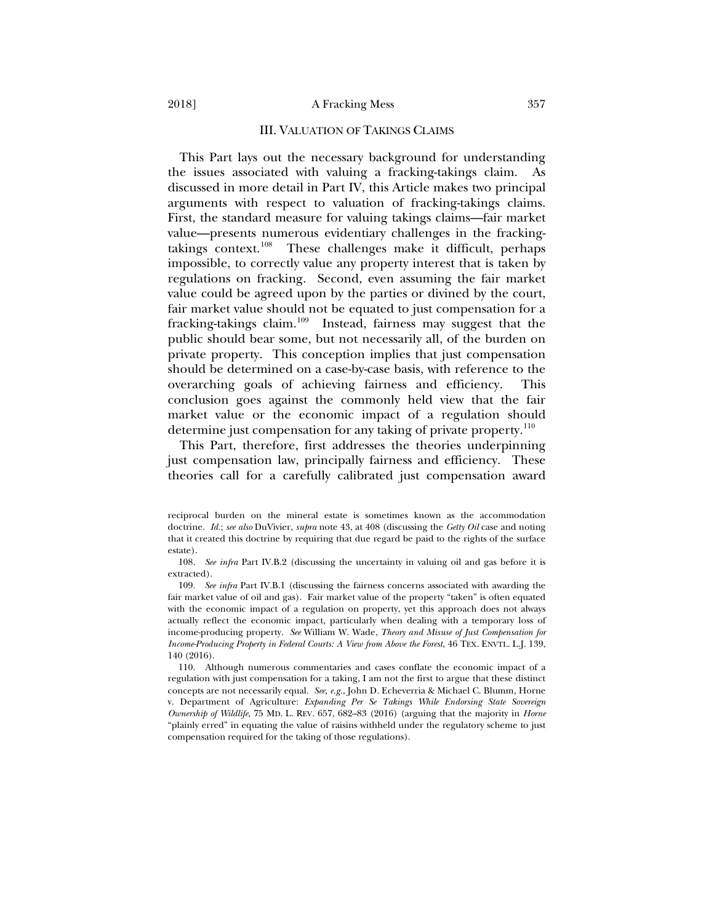#### 2018] A Fracking Mess 357

#### III. VALUATION OF TAKINGS CLAIMS

This Part lays out the necessary background for understanding the issues associated with valuing a fracking-takings claim. As discussed in more detail in Part IV, this Article makes two principal arguments with respect to valuation of fracking-takings claims. First, the standard measure for valuing takings claims—fair market value—presents numerous evidentiary challenges in the frackingtakings context.<sup>108</sup> These challenges make it difficult, perhaps impossible, to correctly value any property interest that is taken by regulations on fracking. Second, even assuming the fair market value could be agreed upon by the parties or divined by the court, fair market value should not be equated to just compensation for a fracking-takings claim.[109](#page-22-1) Instead, fairness may suggest that the public should bear some, but not necessarily all, of the burden on private property. This conception implies that just compensation should be determined on a case-by-case basis, with reference to the overarching goals of achieving fairness and efficiency. This conclusion goes against the commonly held view that the fair market value or the economic impact of a regulation should determine just compensation for any taking of private property.<sup>[110](#page-22-2)</sup>

This Part, therefore, first addresses the theories underpinning just compensation law, principally fairness and efficiency. These theories call for a carefully calibrated just compensation award

reciprocal burden on the mineral estate is sometimes known as the accommodation doctrine. *Id.*; *see also* DuVivier, *supra* note [43,](#page-11-7) at 408 (discussing the *Getty Oil* case and noting that it created this doctrine by requiring that due regard be paid to the rights of the surface estate).

<span id="page-22-0"></span><sup>108.</sup> *See infra* Part IV.B.2 (discussing the uncertainty in valuing oil and gas before it is extracted).

<span id="page-22-1"></span><sup>109.</sup> *See infra* Part IV.B.1 (discussing the fairness concerns associated with awarding the fair market value of oil and gas). Fair market value of the property "taken" is often equated with the economic impact of a regulation on property, yet this approach does not always actually reflect the economic impact, particularly when dealing with a temporary loss of income-producing property. *See* William W. Wade, *Theory and Misuse of Just Compensation for Income-Producing Property in Federal Courts: A View from Above the Forest*, 46 TEX. ENVTL. L.J. 139, 140 (2016).

<span id="page-22-2"></span><sup>110.</sup> Although numerous commentaries and cases conflate the economic impact of a regulation with just compensation for a taking, I am not the first to argue that these distinct concepts are not necessarily equal. *See, e.g.*, John D. Echeverria & Michael C. Blumm, Horne v. Department of Agriculture: *Expanding Per Se Takings While Endorsing State Sovereign Ownership of Wildlife*, 75 MD. L. REV. 657, 682–83 (2016) (arguing that the majority in *Horne* "plainly erred" in equating the value of raisins withheld under the regulatory scheme to just compensation required for the taking of those regulations).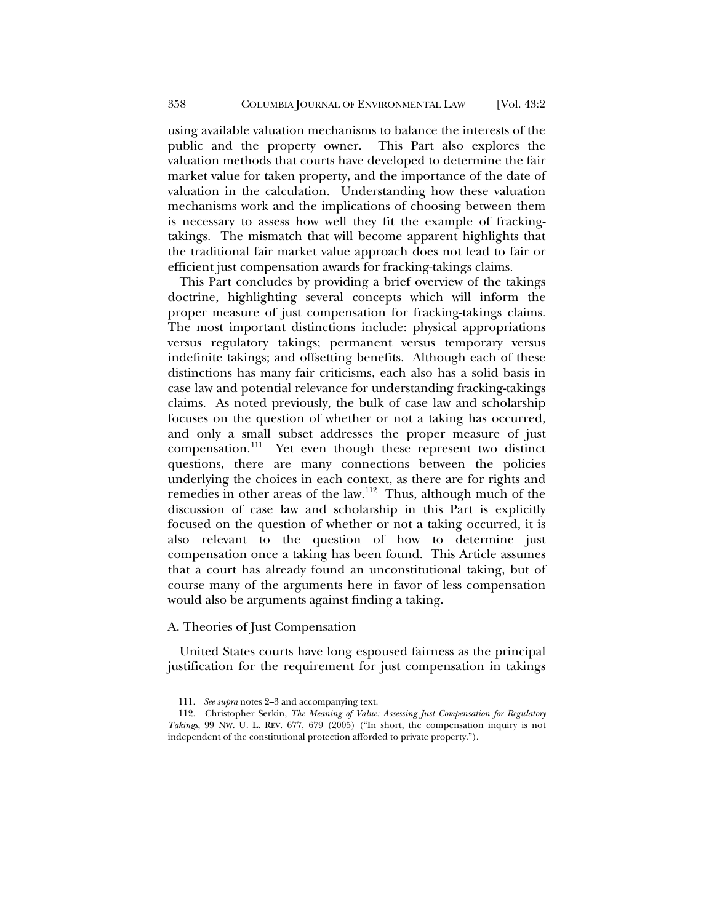using available valuation mechanisms to balance the interests of the public and the property owner. This Part also explores the valuation methods that courts have developed to determine the fair market value for taken property, and the importance of the date of valuation in the calculation. Understanding how these valuation mechanisms work and the implications of choosing between them is necessary to assess how well they fit the example of frackingtakings. The mismatch that will become apparent highlights that the traditional fair market value approach does not lead to fair or efficient just compensation awards for fracking-takings claims.

This Part concludes by providing a brief overview of the takings doctrine, highlighting several concepts which will inform the proper measure of just compensation for fracking-takings claims. The most important distinctions include: physical appropriations versus regulatory takings; permanent versus temporary versus indefinite takings; and offsetting benefits. Although each of these distinctions has many fair criticisms, each also has a solid basis in case law and potential relevance for understanding fracking-takings claims. As noted previously, the bulk of case law and scholarship focuses on the question of whether or not a taking has occurred, and only a small subset addresses the proper measure of just compensation.[111](#page-23-0) Yet even though these represent two distinct questions, there are many connections between the policies underlying the choices in each context, as there are for rights and remedies in other areas of the law.<sup>[112](#page-23-1)</sup> Thus, although much of the discussion of case law and scholarship in this Part is explicitly focused on the question of whether or not a taking occurred, it is also relevant to the question of how to determine just compensation once a taking has been found. This Article assumes that a court has already found an unconstitutional taking, but of course many of the arguments here in favor of less compensation would also be arguments against finding a taking.

#### <span id="page-23-2"></span>A. Theories of Just Compensation

United States courts have long espoused fairness as the principal justification for the requirement for just compensation in takings

<sup>111.</sup> *See supra* note[s 2](#page-1-3)[–3](#page-1-4) and accompanying text.

<span id="page-23-1"></span><span id="page-23-0"></span><sup>112.</sup> Christopher Serkin, *The Meaning of Value: Assessing Just Compensation for Regulatory Takings*, 99 NW. U. L. REV. 677, 679 (2005) ("In short, the compensation inquiry is not independent of the constitutional protection afforded to private property.").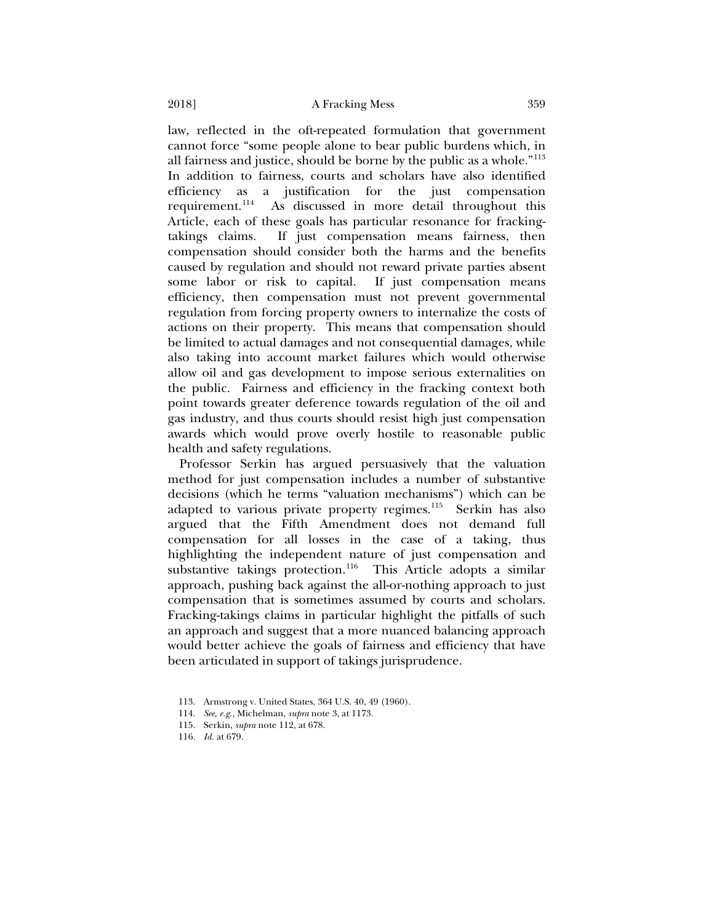law, reflected in the oft-repeated formulation that government cannot force "some people alone to bear public burdens which, in all fairness and justice, should be borne by the public as a whole."[113](#page-24-0) In addition to fairness, courts and scholars have also identified efficiency as a justification for the just compensation requirement.<sup>114</sup> As discussed in more detail throughout this Article, each of these goals has particular resonance for frackingtakings claims. If just compensation means fairness, then compensation should consider both the harms and the benefits caused by regulation and should not reward private parties absent some labor or risk to capital. If just compensation means efficiency, then compensation must not prevent governmental regulation from forcing property owners to internalize the costs of actions on their property. This means that compensation should be limited to actual damages and not consequential damages, while also taking into account market failures which would otherwise allow oil and gas development to impose serious externalities on the public. Fairness and efficiency in the fracking context both point towards greater deference towards regulation of the oil and gas industry, and thus courts should resist high just compensation awards which would prove overly hostile to reasonable public health and safety regulations.

Professor Serkin has argued persuasively that the valuation method for just compensation includes a number of substantive decisions (which he terms "valuation mechanisms") which can be adapted to various private property regimes.<sup>115</sup> Serkin has also argued that the Fifth Amendment does not demand full compensation for all losses in the case of a taking, thus highlighting the independent nature of just compensation and substantive takings protection.<sup>[116](#page-24-3)</sup> This Article adopts a similar approach, pushing back against the all-or-nothing approach to just compensation that is sometimes assumed by courts and scholars. Fracking-takings claims in particular highlight the pitfalls of such an approach and suggest that a more nuanced balancing approach would better achieve the goals of fairness and efficiency that have been articulated in support of takings jurisprudence.

<span id="page-24-1"></span><span id="page-24-0"></span><sup>113.</sup> Armstrong v. United States, 364 U.S. 40, 49 (1960).

<sup>114.</sup> *See, e.g.,* Michelman, *supra* not[e 3,](#page-1-4) at 1173.

<span id="page-24-2"></span><sup>115.</sup> Serkin, *supra* not[e 112,](#page-23-2) at 678.

<span id="page-24-3"></span><sup>116.</sup> *Id.* at 679.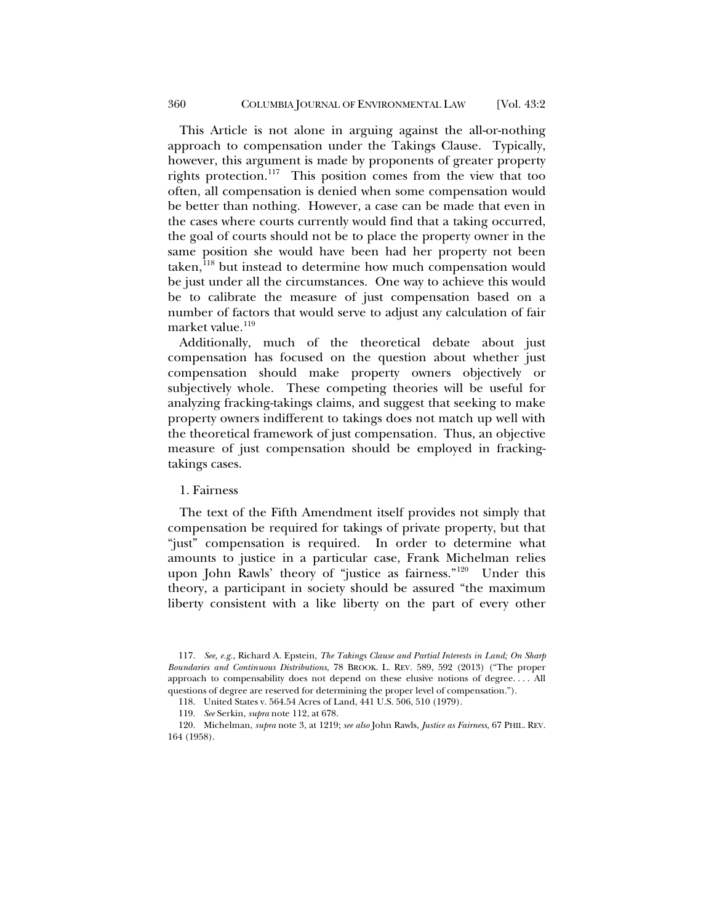<span id="page-25-4"></span>This Article is not alone in arguing against the all-or-nothing approach to compensation under the Takings Clause. Typically, however, this argument is made by proponents of greater property rights protection.[117](#page-25-0) This position comes from the view that too often, all compensation is denied when some compensation would be better than nothing. However, a case can be made that even in the cases where courts currently would find that a taking occurred, the goal of courts should not be to place the property owner in the same position she would have been had her property not been taken,<sup>[118](#page-25-1)</sup> but instead to determine how much compensation would be just under all the circumstances. One way to achieve this would be to calibrate the measure of just compensation based on a number of factors that would serve to adjust any calculation of fair market value.<sup>[119](#page-25-2)</sup>

Additionally, much of the theoretical debate about just compensation has focused on the question about whether just compensation should make property owners objectively or subjectively whole. These competing theories will be useful for analyzing fracking-takings claims, and suggest that seeking to make property owners indifferent to takings does not match up well with the theoretical framework of just compensation. Thus, an objective measure of just compensation should be employed in frackingtakings cases.

#### 1. Fairness

The text of the Fifth Amendment itself provides not simply that compensation be required for takings of private property, but that "just" compensation is required. In order to determine what amounts to justice in a particular case, Frank Michelman relies upon John Rawls' theory of "justice as fairness."[120](#page-25-3) Under this theory, a participant in society should be assured "the maximum liberty consistent with a like liberty on the part of every other

<span id="page-25-0"></span><sup>117.</sup> *See, e.g.*, Richard A. Epstein, *The Takings Clause and Partial Interests in Land; On Sharp Boundaries and Continuous Distributions*, 78 BROOK. L. REV. 589, 592 (2013) ("The proper approach to compensability does not depend on these elusive notions of degree. . . . All questions of degree are reserved for determining the proper level of compensation.").

<sup>118.</sup> United States v. 564.54 Acres of Land, 441 U.S. 506, 510 (1979).

<sup>119.</sup> *See* Serkin, *supra* not[e 112,](#page-23-2) at 678.

<span id="page-25-3"></span><span id="page-25-2"></span><span id="page-25-1"></span><sup>120.</sup> Michelman, *supra* not[e 3,](#page-1-4) at 1219; *see also* John Rawls, *Justice as Fairness*, 67 PHIL. REV. 164 (1958).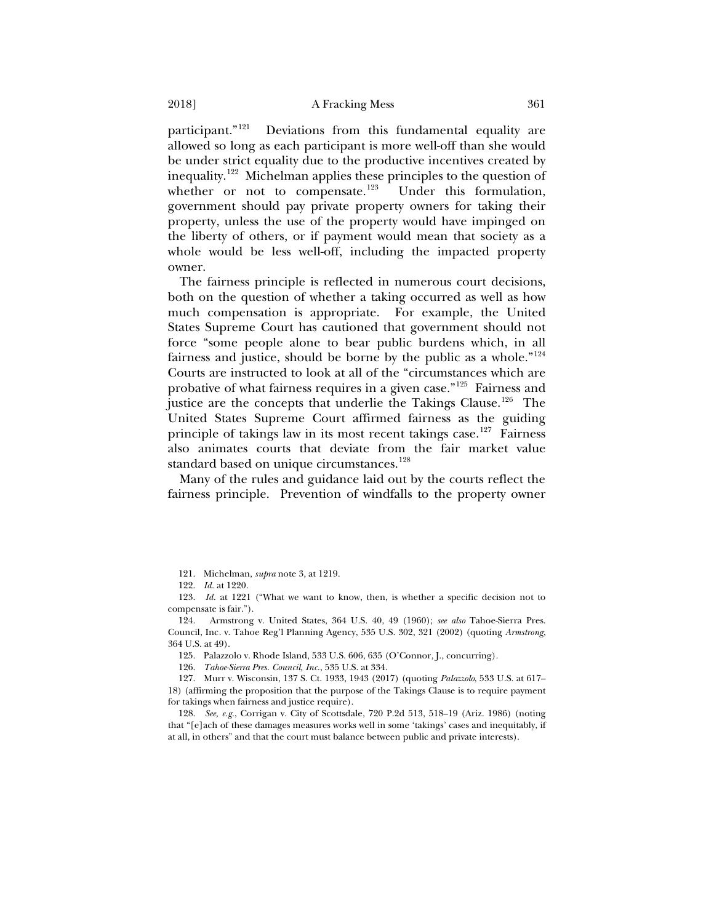participant."[121](#page-26-0) Deviations from this fundamental equality are allowed so long as each participant is more well-off than she would be under strict equality due to the productive incentives created by inequality.[122](#page-26-1) Michelman applies these principles to the question of whether or not to compensate.<sup>123</sup> Under this formulation, government should pay private property owners for taking their property, unless the use of the property would have impinged on the liberty of others, or if payment would mean that society as a whole would be less well-off, including the impacted property owner.

The fairness principle is reflected in numerous court decisions, both on the question of whether a taking occurred as well as how much compensation is appropriate. For example, the United States Supreme Court has cautioned that government should not force "some people alone to bear public burdens which, in all fairness and justice, should be borne by the public as a whole." $124$ Courts are instructed to look at all of the "circumstances which are probative of what fairness requires in a given case."[125](#page-26-4) Fairness and justice are the concepts that underlie the Takings Clause.<sup>[126](#page-26-5)</sup> The United States Supreme Court affirmed fairness as the guiding principle of takings law in its most recent takings case.<sup>127</sup> Fairness also animates courts that deviate from the fair market value standard based on unique circumstances.<sup>[128](#page-26-7)</sup>

Many of the rules and guidance laid out by the courts reflect the fairness principle. Prevention of windfalls to the property owner

121. Michelman, *supra* not[e 3,](#page-1-4) at 1219.

122. *Id.* at 1220.

<span id="page-26-2"></span><span id="page-26-1"></span><span id="page-26-0"></span>123. *Id.* at 1221 ("What we want to know, then, is whether a specific decision not to compensate is fair.").

<span id="page-26-3"></span>124. Armstrong v. United States, 364 U.S. 40, 49 (1960); *see also* Tahoe-Sierra Pres. Council, Inc*.* v. Tahoe Reg'l Planning Agency, 535 U.S. 302, 321 (2002) (quoting *Armstrong*, 364 U.S. at 49).

125. Palazzolo v. Rhode Island, 533 U.S. 606, 635 (O'Connor, J., concurring).

126. *Tahoe-Sierra Pres. Council, Inc.*, 535 U.S. at 334.

<span id="page-26-6"></span><span id="page-26-5"></span><span id="page-26-4"></span>127. Murr v. Wisconsin, 137 S. Ct. 1933, 1943 (2017) (quoting *Palazzolo*, 533 U.S. at 617– 18) (affirming the proposition that the purpose of the Takings Clause is to require payment for takings when fairness and justice require).

<span id="page-26-7"></span>128. *See, e.g.*, Corrigan v. City of Scottsdale, 720 P.2d 513, 518–19 (Ariz. 1986) (noting that "[e]ach of these damages measures works well in some 'takings' cases and inequitably, if at all, in others" and that the court must balance between public and private interests).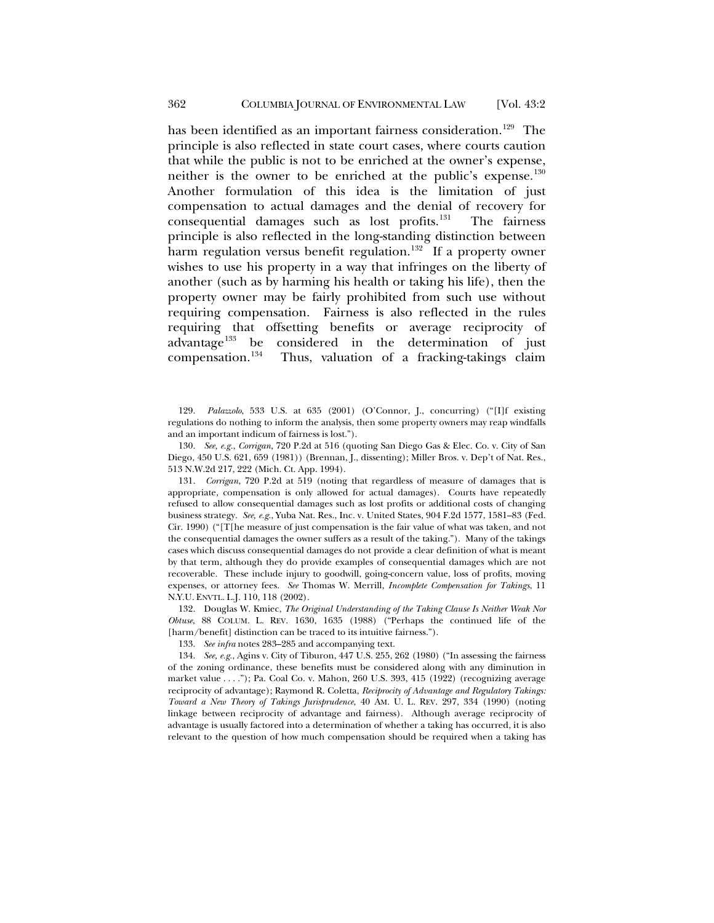has been identified as an important fairness consideration.<sup>[129](#page-27-0)</sup> The principle is also reflected in state court cases, where courts caution that while the public is not to be enriched at the owner's expense, neither is the owner to be enriched at the public's expense.<sup>[130](#page-27-1)</sup> Another formulation of this idea is the limitation of just compensation to actual damages and the denial of recovery for consequential damages such as lost profits.[131](#page-27-2) The fairness principle is also reflected in the long-standing distinction between harm regulation versus benefit regulation.<sup>132</sup> If a property owner wishes to use his property in a way that infringes on the liberty of another (such as by harming his health or taking his life), then the property owner may be fairly prohibited from such use without requiring compensation. Fairness is also reflected in the rules requiring that offsetting benefits or average reciprocity of advantage<sup>[133](#page-27-4)</sup> be considered in the determination of just compensation.<sup>[134](#page-27-5)</sup> Thus, valuation of a fracking-takings claim

<span id="page-27-0"></span>129. *Palazzolo*, 533 U.S. at 635 (2001) (O'Connor, J., concurring) ("[I]f existing regulations do nothing to inform the analysis, then some property owners may reap windfalls and an important indicum of fairness is lost.").

<span id="page-27-1"></span>130. *See, e.g.*, *Corrigan*, 720 P.2d at 516 (quoting San Diego Gas & Elec. Co. v. City of San Diego, 450 U.S. 621, 659 (1981)) (Brennan, J., dissenting); Miller Bros. v. Dep't of Nat. Res., 513 N.W.2d 217, 222 (Mich. Ct. App. 1994).

<span id="page-27-2"></span>131. *Corrigan*, 720 P.2d at 519 (noting that regardless of measure of damages that is appropriate, compensation is only allowed for actual damages). Courts have repeatedly refused to allow consequential damages such as lost profits or additional costs of changing business strategy. *See, e.g.*, Yuba Nat. Res., Inc. v. United States, 904 F.2d 1577, 1581–83 (Fed. Cir. 1990) ("[T[he measure of just compensation is the fair value of what was taken, and not the consequential damages the owner suffers as a result of the taking."). Many of the takings cases which discuss consequential damages do not provide a clear definition of what is meant by that term, although they do provide examples of consequential damages which are not recoverable. These include injury to goodwill, going-concern value, loss of profits, moving expenses, or attorney fees. *See* Thomas W. Merrill, *Incomplete Compensation for Takings*, 11 N.Y.U. ENVTL. L.J. 110, 118 (2002).

<span id="page-27-3"></span>132. Douglas W. Kmiec, *The Original Understanding of the Taking Clause Is Neither Weak Nor Obtuse*, 88 COLUM. L. REV. 1630, 1635 (1988) ("Perhaps the continued life of the [harm/benefit] distinction can be traced to its intuitive fairness.").

133. *See infra* note[s 283](#page-55-0)[–285](#page-55-1) and accompanying text.

<span id="page-27-5"></span><span id="page-27-4"></span>134. *See, e.g.*, Agins v. City of Tiburon, 447 U.S. 255, 262 (1980) ("In assessing the fairness of the zoning ordinance, these benefits must be considered along with any diminution in market value . . . ."); Pa. Coal Co. v. Mahon, 260 U.S. 393, 415 (1922) (recognizing average reciprocity of advantage); Raymond R. Coletta, *Reciprocity of Advantage and Regulatory Takings: Toward a New Theory of Takings Jurisprudence*, 40 AM. U. L. REV. 297, 334 (1990) (noting linkage between reciprocity of advantage and fairness). Although average reciprocity of advantage is usually factored into a determination of whether a taking has occurred, it is also relevant to the question of how much compensation should be required when a taking has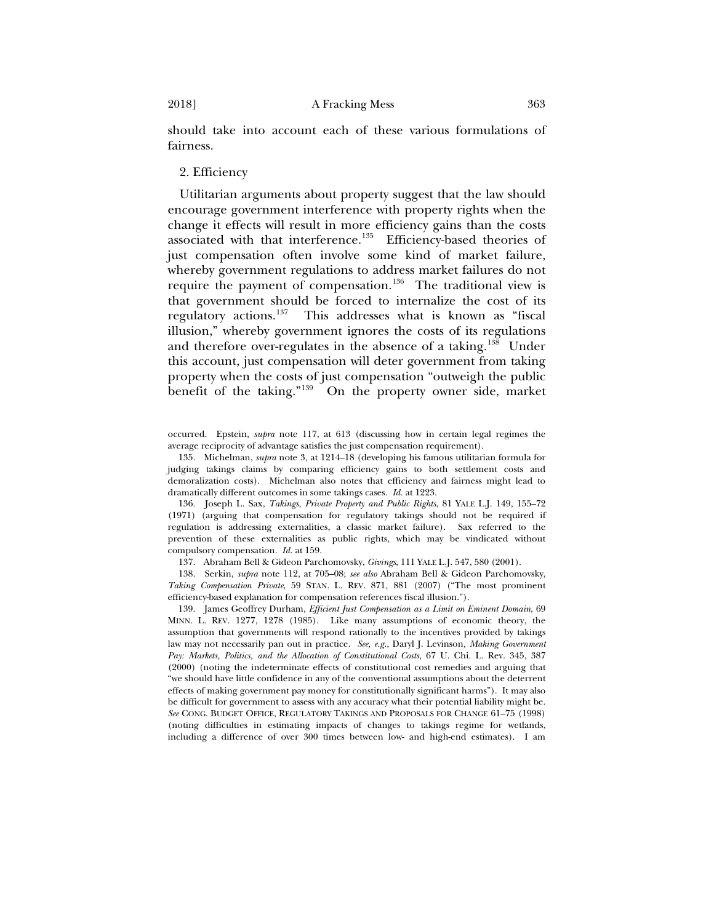should take into account each of these various formulations of fairness.

# 2. Efficiency

Utilitarian arguments about property suggest that the law should encourage government interference with property rights when the change it effects will result in more efficiency gains than the costs associated with that interference.<sup>135</sup> Efficiency-based theories of just compensation often involve some kind of market failure, whereby government regulations to address market failures do not require the payment of compensation.<sup>136</sup> The traditional view is that government should be forced to internalize the cost of its regulatory actions.[137](#page-28-2) This addresses what is known as "fiscal illusion," whereby government ignores the costs of its regulations and therefore over-regulates in the absence of a taking.<sup>[138](#page-28-3)</sup> Under this account, just compensation will deter government from taking property when the costs of just compensation "outweigh the public benefit of the taking."[139](#page-28-4) On the property owner side, market

<span id="page-28-5"></span>occurred. Epstein, *supra* note [117,](#page-25-4) at 613 (discussing how in certain legal regimes the average reciprocity of advantage satisfies the just compensation requirement).

<span id="page-28-0"></span>135. Michelman, *supra* not[e 3,](#page-1-4) at 1214–18 (developing his famous utilitarian formula for judging takings claims by comparing efficiency gains to both settlement costs and demoralization costs). Michelman also notes that efficiency and fairness might lead to dramatically different outcomes in some takings cases. *Id.* at 1223.

<span id="page-28-1"></span>136. Joseph L. Sax, *Takings, Private Property and Public Rights*, 81 YALE L.J. 149, 155–72 (1971) (arguing that compensation for regulatory takings should not be required if regulation is addressing externalities, a classic market failure). Sax referred to the prevention of these externalities as public rights, which may be vindicated without compulsory compensation. *Id.* at 159.

137. Abraham Bell & Gideon Parchomovsky, *Givings*, 111 YALE L.J. 547, 580 (2001).

<span id="page-28-3"></span><span id="page-28-2"></span>138. Serkin, *supra* note [112,](#page-23-2) at 705–08; *see also* Abraham Bell & Gideon Parchomovsky, *Taking Compensation Private*, 59 STAN. L. REV. 871, 881 (2007) ("The most prominent efficiency-based explanation for compensation references fiscal illusion.").

<span id="page-28-4"></span>139. James Geoffrey Durham, *Efficient Just Compensation as a Limit on Eminent Domain*, 69 MINN. L. REV. 1277, 1278 (1985). Like many assumptions of economic theory, the assumption that governments will respond rationally to the incentives provided by takings law may not necessarily pan out in practice. *See, e.g.*, Daryl J. Levinson*, Making Government Pay: Markets, Politics, and the Allocation of Constitutional Costs*, 67 U. Chi. L. Rev. 345, 387 (2000) (noting the indeterminate effects of constitutional cost remedies and arguing that "we should have little confidence in any of the conventional assumptions about the deterrent effects of making government pay money for constitutionally significant harms"). It may also be difficult for government to assess with any accuracy what their potential liability might be. *See* CONG. BUDGET OFFICE, REGULATORY TAKINGS AND PROPOSALS FOR CHANGE 61–75 (1998) (noting difficulties in estimating impacts of changes to takings regime for wetlands, including a difference of over 300 times between low- and high-end estimates). I am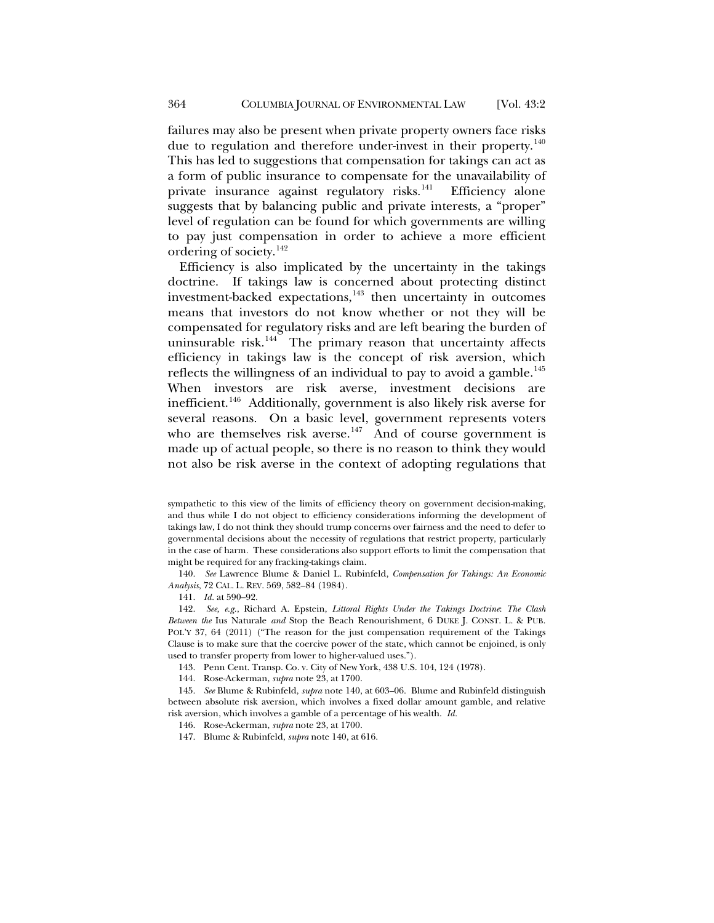failures may also be present when private property owners face risks due to regulation and therefore under-invest in their property.<sup>[140](#page-29-1)</sup> This has led to suggestions that compensation for takings can act as a form of public insurance to compensate for the unavailability of private insurance against regulatory risks.<sup>[141](#page-29-2)</sup> Efficiency alone suggests that by balancing public and private interests, a "proper" level of regulation can be found for which governments are willing to pay just compensation in order to achieve a more efficient ordering of society.[142](#page-29-3)

Efficiency is also implicated by the uncertainty in the takings doctrine. If takings law is concerned about protecting distinct investment-backed expectations, $143$  then uncertainty in outcomes means that investors do not know whether or not they will be compensated for regulatory risks and are left bearing the burden of uninsurable risk.<sup>[144](#page-29-5)</sup> The primary reason that uncertainty affects efficiency in takings law is the concept of risk aversion, which reflects the willingness of an individual to pay to avoid a gamble.<sup>[145](#page-29-6)</sup> When investors are risk averse, investment decisions are inefficient.[146](#page-29-7) Additionally, government is also likely risk averse for several reasons. On a basic level, government represents voters who are themselves risk averse. $147$  And of course government is made up of actual people, so there is no reason to think they would not also be risk averse in the context of adopting regulations that

<span id="page-29-1"></span>140. *See* Lawrence Blume & Daniel L. Rubinfeld, *Compensation for Takings: An Economic Analysis*, 72 CAL. L. REV. 569, 582–84 (1984).

141. *Id.* at 590–92.

<span id="page-29-3"></span><span id="page-29-2"></span>142. *See, e.g.*, Richard A. Epstein, *Littoral Rights Under the Takings Doctrine*: *The Clash Between the* Ius Naturale *and* Stop the Beach Renourishment, 6 DUKE J. CONST. L. & PUB. POL'Y 37, 64 (2011) ("The reason for the just compensation requirement of the Takings Clause is to make sure that the coercive power of the state, which cannot be enjoined, is only used to transfer property from lower to higher-valued uses.").

143. Penn Cent. Transp. Co. v. City of New York, 438 U.S. 104, 124 (1978).

144. Rose-Ackerman, *supra* not[e 23,](#page-8-4) at 1700.

<span id="page-29-8"></span><span id="page-29-7"></span><span id="page-29-6"></span><span id="page-29-5"></span><span id="page-29-4"></span>145. *See* Blume & Rubinfeld, *supra* not[e 140,](#page-29-0) at 603–06. Blume and Rubinfeld distinguish between absolute risk aversion, which involves a fixed dollar amount gamble, and relative risk aversion, which involves a gamble of a percentage of his wealth. *Id.*

147. Blume & Rubinfeld, *supra* not[e 140,](#page-29-0) at 616.

<span id="page-29-0"></span>

sympathetic to this view of the limits of efficiency theory on government decision-making, and thus while I do not object to efficiency considerations informing the development of takings law, I do not think they should trump concerns over fairness and the need to defer to governmental decisions about the necessity of regulations that restrict property, particularly in the case of harm. These considerations also support efforts to limit the compensation that might be required for any fracking-takings claim.

<sup>146.</sup> Rose-Ackerman, *supra* not[e 23,](#page-8-4) at 1700.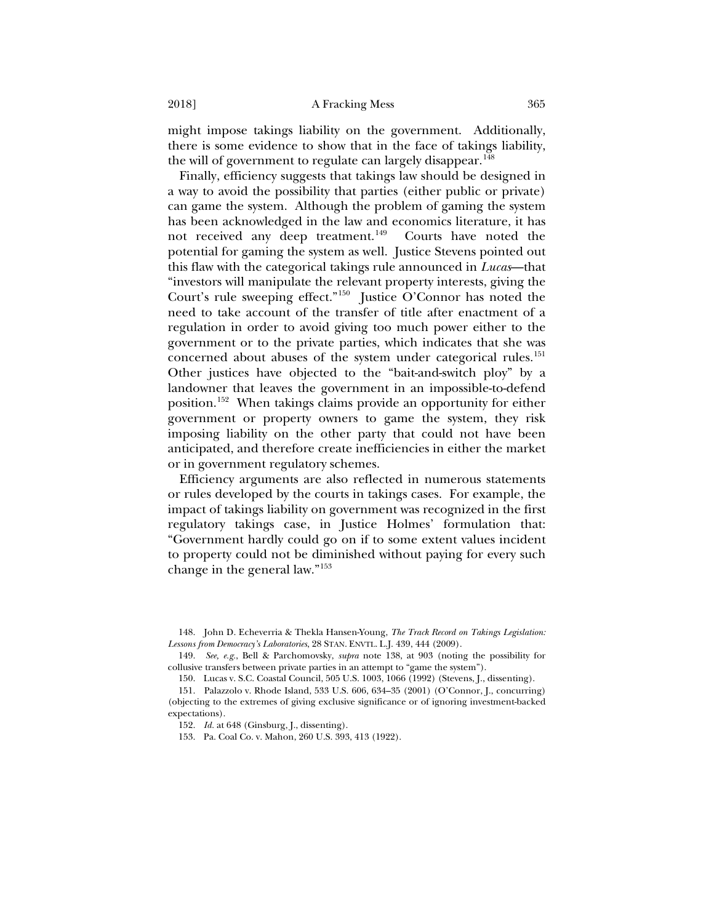#### 2018] A Fracking Mess 365

<span id="page-30-6"></span>might impose takings liability on the government. Additionally, there is some evidence to show that in the face of takings liability, the will of government to regulate can largely disappear.<sup>[148](#page-30-0)</sup>

Finally, efficiency suggests that takings law should be designed in a way to avoid the possibility that parties (either public or private) can game the system. Although the problem of gaming the system has been acknowledged in the law and economics literature, it has not received any deep treatment.[149](#page-30-1) Courts have noted the potential for gaming the system as well. Justice Stevens pointed out this flaw with the categorical takings rule announced in *Lucas*—that "investors will manipulate the relevant property interests, giving the Court's rule sweeping effect."[150](#page-30-2) Justice O'Connor has noted the need to take account of the transfer of title after enactment of a regulation in order to avoid giving too much power either to the government or to the private parties, which indicates that she was concerned about abuses of the system under categorical rules.<sup>[151](#page-30-3)</sup> Other justices have objected to the "bait-and-switch ploy" by a landowner that leaves the government in an impossible-to-defend position.[152](#page-30-4) When takings claims provide an opportunity for either government or property owners to game the system, they risk imposing liability on the other party that could not have been anticipated, and therefore create inefficiencies in either the market or in government regulatory schemes.

Efficiency arguments are also reflected in numerous statements or rules developed by the courts in takings cases. For example, the impact of takings liability on government was recognized in the first regulatory takings case, in Justice Holmes' formulation that: "Government hardly could go on if to some extent values incident to property could not be diminished without paying for every such change in the general law."[153](#page-30-5)

<span id="page-30-0"></span><sup>148.</sup> John D. Echeverria & Thekla Hansen-Young, *The Track Record on Takings Legislation: Lessons from Democracy's Laboratories*, 28 STAN. ENVTL. L.J. 439, 444 (2009).

<span id="page-30-1"></span><sup>149.</sup> *See, e.g.*, Bell & Parchomovsky, *supra* note [138,](#page-28-5) at 903 (noting the possibility for collusive transfers between private parties in an attempt to "game the system").

<sup>150.</sup> Lucas v. S.C. Coastal Council, 505 U.S. 1003, 1066 (1992) (Stevens, J., dissenting).

<span id="page-30-5"></span><span id="page-30-4"></span><span id="page-30-3"></span><span id="page-30-2"></span><sup>151.</sup> Palazzolo v. Rhode Island, 533 U.S. 606, 634–35 (2001) (O'Connor, J., concurring) (objecting to the extremes of giving exclusive significance or of ignoring investment-backed expectations).

<sup>152.</sup> *Id.* at 648 (Ginsburg, J., dissenting).

<sup>153.</sup> Pa. Coal Co. v. Mahon, 260 U.S. 393, 413 (1922).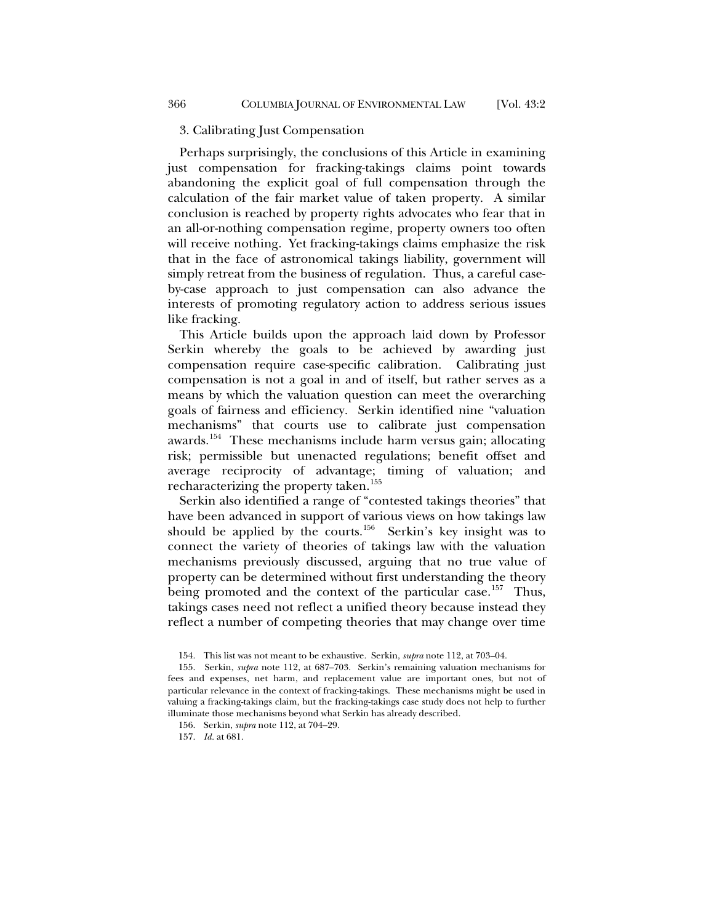#### 3. Calibrating Just Compensation

Perhaps surprisingly, the conclusions of this Article in examining just compensation for fracking-takings claims point towards abandoning the explicit goal of full compensation through the calculation of the fair market value of taken property. A similar conclusion is reached by property rights advocates who fear that in an all-or-nothing compensation regime, property owners too often will receive nothing. Yet fracking-takings claims emphasize the risk that in the face of astronomical takings liability, government will simply retreat from the business of regulation. Thus, a careful caseby-case approach to just compensation can also advance the interests of promoting regulatory action to address serious issues like fracking.

This Article builds upon the approach laid down by Professor Serkin whereby the goals to be achieved by awarding just compensation require case-specific calibration. Calibrating just compensation is not a goal in and of itself, but rather serves as a means by which the valuation question can meet the overarching goals of fairness and efficiency. Serkin identified nine "valuation mechanisms" that courts use to calibrate just compensation awards.[154](#page-31-0) These mechanisms include harm versus gain; allocating risk; permissible but unenacted regulations; benefit offset and average reciprocity of advantage; timing of valuation; and recharacterizing the property taken.<sup>[155](#page-31-1)</sup>

Serkin also identified a range of "contested takings theories" that have been advanced in support of various views on how takings law should be applied by the courts.<sup>156</sup> Serkin's key insight was to connect the variety of theories of takings law with the valuation mechanisms previously discussed, arguing that no true value of property can be determined without first understanding the theory being promoted and the context of the particular case.<sup>157</sup> Thus, takings cases need not reflect a unified theory because instead they reflect a number of competing theories that may change over time

<sup>154.</sup> This list was not meant to be exhaustive. Serkin, *supra* note [112,](#page-23-2) at 703–04.

<span id="page-31-2"></span><span id="page-31-1"></span><span id="page-31-0"></span><sup>155.</sup> Serkin, *supra* note [112,](#page-23-2) at 687–703. Serkin's remaining valuation mechanisms for fees and expenses, net harm, and replacement value are important ones, but not of particular relevance in the context of fracking-takings. These mechanisms might be used in valuing a fracking-takings claim, but the fracking-takings case study does not help to further illuminate those mechanisms beyond what Serkin has already described.

<sup>156.</sup> Serkin, *supra* not[e 112,](#page-23-2) at 704–29.

<span id="page-31-3"></span><sup>157.</sup> *Id.* at 681.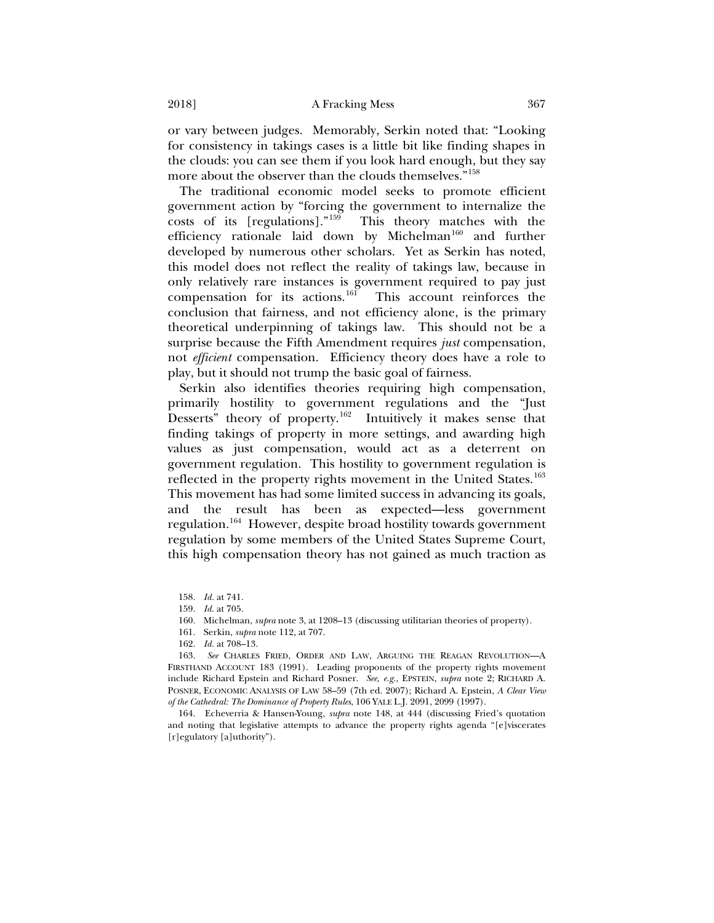or vary between judges. Memorably, Serkin noted that: "Looking for consistency in takings cases is a little bit like finding shapes in the clouds: you can see them if you look hard enough, but they say more about the observer than the clouds themselves."[158](#page-32-0)

The traditional economic model seeks to promote efficient government action by "forcing the government to internalize the costs of its [regulations]."[159](#page-32-1) This theory matches with the efficiency rationale laid down by Michelman<sup>[160](#page-32-2)</sup> and further developed by numerous other scholars. Yet as Serkin has noted, this model does not reflect the reality of takings law, because in only relatively rare instances is government required to pay just compensation for its actions.<sup>161</sup> This account reinforces the conclusion that fairness, and not efficiency alone, is the primary theoretical underpinning of takings law. This should not be a surprise because the Fifth Amendment requires *just* compensation, not *efficient* compensation. Efficiency theory does have a role to play, but it should not trump the basic goal of fairness.

Serkin also identifies theories requiring high compensation, primarily hostility to government regulations and the "Just Desserts" theory of property.<sup>[162](#page-32-4)</sup> Intuitively it makes sense that finding takings of property in more settings, and awarding high values as just compensation, would act as a deterrent on government regulation. This hostility to government regulation is reflected in the property rights movement in the United States.<sup>[163](#page-32-5)</sup> This movement has had some limited success in advancing its goals, and the result has been as expected—less government regulation.[164](#page-32-6) However, despite broad hostility towards government regulation by some members of the United States Supreme Court, this high compensation theory has not gained as much traction as

- 160. Michelman, *supra* not[e 3,](#page-1-4) at 1208–13 (discussing utilitarian theories of property).
- 161. Serkin, *supra* not[e 112,](#page-23-2) at 707.
- 162. *Id.* at 708–13.

<span id="page-32-5"></span><span id="page-32-4"></span><span id="page-32-3"></span><span id="page-32-2"></span><span id="page-32-1"></span><span id="page-32-0"></span>163. *See* CHARLES FRIED, ORDER AND LAW, ARGUING THE REAGAN REVOLUTION—A FIRSTHAND ACCOUNT 183 (1991). Leading proponents of the property rights movement include Richard Epstein and Richard Posner. *See, e.g.*, EPSTEIN, *supra* note [2;](#page-1-3) RICHARD A. POSNER, ECONOMIC ANALYSIS OF LAW 58–59 (7th ed. 2007); Richard A. Epstein, *A Clear View of the Cathedral: The Dominance of Property Rules*, 106 YALE L.J. 2091, 2099 (1997).

<span id="page-32-6"></span>164. Echeverria & Hansen-Young, *supra* note [148,](#page-30-6) at 444 (discussing Fried's quotation and noting that legislative attempts to advance the property rights agenda "[e]viscerates [r]egulatory [a]uthority").

<sup>158.</sup> *Id.* at 741.

<sup>159.</sup> *Id.* at 705.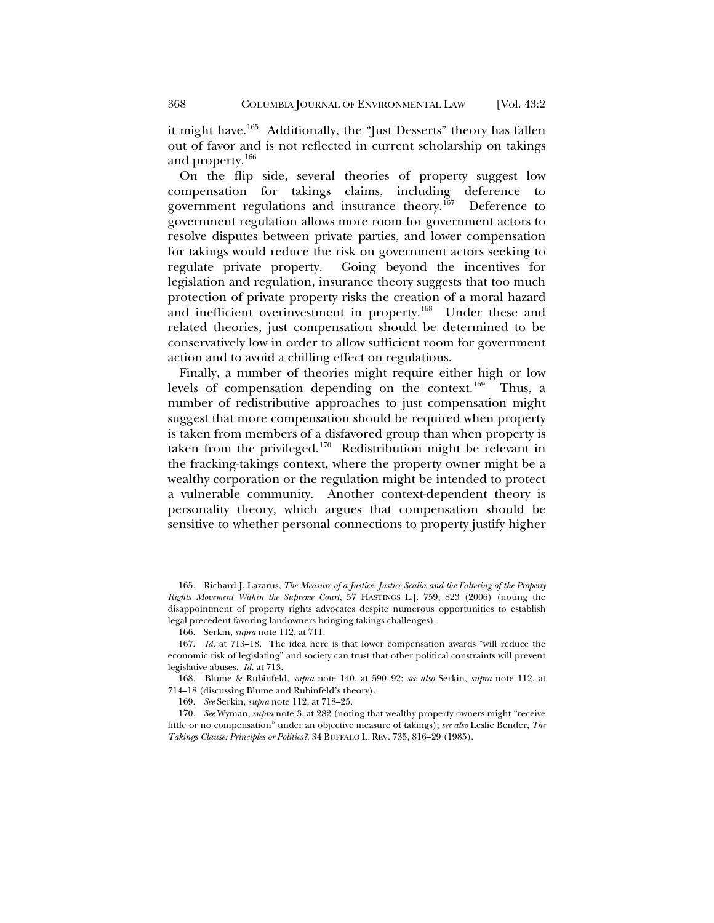it might have.<sup>[165](#page-33-0)</sup> Additionally, the "Just Desserts" theory has fallen out of favor and is not reflected in current scholarship on takings and property.[166](#page-33-1)

On the flip side, several theories of property suggest low compensation for takings claims, including deference to government regulations and insurance theory.<sup>[167](#page-33-2)</sup> Deference to government regulation allows more room for government actors to resolve disputes between private parties, and lower compensation for takings would reduce the risk on government actors seeking to regulate private property. Going beyond the incentives for legislation and regulation, insurance theory suggests that too much protection of private property risks the creation of a moral hazard and inefficient overinvestment in property.<sup>[168](#page-33-3)</sup> Under these and related theories, just compensation should be determined to be conservatively low in order to allow sufficient room for government action and to avoid a chilling effect on regulations.

Finally, a number of theories might require either high or low levels of compensation depending on the context.<sup>[169](#page-33-4)</sup> Thus, a number of redistributive approaches to just compensation might suggest that more compensation should be required when property is taken from members of a disfavored group than when property is taken from the privileged.<sup>[170](#page-33-5)</sup> Redistribution might be relevant in the fracking-takings context, where the property owner might be a wealthy corporation or the regulation might be intended to protect a vulnerable community. Another context-dependent theory is personality theory, which argues that compensation should be sensitive to whether personal connections to property justify higher

<span id="page-33-0"></span>165. Richard J. Lazarus, *The Measure of a Justice: Justice Scalia and the Faltering of the Property Rights Movement Within the Supreme Court*, 57 HASTINGS L.J. 759, 823 (2006) (noting the disappointment of property rights advocates despite numerous opportunities to establish legal precedent favoring landowners bringing takings challenges).

166. Serkin, *supra* not[e 112,](#page-23-2) at 711.

<span id="page-33-2"></span><span id="page-33-1"></span>167. *Id.* at 713–18. The idea here is that lower compensation awards "will reduce the economic risk of legislating" and society can trust that other political constraints will prevent legislative abuses. *Id.* at 713.

<span id="page-33-3"></span>168. Blume & Rubinfeld, *supra* note [140,](#page-29-0) at 590–92; *see also* Serkin, *supra* note [112,](#page-23-2) at 714–18 (discussing Blume and Rubinfeld's theory).

169. *See* Serkin, *supra* not[e 112,](#page-23-2) at 718–25.

<span id="page-33-5"></span><span id="page-33-4"></span>170. *See* Wyman, *supra* not[e 3,](#page-1-4) at 282 (noting that wealthy property owners might "receive little or no compensation" under an objective measure of takings); *see also* Leslie Bender, *The Takings Clause: Principles or Politics?*, 34 BUFFALO L. REV. 735, 816–29 (1985).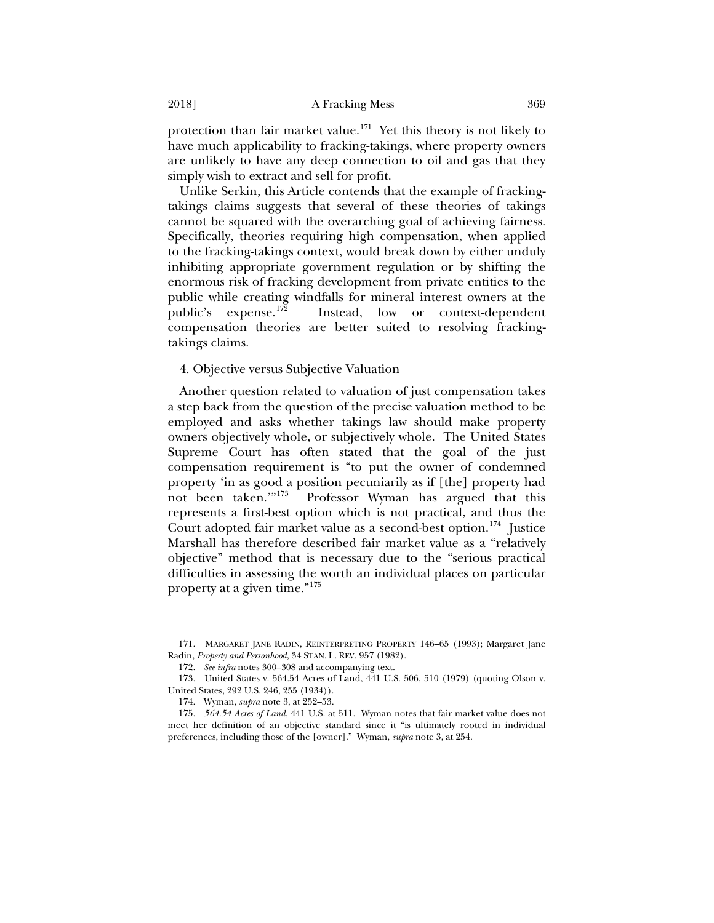protection than fair market value.<sup>171</sup> Yet this theory is not likely to have much applicability to fracking-takings, where property owners are unlikely to have any deep connection to oil and gas that they simply wish to extract and sell for profit.

Unlike Serkin, this Article contends that the example of frackingtakings claims suggests that several of these theories of takings cannot be squared with the overarching goal of achieving fairness. Specifically, theories requiring high compensation, when applied to the fracking-takings context, would break down by either unduly inhibiting appropriate government regulation or by shifting the enormous risk of fracking development from private entities to the public while creating windfalls for mineral interest owners at the public's expense.<sup>172</sup> Instead, low or context-dependent compensation theories are better suited to resolving frackingtakings claims.

#### 4. Objective versus Subjective Valuation

Another question related to valuation of just compensation takes a step back from the question of the precise valuation method to be employed and asks whether takings law should make property owners objectively whole, or subjectively whole. The United States Supreme Court has often stated that the goal of the just compensation requirement is "to put the owner of condemned property 'in as good a position pecuniarily as if [the] property had not been taken.'"[173](#page-34-2) Professor Wyman has argued that this represents a first-best option which is not practical, and thus the Court adopted fair market value as a second-best option.<sup>174</sup> Justice Marshall has therefore described fair market value as a "relatively objective" method that is necessary due to the "serious practical difficulties in assessing the worth an individual places on particular property at a given time."[175](#page-34-4)

<span id="page-34-0"></span>171. MARGARET JANE RADIN, REINTERPRETING PROPERTY 146–65 (1993); Margaret Jane Radin, *Property and Personhood*, 34 STAN. L. REV. 957 (1982).

172. *See infra* note[s 300](#page-60-0)[–308](#page-63-0) and accompanying text.

<span id="page-34-2"></span><span id="page-34-1"></span>173. United States v. 564.54 Acres of Land, 441 U.S. 506, 510 (1979) (quoting Olson v. United States, 292 U.S. 246, 255 (1934)).

174. Wyman, *supra* not[e 3,](#page-1-4) at 252–53.

<span id="page-34-4"></span><span id="page-34-3"></span>175. *564.54 Acres of Land*, 441 U.S. at 511. Wyman notes that fair market value does not meet her definition of an objective standard since it "is ultimately rooted in individual preferences, including those of the [owner]." Wyman, *supra* not[e 3,](#page-1-4) at 254.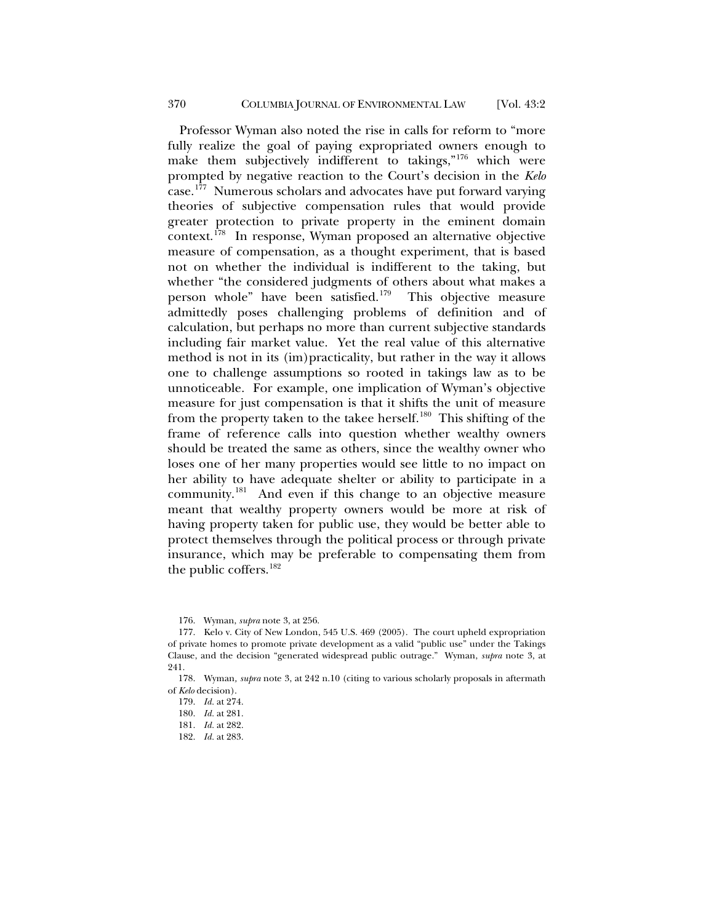Professor Wyman also noted the rise in calls for reform to "more fully realize the goal of paying expropriated owners enough to make them subjectively indifferent to takings," $176$  which were prompted by negative reaction to the Court's decision in the *Kelo*  case.[177](#page-35-1) Numerous scholars and advocates have put forward varying theories of subjective compensation rules that would provide greater protection to private property in the eminent domain context.<sup>178</sup> In response, Wyman proposed an alternative objective measure of compensation, as a thought experiment, that is based not on whether the individual is indifferent to the taking, but whether "the considered judgments of others about what makes a person whole" have been satisfied.[179](#page-35-3) This objective measure admittedly poses challenging problems of definition and of calculation, but perhaps no more than current subjective standards including fair market value. Yet the real value of this alternative method is not in its (im)practicality, but rather in the way it allows one to challenge assumptions so rooted in takings law as to be unnoticeable. For example, one implication of Wyman's objective measure for just compensation is that it shifts the unit of measure from the property taken to the takee herself.<sup>[180](#page-35-4)</sup> This shifting of the frame of reference calls into question whether wealthy owners should be treated the same as others, since the wealthy owner who loses one of her many properties would see little to no impact on her ability to have adequate shelter or ability to participate in a community.[181](#page-35-5) And even if this change to an objective measure meant that wealthy property owners would be more at risk of having property taken for public use, they would be better able to protect themselves through the political process or through private insurance, which may be preferable to compensating them from the public coffers.<sup>[182](#page-35-6)</sup>

176. Wyman, *supra* not[e 3,](#page-1-4) at 256.

- <span id="page-35-1"></span><span id="page-35-0"></span>177. Kelo v. City of New London, 545 U.S. 469 (2005). The court upheld expropriation of private homes to promote private development as a valid "public use" under the Takings Clause, and the decision "generated widespread public outrage." Wyman, *supra* note [3,](#page-1-4) at 241.
- <span id="page-35-6"></span><span id="page-35-5"></span><span id="page-35-4"></span><span id="page-35-3"></span><span id="page-35-2"></span>178. Wyman*, supra* note [3,](#page-1-4) at 242 n.10 (citing to various scholarly proposals in aftermath of *Kelo* decision).

<sup>179.</sup> *Id.* at 274.

<sup>180.</sup> *Id.* at 281.

<sup>181.</sup> *Id.* at 282.

<sup>182.</sup> *Id.* at 283.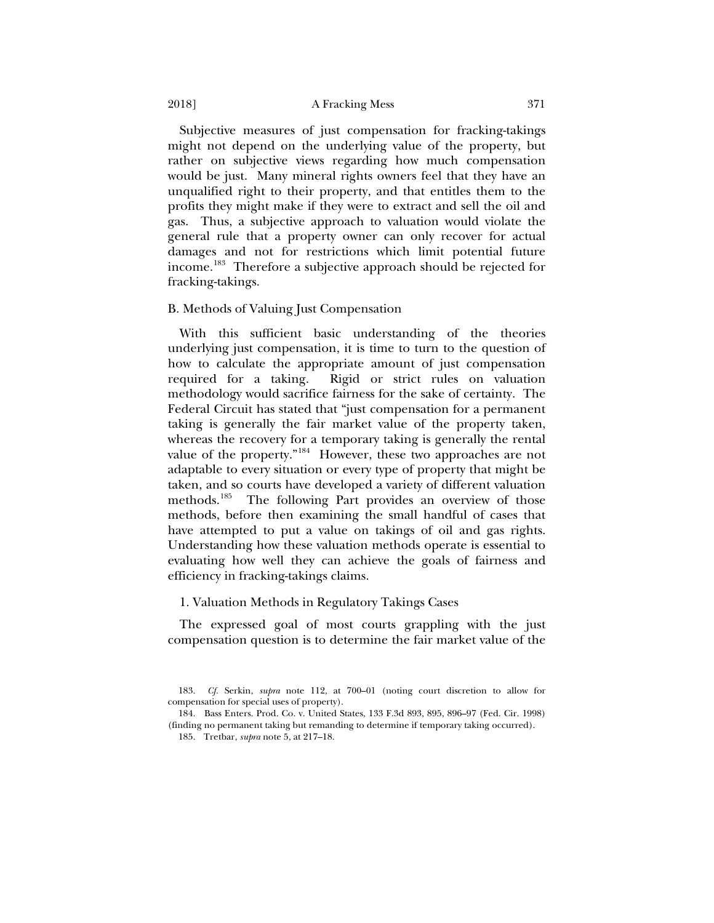Subjective measures of just compensation for fracking-takings might not depend on the underlying value of the property, but rather on subjective views regarding how much compensation would be just. Many mineral rights owners feel that they have an unqualified right to their property, and that entitles them to the profits they might make if they were to extract and sell the oil and gas. Thus, a subjective approach to valuation would violate the general rule that a property owner can only recover for actual damages and not for restrictions which limit potential future income.<sup>[183](#page-36-0)</sup> Therefore a subjective approach should be rejected for fracking-takings.

# B. Methods of Valuing Just Compensation

With this sufficient basic understanding of the theories underlying just compensation, it is time to turn to the question of how to calculate the appropriate amount of just compensation required for a taking. Rigid or strict rules on valuation methodology would sacrifice fairness for the sake of certainty. The Federal Circuit has stated that "just compensation for a permanent taking is generally the fair market value of the property taken, whereas the recovery for a temporary taking is generally the rental value of the property."<sup>184</sup> However, these two approaches are not adaptable to every situation or every type of property that might be taken, and so courts have developed a variety of different valuation methods.[185](#page-36-2) The following Part provides an overview of those methods, before then examining the small handful of cases that have attempted to put a value on takings of oil and gas rights. Understanding how these valuation methods operate is essential to evaluating how well they can achieve the goals of fairness and efficiency in fracking-takings claims.

#### 1. Valuation Methods in Regulatory Takings Cases

The expressed goal of most courts grappling with the just compensation question is to determine the fair market value of the

<span id="page-36-0"></span><sup>183.</sup> *Cf.* Serkin, *supra* note [112,](#page-23-0) at 700–01 (noting court discretion to allow for compensation for special uses of property).

<span id="page-36-2"></span><span id="page-36-1"></span><sup>184.</sup> Bass Enters. Prod. Co. v. United States, 133 F.3d 893, 895, 896–97 (Fed. Cir. 1998) (finding no permanent taking but remanding to determine if temporary taking occurred).

<sup>185.</sup> Tretbar, *supra* not[e 5,](#page-2-0) at 217–18.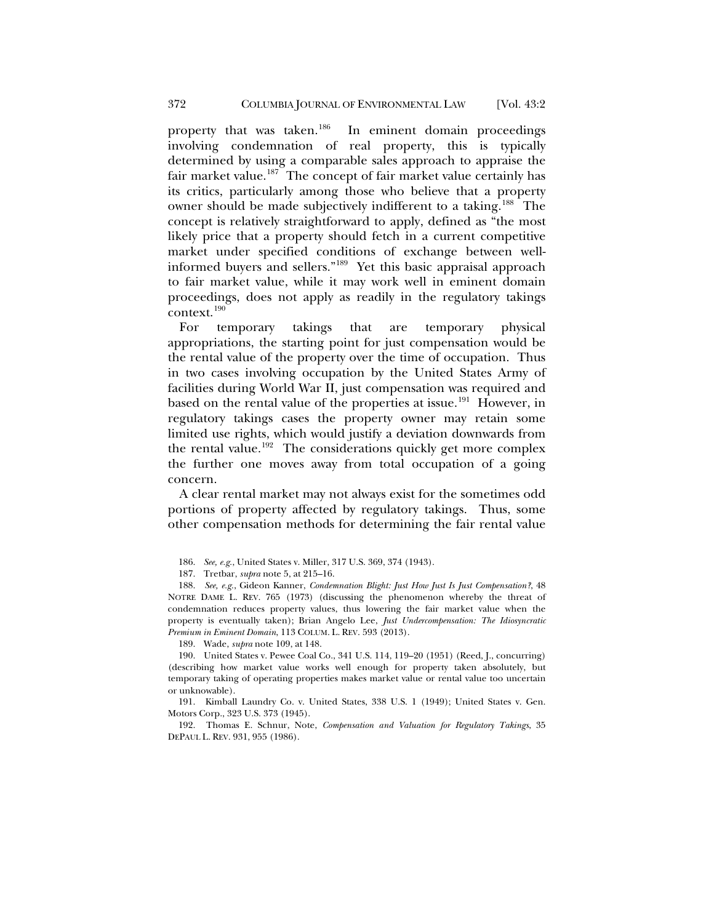property that was taken.<sup>[186](#page-37-0)</sup> In eminent domain proceedings involving condemnation of real property, this is typically determined by using a comparable sales approach to appraise the fair market value.<sup>[187](#page-37-1)</sup> The concept of fair market value certainly has its critics, particularly among those who believe that a property owner should be made subjectively indifferent to a taking.<sup>188</sup> The concept is relatively straightforward to apply, defined as "the most likely price that a property should fetch in a current competitive market under specified conditions of exchange between wellinformed buyers and sellers."[189](#page-37-3) Yet this basic appraisal approach to fair market value, while it may work well in eminent domain proceedings, does not apply as readily in the regulatory takings context.[190](#page-37-4)

For temporary takings that are temporary physical appropriations, the starting point for just compensation would be the rental value of the property over the time of occupation. Thus in two cases involving occupation by the United States Army of facilities during World War II, just compensation was required and based on the rental value of the properties at issue.<sup>[191](#page-37-5)</sup> However, in regulatory takings cases the property owner may retain some limited use rights, which would justify a deviation downwards from the rental value.<sup>192</sup> The considerations quickly get more complex the further one moves away from total occupation of a going concern.

<span id="page-37-7"></span>A clear rental market may not always exist for the sometimes odd portions of property affected by regulatory takings. Thus, some other compensation methods for determining the fair rental value

<span id="page-37-2"></span><span id="page-37-1"></span><span id="page-37-0"></span>188. *See, e.g.*, Gideon Kanner, *Condemnation Blight: Just How Just Is Just Compensation?*, 48 NOTRE DAME L. REV. 765 (1973) (discussing the phenomenon whereby the threat of condemnation reduces property values, thus lowering the fair market value when the property is eventually taken); Brian Angelo Lee, *Just Undercompensation: The Idiosyncratic Premium in Eminent Domain*, 113 COLUM. L. REV. 593 (2013).

189. Wade, *supra* not[e 109,](#page-22-0) at 148.

<span id="page-37-4"></span><span id="page-37-3"></span>190. United States v. Pewee Coal Co., 341 U.S. 114, 119–20 (1951) (Reed, J., concurring) (describing how market value works well enough for property taken absolutely, but temporary taking of operating properties makes market value or rental value too uncertain or unknowable).

<span id="page-37-5"></span>191. Kimball Laundry Co. v. United States, 338 U.S. 1 (1949); United States v. Gen. Motors Corp., 323 U.S. 373 (1945).

<span id="page-37-6"></span>192. Thomas E. Schnur, Note, *Compensation and Valuation for Regulatory Takings*, 35 DEPAUL L. REV. 931, 955 (1986).

<sup>186.</sup> *See, e.g.*, United States v. Miller, 317 U.S. 369, 374 (1943).

<sup>187.</sup> Tretbar, *supra* not[e 5,](#page-2-0) at 215–16.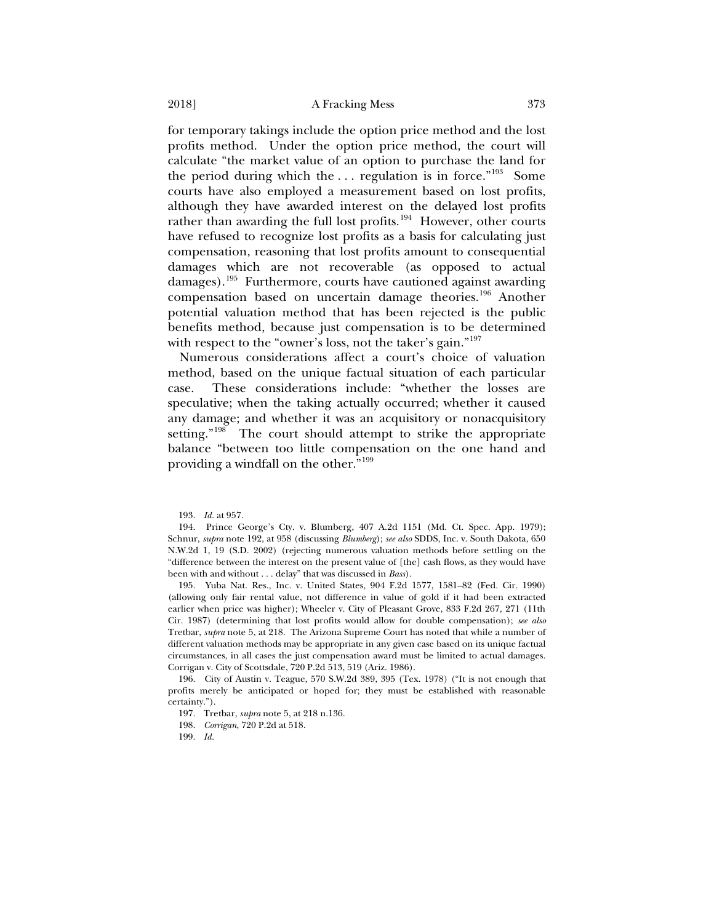<span id="page-38-7"></span>for temporary takings include the option price method and the lost profits method. Under the option price method, the court will calculate "the market value of an option to purchase the land for the period during which the ... regulation is in force."<sup>193</sup> Some courts have also employed a measurement based on lost profits, although they have awarded interest on the delayed lost profits rather than awarding the full lost profits.<sup>[194](#page-38-1)</sup> However, other courts have refused to recognize lost profits as a basis for calculating just compensation, reasoning that lost profits amount to consequential damages which are not recoverable (as opposed to actual damages).[195](#page-38-2) Furthermore, courts have cautioned against awarding compensation based on uncertain damage theories.[196](#page-38-3) Another potential valuation method that has been rejected is the public benefits method, because just compensation is to be determined with respect to the "owner's loss, not the taker's gain."<sup>[197](#page-38-4)</sup>

Numerous considerations affect a court's choice of valuation method, based on the unique factual situation of each particular case. These considerations include: "whether the losses are speculative; when the taking actually occurred; whether it caused any damage; and whether it was an acquisitory or nonacquisitory setting."[198](#page-38-5) The court should attempt to strike the appropriate balance "between too little compensation on the one hand and providing a windfall on the other."[199](#page-38-6)

193. *Id.* at 957.

<span id="page-38-1"></span><span id="page-38-0"></span>194. Prince George's Cty. v. Blumberg, 407 A.2d 1151 (Md. Ct. Spec. App. 1979); Schnur, *supra* note [192,](#page-37-7) at 958 (discussing *Blumberg*); *see also* SDDS, Inc. v. South Dakota, 650 N.W.2d 1, 19 (S.D. 2002) (rejecting numerous valuation methods before settling on the "difference between the interest on the present value of [the] cash flows, as they would have been with and without . . . delay" that was discussed in *Bass*).

<span id="page-38-2"></span>195. Yuba Nat. Res., Inc. v. United States, 904 F.2d 1577, 1581–82 (Fed. Cir. 1990) (allowing only fair rental value, not difference in value of gold if it had been extracted earlier when price was higher); Wheeler v. City of Pleasant Grove, 833 F.2d 267, 271 (11th Cir. 1987) (determining that lost profits would allow for double compensation); *see also* Tretbar, *supra* note [5,](#page-2-0) at 218. The Arizona Supreme Court has noted that while a number of different valuation methods may be appropriate in any given case based on its unique factual circumstances, in all cases the just compensation award must be limited to actual damages. Corrigan v. City of Scottsdale, 720 P.2d 513, 519 (Ariz. 1986).

<span id="page-38-6"></span><span id="page-38-5"></span><span id="page-38-4"></span><span id="page-38-3"></span>196. City of Austin v. Teague, 570 S.W.2d 389, 395 (Tex. 1978) ("It is not enough that profits merely be anticipated or hoped for; they must be established with reasonable certainty.").

197. Tretbar, *supra* not[e 5,](#page-2-0) at 218 n.136.

- 198. *Corrigan*, 720 P.2d at 518.
- 199. *Id.*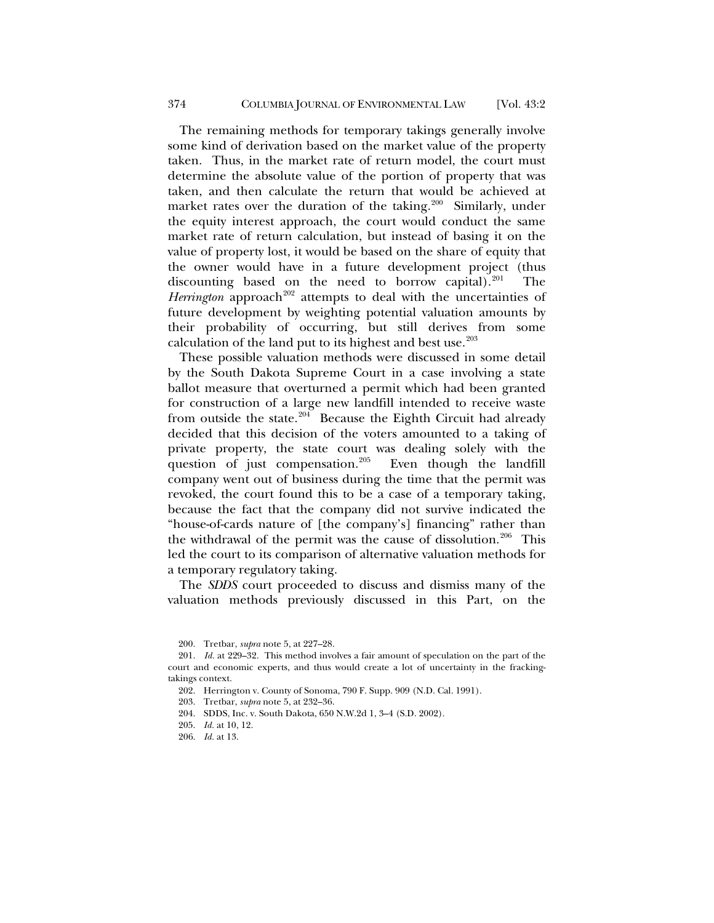The remaining methods for temporary takings generally involve some kind of derivation based on the market value of the property taken. Thus, in the market rate of return model, the court must determine the absolute value of the portion of property that was taken, and then calculate the return that would be achieved at market rates over the duration of the taking.<sup>[200](#page-39-0)</sup> Similarly, under the equity interest approach, the court would conduct the same market rate of return calculation, but instead of basing it on the value of property lost, it would be based on the share of equity that the owner would have in a future development project (thus discounting based on the need to borrow capital).<sup>[201](#page-39-1)</sup> The *Herrington* approach<sup>[202](#page-39-2)</sup> attempts to deal with the uncertainties of future development by weighting potential valuation amounts by their probability of occurring, but still derives from some calculation of the land put to its highest and best use. $203$ 

<span id="page-39-7"></span>These possible valuation methods were discussed in some detail by the South Dakota Supreme Court in a case involving a state ballot measure that overturned a permit which had been granted for construction of a large new landfill intended to receive waste from outside the state.<sup>[204](#page-39-4)</sup> Because the Eighth Circuit had already decided that this decision of the voters amounted to a taking of private property, the state court was dealing solely with the question of just compensation.<sup>[205](#page-39-5)</sup> Even though the landfill company went out of business during the time that the permit was revoked, the court found this to be a case of a temporary taking, because the fact that the company did not survive indicated the "house-of-cards nature of [the company's] financing" rather than the withdrawal of the permit was the cause of dissolution.<sup>[206](#page-39-6)</sup> This led the court to its comparison of alternative valuation methods for a temporary regulatory taking.

The *SDDS* court proceeded to discuss and dismiss many of the valuation methods previously discussed in this Part, on the

<sup>200.</sup> Tretbar, *supra* not[e 5,](#page-2-0) at 227–28.

<span id="page-39-4"></span><span id="page-39-3"></span><span id="page-39-2"></span><span id="page-39-1"></span><span id="page-39-0"></span><sup>201.</sup> *Id.* at 229–32. This method involves a fair amount of speculation on the part of the court and economic experts, and thus would create a lot of uncertainty in the frackingtakings context.

<sup>202.</sup> Herrington v. County of Sonoma, 790 F. Supp. 909 (N.D. Cal. 1991).

<sup>203.</sup> Tretbar, *supra* not[e 5,](#page-2-0) at 232–36.

<sup>204.</sup> SDDS, Inc. v. South Dakota, 650 N.W.2d 1, 3–4 (S.D. 2002).

<span id="page-39-5"></span><sup>205.</sup> *Id.* at 10, 12.

<span id="page-39-6"></span><sup>206.</sup> *Id.* at 13.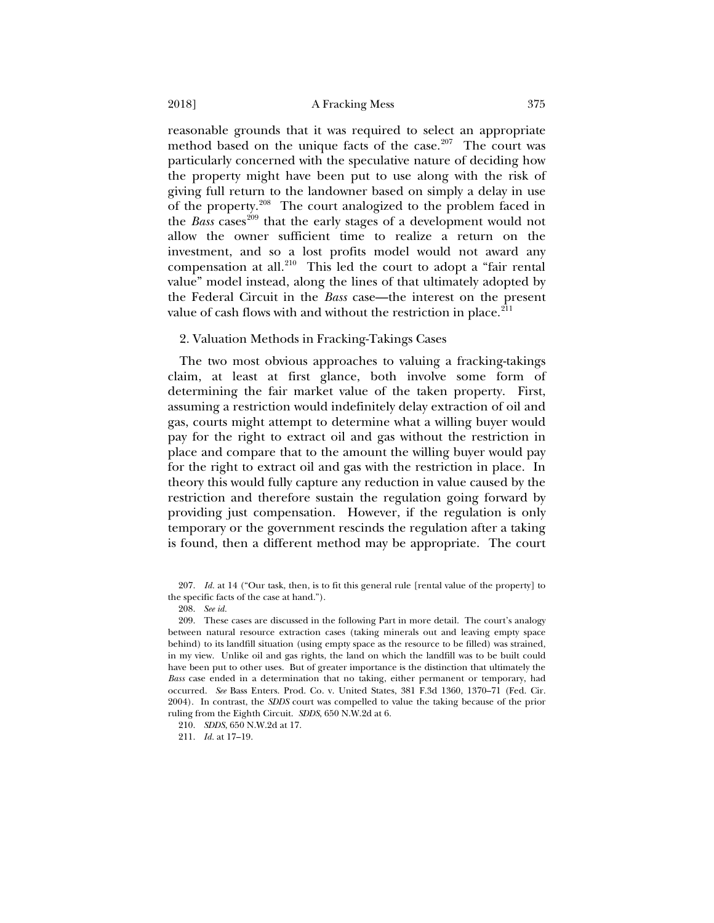reasonable grounds that it was required to select an appropriate method based on the unique facts of the case.<sup>[207](#page-40-0)</sup> The court was particularly concerned with the speculative nature of deciding how the property might have been put to use along with the risk of giving full return to the landowner based on simply a delay in use of the property.[208](#page-40-1) The court analogized to the problem faced in the *Bass* cases<sup>[209](#page-40-2)</sup> that the early stages of a development would not allow the owner sufficient time to realize a return on the investment, and so a lost profits model would not award any compensation at all.<sup>[210](#page-40-3)</sup> This led the court to adopt a "fair rental value" model instead, along the lines of that ultimately adopted by the Federal Circuit in the *Bass* case—the interest on the present value of cash flows with and without the restriction in place.<sup>[211](#page-40-4)</sup>

### 2. Valuation Methods in Fracking-Takings Cases

The two most obvious approaches to valuing a fracking-takings claim, at least at first glance, both involve some form of determining the fair market value of the taken property. First, assuming a restriction would indefinitely delay extraction of oil and gas, courts might attempt to determine what a willing buyer would pay for the right to extract oil and gas without the restriction in place and compare that to the amount the willing buyer would pay for the right to extract oil and gas with the restriction in place. In theory this would fully capture any reduction in value caused by the restriction and therefore sustain the regulation going forward by providing just compensation. However, if the regulation is only temporary or the government rescinds the regulation after a taking is found, then a different method may be appropriate. The court

<span id="page-40-0"></span>207. *Id.* at 14 ("Our task, then, is to fit this general rule [rental value of the property] to the specific facts of the case at hand.").

<span id="page-40-2"></span><span id="page-40-1"></span>209. These cases are discussed in the following Part in more detail. The court's analogy between natural resource extraction cases (taking minerals out and leaving empty space behind) to its landfill situation (using empty space as the resource to be filled) was strained, in my view. Unlike oil and gas rights, the land on which the landfill was to be built could have been put to other uses. But of greater importance is the distinction that ultimately the *Bass* case ended in a determination that no taking, either permanent or temporary, had occurred. *See* Bass Enters. Prod. Co. v. United States, 381 F.3d 1360, 1370–71 (Fed. Cir. 2004). In contrast, the *SDDS* court was compelled to value the taking because of the prior ruling from the Eighth Circuit. *SDDS*, 650 N.W.2d at 6.

<sup>208.</sup> *See id.*

<span id="page-40-3"></span><sup>210.</sup> *SDDS*, 650 N.W.2d at 17.

<span id="page-40-4"></span><sup>211.</sup> *Id.* at 17–19.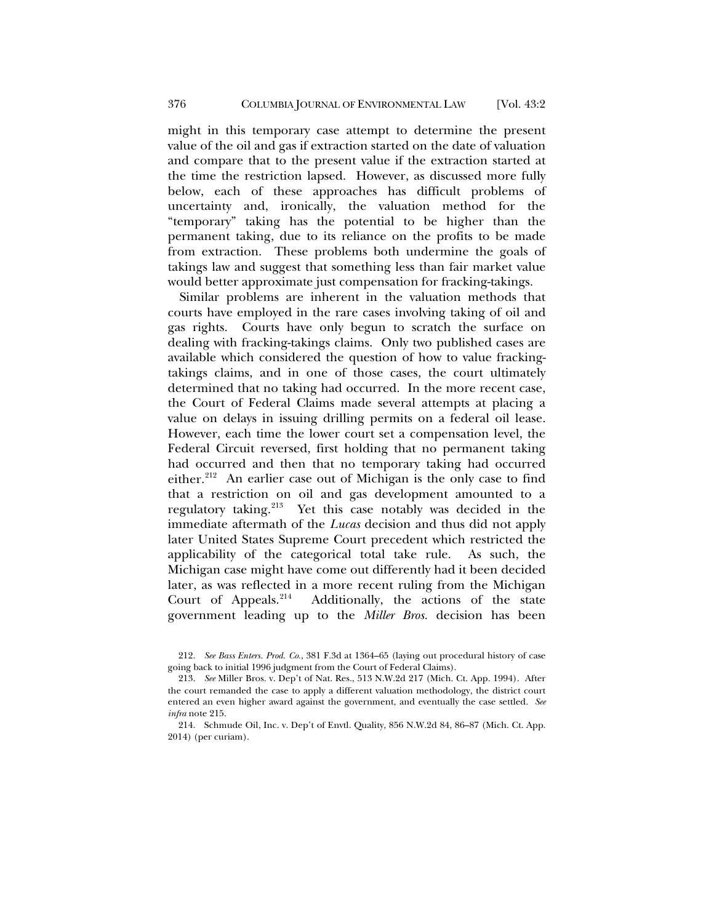might in this temporary case attempt to determine the present value of the oil and gas if extraction started on the date of valuation and compare that to the present value if the extraction started at the time the restriction lapsed. However, as discussed more fully below, each of these approaches has difficult problems of uncertainty and, ironically, the valuation method for the "temporary" taking has the potential to be higher than the permanent taking, due to its reliance on the profits to be made from extraction. These problems both undermine the goals of takings law and suggest that something less than fair market value would better approximate just compensation for fracking-takings.

Similar problems are inherent in the valuation methods that courts have employed in the rare cases involving taking of oil and gas rights. Courts have only begun to scratch the surface on dealing with fracking-takings claims. Only two published cases are available which considered the question of how to value frackingtakings claims, and in one of those cases, the court ultimately determined that no taking had occurred. In the more recent case, the Court of Federal Claims made several attempts at placing a value on delays in issuing drilling permits on a federal oil lease. However, each time the lower court set a compensation level, the Federal Circuit reversed, first holding that no permanent taking had occurred and then that no temporary taking had occurred either.<sup>[212](#page-41-0)</sup> An earlier case out of Michigan is the only case to find that a restriction on oil and gas development amounted to a regulatory taking.[213](#page-41-1) Yet this case notably was decided in the immediate aftermath of the *Lucas* decision and thus did not apply later United States Supreme Court precedent which restricted the applicability of the categorical total take rule. As such, the Michigan case might have come out differently had it been decided later, as was reflected in a more recent ruling from the Michigan Court of Appeals.<sup>[214](#page-41-2)</sup> Additionally, the actions of the state government leading up to the *Miller Bros.* decision has been

<span id="page-41-0"></span><sup>212.</sup> *See Bass Enters. Prod. Co.*, 381 F.3d at 1364–65 (laying out procedural history of case going back to initial 1996 judgment from the Court of Federal Claims).

<span id="page-41-1"></span><sup>213.</sup> *See* Miller Bros. v. Dep't of Nat. Res., 513 N.W.2d 217 (Mich. Ct. App. 1994). After the court remanded the case to apply a different valuation methodology, the district court entered an even higher award against the government, and eventually the case settled. *See infra* not[e 215.](#page-42-0)

<span id="page-41-2"></span><sup>214.</sup> Schmude Oil, Inc. v. Dep't of Envtl. Quality, 856 N.W.2d 84, 86–87 (Mich. Ct. App. 2014) (per curiam).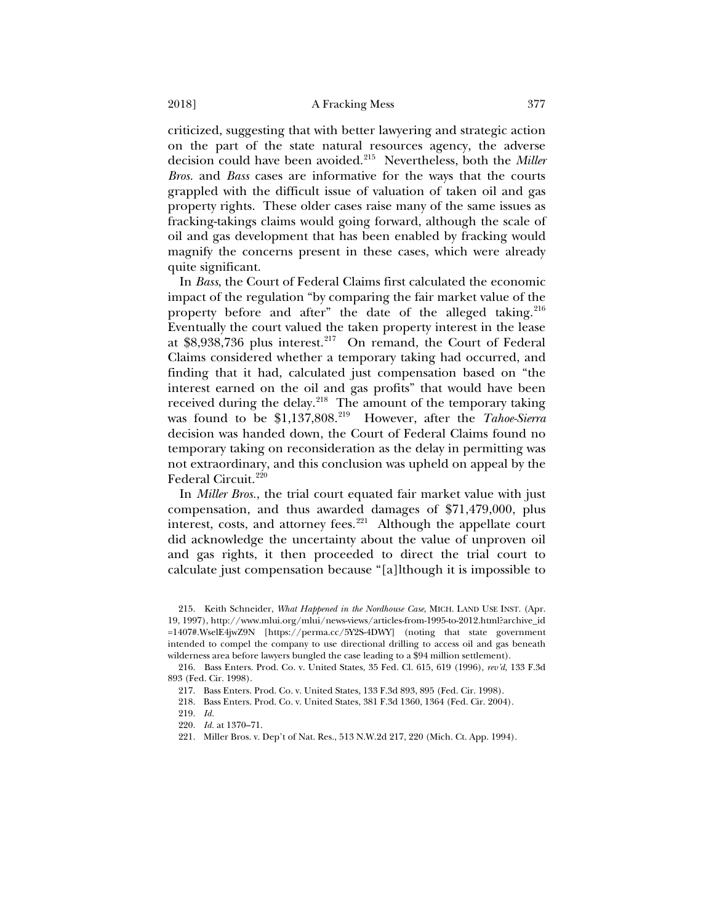<span id="page-42-0"></span>criticized, suggesting that with better lawyering and strategic action on the part of the state natural resources agency, the adverse decision could have been avoided.[215](#page-42-1) Nevertheless, both the *Miller Bros.* and *Bass* cases are informative for the ways that the courts grappled with the difficult issue of valuation of taken oil and gas property rights. These older cases raise many of the same issues as fracking-takings claims would going forward, although the scale of oil and gas development that has been enabled by fracking would magnify the concerns present in these cases, which were already quite significant.

In *Bass*, the Court of Federal Claims first calculated the economic impact of the regulation "by comparing the fair market value of the property before and after" the date of the alleged taking. $216$ Eventually the court valued the taken property interest in the lease at  $$8,938,736$  plus interest.<sup>[217](#page-42-3)</sup> On remand, the Court of Federal Claims considered whether a temporary taking had occurred, and finding that it had, calculated just compensation based on "the interest earned on the oil and gas profits" that would have been received during the delay.<sup>[218](#page-42-4)</sup> The amount of the temporary taking was found to be \$1,137,808.<sup>[219](#page-42-5)</sup> However, after the *Tahoe-Sierra* decision was handed down, the Court of Federal Claims found no temporary taking on reconsideration as the delay in permitting was not extraordinary, and this conclusion was upheld on appeal by the Federal Circuit.<sup>[220](#page-42-6)</sup>

In *Miller Bros.*, the trial court equated fair market value with just compensation, and thus awarded damages of \$71,479,000, plus interest, costs, and attorney fees. $221$  Although the appellate court did acknowledge the uncertainty about the value of unproven oil and gas rights, it then proceeded to direct the trial court to calculate just compensation because "[a]lthough it is impossible to

<span id="page-42-1"></span><sup>215.</sup> Keith Schneider, *What Happened in the Nordhouse Case*, MICH. LAND USE INST. (Apr. 19, 1997), http://www.mlui.org/mlui/news-views/articles-from-1995-to-2012.html?archive\_id =1407#.WselE4jwZ9N [https://perma.cc/5Y2S-4DWY] (noting that state government intended to compel the company to use directional drilling to access oil and gas beneath wilderness area before lawyers bungled the case leading to a \$94 million settlement).

<span id="page-42-6"></span><span id="page-42-5"></span><span id="page-42-4"></span><span id="page-42-3"></span><span id="page-42-2"></span><sup>216.</sup> Bass Enters. Prod. Co. v. United States, 35 Fed. Cl. 615, 619 (1996), *rev'd*, 133 F.3d 893 (Fed. Cir. 1998).

<sup>217.</sup> Bass Enters. Prod. Co. v. United States, 133 F.3d 893, 895 (Fed. Cir. 1998).

<sup>218.</sup> Bass Enters. Prod. Co. v. United States, 381 F.3d 1360, 1364 (Fed. Cir. 2004).

<sup>219.</sup> *Id.*

<sup>220.</sup> *Id.* at 1370–71.

<span id="page-42-7"></span><sup>221.</sup> Miller Bros. v. Dep't of Nat. Res., 513 N.W.2d 217, 220 (Mich. Ct. App. 1994).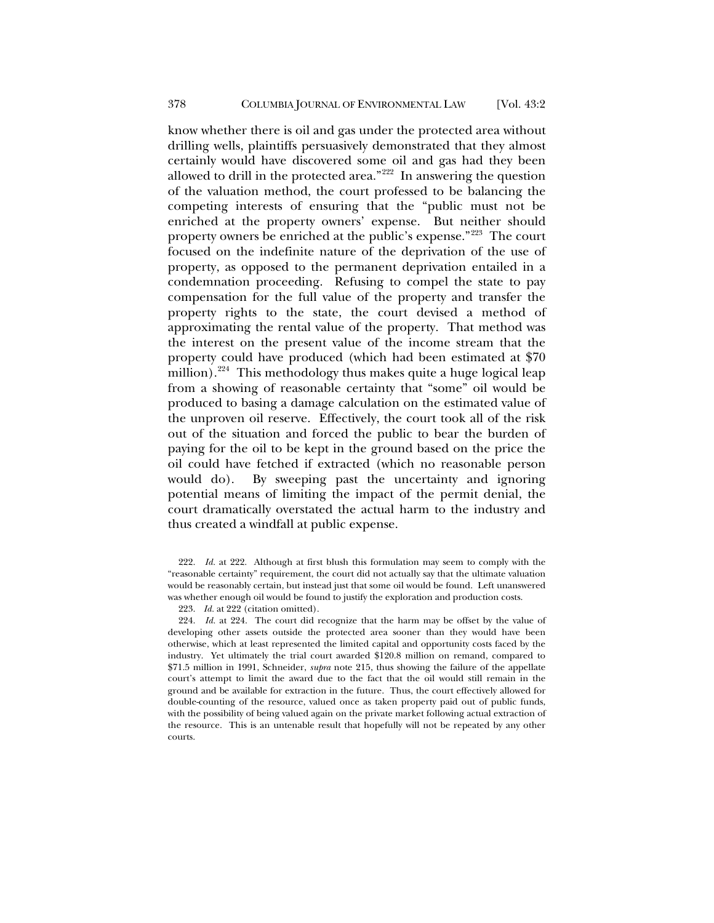know whether there is oil and gas under the protected area without drilling wells, plaintiffs persuasively demonstrated that they almost certainly would have discovered some oil and gas had they been allowed to drill in the protected area."[222](#page-43-0) In answering the question of the valuation method, the court professed to be balancing the competing interests of ensuring that the "public must not be enriched at the property owners' expense. But neither should property owners be enriched at the public's expense."[223](#page-43-1) The court focused on the indefinite nature of the deprivation of the use of property, as opposed to the permanent deprivation entailed in a condemnation proceeding. Refusing to compel the state to pay compensation for the full value of the property and transfer the property rights to the state, the court devised a method of approximating the rental value of the property. That method was the interest on the present value of the income stream that the property could have produced (which had been estimated at \$70 million).<sup>224</sup> This methodology thus makes quite a huge logical leap from a showing of reasonable certainty that "some" oil would be produced to basing a damage calculation on the estimated value of the unproven oil reserve. Effectively, the court took all of the risk out of the situation and forced the public to bear the burden of paying for the oil to be kept in the ground based on the price the oil could have fetched if extracted (which no reasonable person would do). By sweeping past the uncertainty and ignoring potential means of limiting the impact of the permit denial, the court dramatically overstated the actual harm to the industry and thus created a windfall at public expense.

<span id="page-43-0"></span>222. *Id.* at 222. Although at first blush this formulation may seem to comply with the "reasonable certainty" requirement, the court did not actually say that the ultimate valuation would be reasonably certain, but instead just that some oil would be found. Left unanswered was whether enough oil would be found to justify the exploration and production costs.

223. *Id.* at 222 (citation omitted).

<span id="page-43-2"></span><span id="page-43-1"></span>224. *Id.* at 224. The court did recognize that the harm may be offset by the value of developing other assets outside the protected area sooner than they would have been otherwise, which at least represented the limited capital and opportunity costs faced by the industry. Yet ultimately the trial court awarded \$120.8 million on remand, compared to \$71.5 million in 1991, Schneider, *supra* note [215,](#page-42-0) thus showing the failure of the appellate court's attempt to limit the award due to the fact that the oil would still remain in the ground and be available for extraction in the future. Thus, the court effectively allowed for double-counting of the resource, valued once as taken property paid out of public funds, with the possibility of being valued again on the private market following actual extraction of the resource. This is an untenable result that hopefully will not be repeated by any other courts.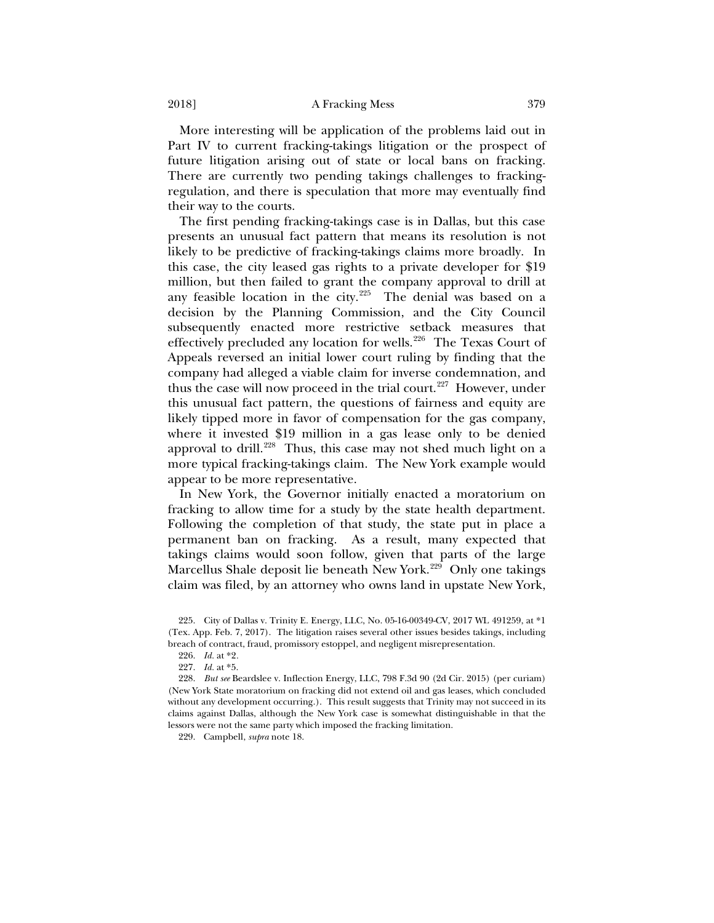More interesting will be application of the problems laid out in Part IV to current fracking-takings litigation or the prospect of future litigation arising out of state or local bans on fracking. There are currently two pending takings challenges to frackingregulation, and there is speculation that more may eventually find their way to the courts.

<span id="page-44-5"></span>The first pending fracking-takings case is in Dallas, but this case presents an unusual fact pattern that means its resolution is not likely to be predictive of fracking-takings claims more broadly. In this case, the city leased gas rights to a private developer for \$19 million, but then failed to grant the company approval to drill at any feasible location in the city.<sup>[225](#page-44-0)</sup> The denial was based on a decision by the Planning Commission, and the City Council subsequently enacted more restrictive setback measures that effectively precluded any location for wells.<sup>226</sup> The Texas Court of Appeals reversed an initial lower court ruling by finding that the company had alleged a viable claim for inverse condemnation, and thus the case will now proceed in the trial court.<sup>227</sup> However, under this unusual fact pattern, the questions of fairness and equity are likely tipped more in favor of compensation for the gas company, where it invested \$19 million in a gas lease only to be denied approval to drill.<sup>[228](#page-44-3)</sup> Thus, this case may not shed much light on a more typical fracking-takings claim. The New York example would appear to be more representative.

In New York, the Governor initially enacted a moratorium on fracking to allow time for a study by the state health department. Following the completion of that study, the state put in place a permanent ban on fracking. As a result, many expected that takings claims would soon follow, given that parts of the large Marcellus Shale deposit lie beneath New York.<sup>[229](#page-44-4)</sup> Only one takings claim was filed, by an attorney who owns land in upstate New York,

229. Campbell, *supra* not[e 18.](#page-6-0)

<span id="page-44-0"></span><sup>225.</sup> City of Dallas v. Trinity E. Energy, LLC, No. 05-16-00349-CV, 2017 WL 491259, at \*1 (Tex. App. Feb. 7, 2017). The litigation raises several other issues besides takings, including breach of contract, fraud, promissory estoppel, and negligent misrepresentation.

<sup>226.</sup> *Id.* at \*2*.*

<sup>227.</sup> *Id.* at \*5.

<span id="page-44-4"></span><span id="page-44-3"></span><span id="page-44-2"></span><span id="page-44-1"></span><sup>228.</sup> *But see* Beardslee v. Inflection Energy, LLC, 798 F.3d 90 (2d Cir. 2015) (per curiam) (New York State moratorium on fracking did not extend oil and gas leases, which concluded without any development occurring.). This result suggests that Trinity may not succeed in its claims against Dallas, although the New York case is somewhat distinguishable in that the lessors were not the same party which imposed the fracking limitation.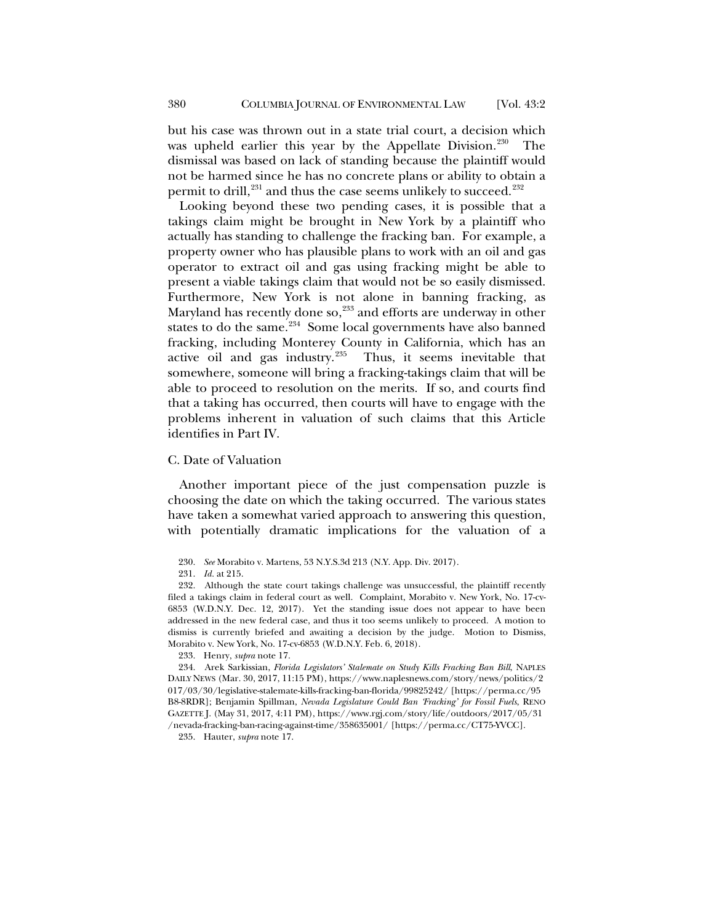but his case was thrown out in a state trial court, a decision which was upheld earlier this year by the Appellate Division.<sup>[230](#page-45-0)</sup> The dismissal was based on lack of standing because the plaintiff would not be harmed since he has no concrete plans or ability to obtain a permit to drill, $^{231}$  $^{231}$  $^{231}$  and thus the case seems unlikely to succeed. $^{232}$  $^{232}$  $^{232}$ 

Looking beyond these two pending cases, it is possible that a takings claim might be brought in New York by a plaintiff who actually has standing to challenge the fracking ban. For example, a property owner who has plausible plans to work with an oil and gas operator to extract oil and gas using fracking might be able to present a viable takings claim that would not be so easily dismissed. Furthermore, New York is not alone in banning fracking, as Maryland has recently done so,<sup>[233](#page-45-3)</sup> and efforts are underway in other states to do the same.<sup>234</sup> Some local governments have also banned fracking, including Monterey County in California, which has an active oil and gas industry. $235$  Thus, it seems inevitable that somewhere, someone will bring a fracking-takings claim that will be able to proceed to resolution on the merits. If so, and courts find that a taking has occurred, then courts will have to engage with the problems inherent in valuation of such claims that this Article identifies in Part IV.

# <span id="page-45-6"></span>C. Date of Valuation

Another important piece of the just compensation puzzle is choosing the date on which the taking occurred. The various states have taken a somewhat varied approach to answering this question, with potentially dramatic implications for the valuation of a

<span id="page-45-2"></span><span id="page-45-1"></span><span id="page-45-0"></span>232. Although the state court takings challenge was unsuccessful, the plaintiff recently filed a takings claim in federal court as well. Complaint, Morabito v. New York, No. 17-cv-6853 (W.D.N.Y. Dec. 12, 2017). Yet the standing issue does not appear to have been addressed in the new federal case, and thus it too seems unlikely to proceed. A motion to dismiss is currently briefed and awaiting a decision by the judge. Motion to Dismiss, Morabito v. New York, No. 17-cv-6853 (W.D.N.Y. Feb. 6, 2018).

233. Henry, *supra* not[e 17.](#page-5-0)

<span id="page-45-4"></span><span id="page-45-3"></span>234. Arek Sarkissian, *Florida Legislators' Stalemate on Study Kills Fracking Ban Bill*, NAPLES DAILY NEWS (Mar. 30, 2017, 11:15 PM), https://www.naplesnews.com/story/news/politics/2 017/03/30/legislative-stalemate-kills-fracking-ban-florida/99825242/ [https://perma.cc/95 B8-8RDR]; Benjamin Spillman, *Nevada Legislature Could Ban 'Fracking' for Fossil Fuels*, RENO GAZETTE J. (May 31, 2017, 4:11 PM), https://www.rgj.com/story/life/outdoors/2017/05/31 /nevada-fracking-ban-racing-against-time/358635001/ [https://perma.cc/CT75-YVCC].

<span id="page-45-5"></span>235. Hauter, *supra* not[e 17.](#page-5-0)

<sup>230.</sup> *See* Morabito v. Martens, 53 N.Y.S.3d 213 (N.Y. App. Div. 2017).

<sup>231.</sup> *Id.* at 215.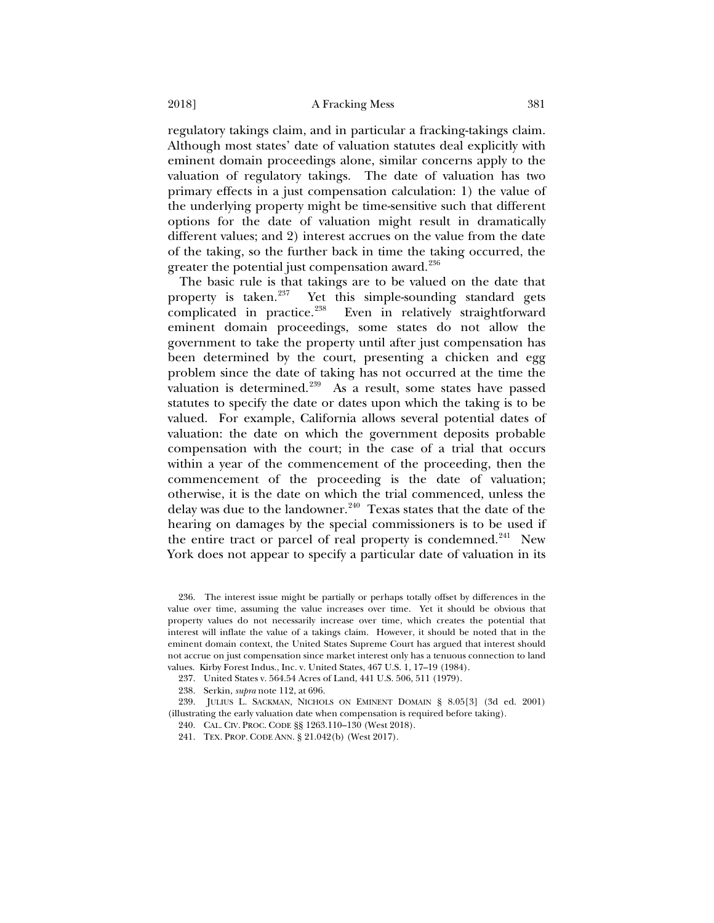regulatory takings claim, and in particular a fracking-takings claim. Although most states' date of valuation statutes deal explicitly with eminent domain proceedings alone, similar concerns apply to the valuation of regulatory takings. The date of valuation has two primary effects in a just compensation calculation: 1) the value of the underlying property might be time-sensitive such that different options for the date of valuation might result in dramatically different values; and 2) interest accrues on the value from the date of the taking, so the further back in time the taking occurred, the greater the potential just compensation award. $^{236}$  $^{236}$  $^{236}$ 

The basic rule is that takings are to be valued on the date that property is taken. $237$  Yet this simple-sounding standard gets complicated in practice.<sup>238</sup> Even in relatively straightforward eminent domain proceedings, some states do not allow the government to take the property until after just compensation has been determined by the court, presenting a chicken and egg problem since the date of taking has not occurred at the time the valuation is determined.<sup>[239](#page-46-3)</sup> As a result, some states have passed statutes to specify the date or dates upon which the taking is to be valued. For example, California allows several potential dates of valuation: the date on which the government deposits probable compensation with the court; in the case of a trial that occurs within a year of the commencement of the proceeding, then the commencement of the proceeding is the date of valuation; otherwise, it is the date on which the trial commenced, unless the delay was due to the landowner.<sup>240</sup> Texas states that the date of the hearing on damages by the special commissioners is to be used if the entire tract or parcel of real property is condemned.<sup>[241](#page-46-5)</sup> New York does not appear to specify a particular date of valuation in its

237. United States v. 564.54 Acres of Land, 441 U.S. 506, 511 (1979).

<span id="page-46-5"></span><span id="page-46-4"></span><span id="page-46-3"></span><span id="page-46-2"></span><span id="page-46-1"></span>239. JULIUS L. SACKMAN, NICHOLS ON EMINENT DOMAIN § 8.05[3] (3d ed. 2001) (illustrating the early valuation date when compensation is required before taking).

<span id="page-46-0"></span><sup>236.</sup> The interest issue might be partially or perhaps totally offset by differences in the value over time, assuming the value increases over time. Yet it should be obvious that property values do not necessarily increase over time, which creates the potential that interest will inflate the value of a takings claim. However, it should be noted that in the eminent domain context, the United States Supreme Court has argued that interest should not accrue on just compensation since market interest only has a tenuous connection to land values. Kirby Forest Indus., Inc. v. United States, 467 U.S. 1, 17–19 (1984).

<sup>238.</sup> Serkin, *supra* not[e 112,](#page-23-0) at 696.

<sup>240.</sup> CAL. CIV. PROC. CODE §§ 1263.110–130 (West 2018).

<sup>241.</sup> TEX. PROP. CODE ANN. § 21.042(b) (West 2017).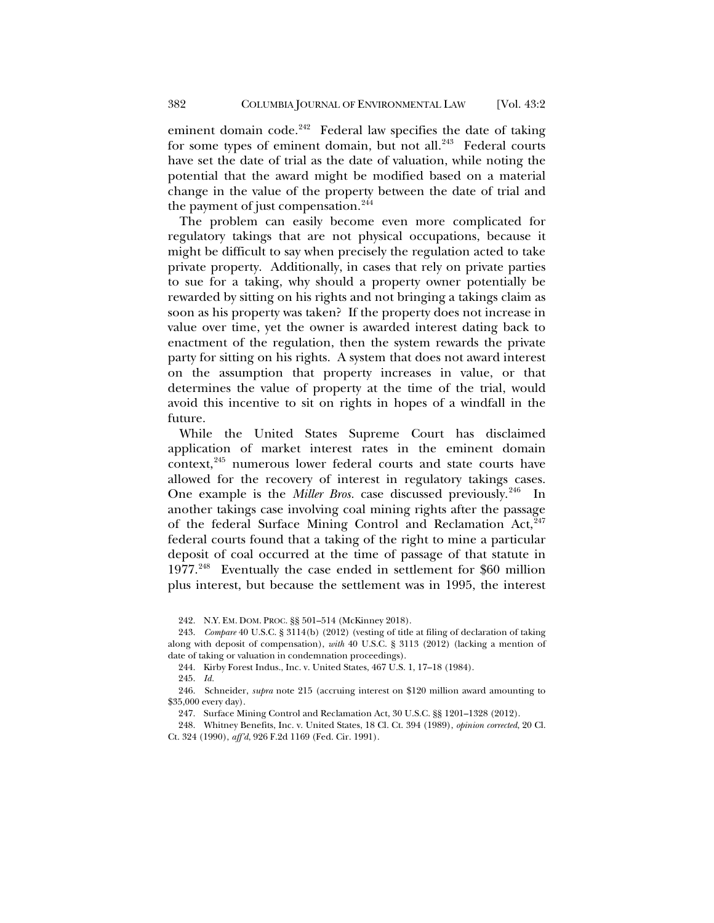eminent domain code.<sup>[242](#page-47-0)</sup> Federal law specifies the date of taking for some types of eminent domain, but not all.<sup>[243](#page-47-1)</sup> Federal courts have set the date of trial as the date of valuation, while noting the potential that the award might be modified based on a material change in the value of the property between the date of trial and the payment of just compensation.<sup>[244](#page-47-2)</sup>

The problem can easily become even more complicated for regulatory takings that are not physical occupations, because it might be difficult to say when precisely the regulation acted to take private property. Additionally, in cases that rely on private parties to sue for a taking, why should a property owner potentially be rewarded by sitting on his rights and not bringing a takings claim as soon as his property was taken? If the property does not increase in value over time, yet the owner is awarded interest dating back to enactment of the regulation, then the system rewards the private party for sitting on his rights. A system that does not award interest on the assumption that property increases in value, or that determines the value of property at the time of the trial, would avoid this incentive to sit on rights in hopes of a windfall in the future.

While the United States Supreme Court has disclaimed application of market interest rates in the eminent domain context,<sup>245</sup> numerous lower federal courts and state courts have allowed for the recovery of interest in regulatory takings cases. One example is the *Miller Bros.* case discussed previously.<sup>246</sup> In another takings case involving coal mining rights after the passage of the federal Surface Mining Control and Reclamation Act,<sup>[247](#page-47-5)</sup> federal courts found that a taking of the right to mine a particular deposit of coal occurred at the time of passage of that statute in 1977.<sup>[248](#page-47-6)</sup> Eventually the case ended in settlement for \$60 million plus interest, but because the settlement was in 1995, the interest

242. N.Y. EM. DOM. PROC. §§ 501–514 (McKinney 2018).

<span id="page-47-1"></span><span id="page-47-0"></span>243. *Compare* 40 U.S.C. § 3114(b) (2012) (vesting of title at filing of declaration of taking along with deposit of compensation), *with* 40 U.S.C. § 3113 (2012) (lacking a mention of date of taking or valuation in condemnation proceedings).

244. Kirby Forest Indus., Inc. v. United States, 467 U.S. 1, 17–18 (1984).

245. *Id.*

<span id="page-47-4"></span><span id="page-47-3"></span><span id="page-47-2"></span>246. Schneider, *supra* note [215](#page-42-0) (accruing interest on \$120 million award amounting to \$35,000 every day).

247. Surface Mining Control and Reclamation Act, 30 U.S.C. §§ 1201–1328 (2012).

<span id="page-47-6"></span><span id="page-47-5"></span>248. Whitney Benefits, Inc. v. United States, 18 Cl. Ct. 394 (1989), *opinion corrected*, 20 Cl. Ct. 324 (1990), *aff'd*, 926 F.2d 1169 (Fed. Cir. 1991).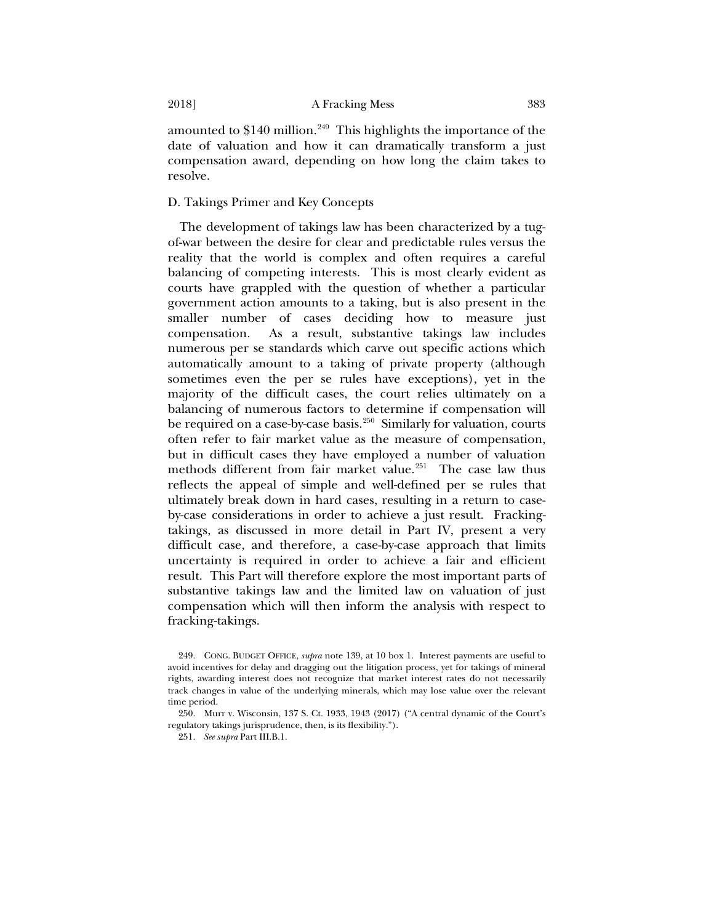amounted to  $$140$  million.<sup>[249](#page-48-0)</sup> This highlights the importance of the date of valuation and how it can dramatically transform a just compensation award, depending on how long the claim takes to resolve.

### D. Takings Primer and Key Concepts

The development of takings law has been characterized by a tugof-war between the desire for clear and predictable rules versus the reality that the world is complex and often requires a careful balancing of competing interests. This is most clearly evident as courts have grappled with the question of whether a particular government action amounts to a taking, but is also present in the smaller number of cases deciding how to measure just compensation. As a result, substantive takings law includes numerous per se standards which carve out specific actions which automatically amount to a taking of private property (although sometimes even the per se rules have exceptions), yet in the majority of the difficult cases, the court relies ultimately on a balancing of numerous factors to determine if compensation will be required on a case-by-case basis.<sup>[250](#page-48-1)</sup> Similarly for valuation, courts often refer to fair market value as the measure of compensation, but in difficult cases they have employed a number of valuation methods different from fair market value.<sup>[251](#page-48-2)</sup> The case law thus reflects the appeal of simple and well-defined per se rules that ultimately break down in hard cases, resulting in a return to caseby-case considerations in order to achieve a just result. Frackingtakings, as discussed in more detail in Part IV, present a very difficult case, and therefore, a case-by-case approach that limits uncertainty is required in order to achieve a fair and efficient result. This Part will therefore explore the most important parts of substantive takings law and the limited law on valuation of just compensation which will then inform the analysis with respect to fracking-takings.

<span id="page-48-0"></span><sup>249.</sup> CONG. BUDGET OFFICE, *supra* not[e 139,](#page-28-0) at 10 box 1. Interest payments are useful to avoid incentives for delay and dragging out the litigation process, yet for takings of mineral rights, awarding interest does not recognize that market interest rates do not necessarily track changes in value of the underlying minerals, which may lose value over the relevant time period.

<span id="page-48-2"></span><span id="page-48-1"></span><sup>250.</sup> Murr v. Wisconsin, 137 S. Ct. 1933, 1943 (2017) ("A central dynamic of the Court's regulatory takings jurisprudence, then, is its flexibility.").

<sup>251.</sup> *See supra* Part III.B.1.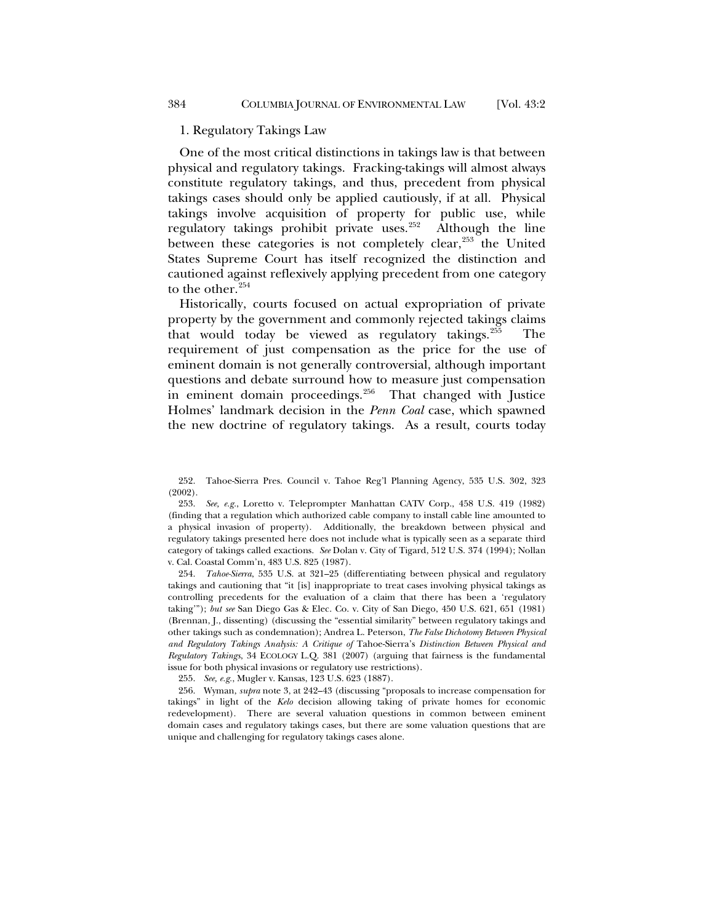#### 1. Regulatory Takings Law

One of the most critical distinctions in takings law is that between physical and regulatory takings. Fracking-takings will almost always constitute regulatory takings, and thus, precedent from physical takings cases should only be applied cautiously, if at all. Physical takings involve acquisition of property for public use, while regulatory takings prohibit private uses.[252](#page-49-0) Although the line between these categories is not completely clear,<sup>[253](#page-49-1)</sup> the United States Supreme Court has itself recognized the distinction and cautioned against reflexively applying precedent from one category to the other.<sup>[254](#page-49-2)</sup>

Historically, courts focused on actual expropriation of private property by the government and commonly rejected takings claims that would today be viewed as regulatory takings.<sup>255</sup> The requirement of just compensation as the price for the use of eminent domain is not generally controversial, although important questions and debate surround how to measure just compensation in eminent domain proceedings. $256$  That changed with Justice Holmes' landmark decision in the *Penn Coal* case, which spawned the new doctrine of regulatory takings. As a result, courts today

<span id="page-49-2"></span>254. *Tahoe-Sierra*, 535 U.S. at 321–25 (differentiating between physical and regulatory takings and cautioning that "it [is] inappropriate to treat cases involving physical takings as controlling precedents for the evaluation of a claim that there has been a 'regulatory taking'"); *but see* San Diego Gas & Elec. Co. v. City of San Diego, 450 U.S. 621, 651 (1981) (Brennan, J., dissenting) (discussing the "essential similarity" between regulatory takings and other takings such as condemnation); Andrea L. Peterson, *The False Dichotomy Between Physical and Regulatory Takings Analysis: A Critique of* Tahoe-Sierra's *Distinction Between Physical and Regulatory Takings*, 34 ECOLOGY L.Q. 381 (2007) (arguing that fairness is the fundamental issue for both physical invasions or regulatory use restrictions).

255. *See, e.g.*, Mugler v. Kansas, 123 U.S. 623 (1887).

<span id="page-49-4"></span><span id="page-49-3"></span>256. Wyman, *supra* not[e 3,](#page-1-0) at 242–43 (discussing "proposals to increase compensation for takings" in light of the *Kelo* decision allowing taking of private homes for economic redevelopment). There are several valuation questions in common between eminent domain cases and regulatory takings cases, but there are some valuation questions that are unique and challenging for regulatory takings cases alone.

<span id="page-49-0"></span><sup>252.</sup> Tahoe-Sierra Pres. Council v. Tahoe Reg'l Planning Agency, 535 U.S. 302, 323 (2002).

<span id="page-49-1"></span><sup>253.</sup> *See, e.g.*, Loretto v. Teleprompter Manhattan CATV Corp., 458 U.S. 419 (1982) (finding that a regulation which authorized cable company to install cable line amounted to a physical invasion of property). Additionally, the breakdown between physical and regulatory takings presented here does not include what is typically seen as a separate third category of takings called exactions. *See* Dolan v. City of Tigard, 512 U.S. 374 (1994); Nollan v. Cal. Coastal Comm'n, 483 U.S. 825 (1987).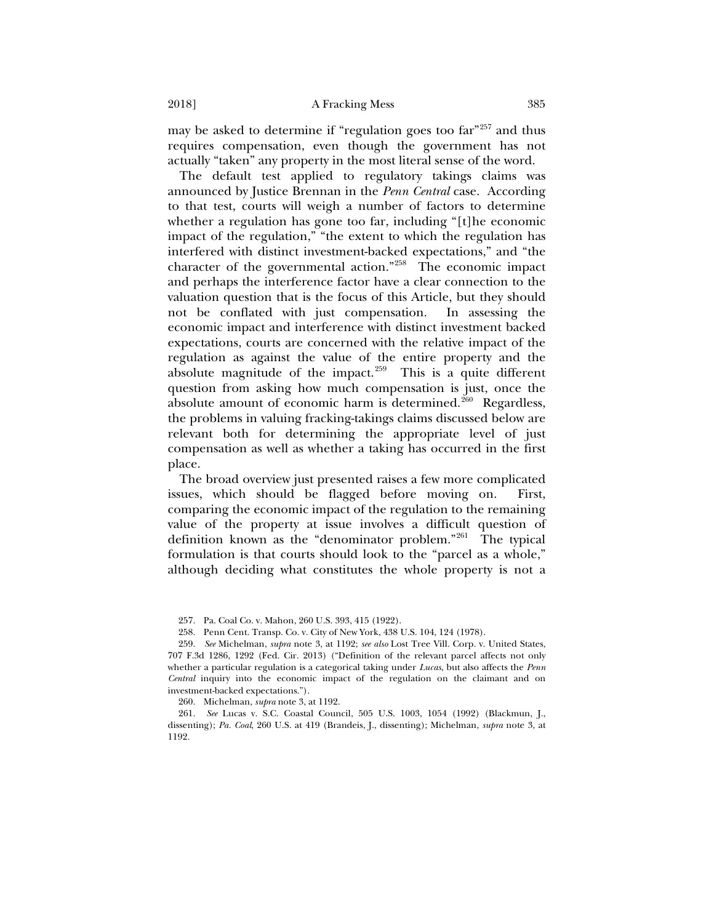may be asked to determine if "regulation goes too far"[257](#page-50-0) and thus requires compensation, even though the government has not actually "taken" any property in the most literal sense of the word.

The default test applied to regulatory takings claims was announced by Justice Brennan in the *Penn Central* case. According to that test, courts will weigh a number of factors to determine whether a regulation has gone too far, including "[t]he economic impact of the regulation," "the extent to which the regulation has interfered with distinct investment-backed expectations," and "the character of the governmental action."[258](#page-50-1) The economic impact and perhaps the interference factor have a clear connection to the valuation question that is the focus of this Article, but they should not be conflated with just compensation. In assessing the economic impact and interference with distinct investment backed expectations, courts are concerned with the relative impact of the regulation as against the value of the entire property and the absolute magnitude of the impact. $259$  This is a quite different question from asking how much compensation is just, once the absolute amount of economic harm is determined.<sup>260</sup> Regardless, the problems in valuing fracking-takings claims discussed below are relevant both for determining the appropriate level of just compensation as well as whether a taking has occurred in the first place.

The broad overview just presented raises a few more complicated issues, which should be flagged before moving on. First, comparing the economic impact of the regulation to the remaining value of the property at issue involves a difficult question of definition known as the "denominator problem."[261](#page-50-4) The typical formulation is that courts should look to the "parcel as a whole," although deciding what constitutes the whole property is not a

257. Pa. Coal Co. v. Mahon, 260 U.S. 393, 415 (1922).

258. Penn Cent. Transp. Co. v. City of New York, 438 U.S. 104, 124 (1978).

260. Michelman, *supra* not[e 3,](#page-1-0) at 1192.

<span id="page-50-4"></span><span id="page-50-3"></span>261. *See* Lucas v. S.C. Coastal Council, 505 U.S. 1003, 1054 (1992) (Blackmun, J., dissenting); *Pa. Coal*, 260 U.S. at 419 (Brandeis, J., dissenting); Michelman, *supra* note [3,](#page-1-0) at 1192.

<span id="page-50-2"></span><span id="page-50-1"></span><span id="page-50-0"></span><sup>259.</sup> *See* Michelman, *supra* note [3,](#page-1-0) at 1192; *see also* Lost Tree Vill. Corp. v. United States, 707 F.3d 1286, 1292 (Fed. Cir. 2013) ("Definition of the relevant parcel affects not only whether a particular regulation is a categorical taking under *Lucas*, but also affects the *Penn Central* inquiry into the economic impact of the regulation on the claimant and on investment-backed expectations.").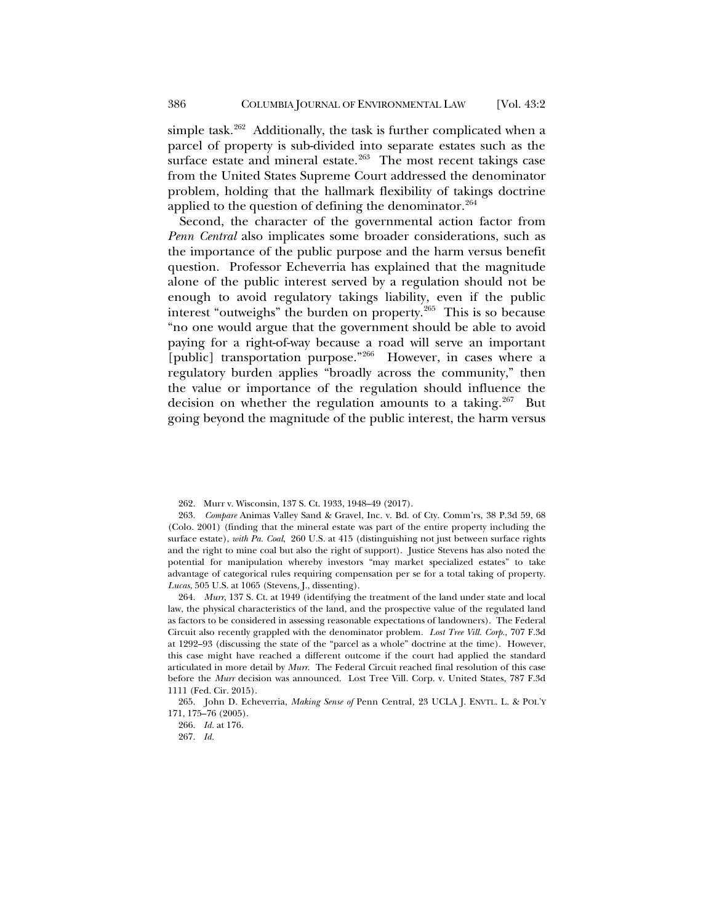simple task.<sup>262</sup> Additionally, the task is further complicated when a parcel of property is sub-divided into separate estates such as the surface estate and mineral estate. $263$  The most recent takings case from the United States Supreme Court addressed the denominator problem, holding that the hallmark flexibility of takings doctrine applied to the question of defining the denominator.<sup>[264](#page-51-2)</sup>

Second, the character of the governmental action factor from *Penn Central* also implicates some broader considerations, such as the importance of the public purpose and the harm versus benefit question. Professor Echeverria has explained that the magnitude alone of the public interest served by a regulation should not be enough to avoid regulatory takings liability, even if the public interest "outweighs" the burden on property. $265$  This is so because "no one would argue that the government should be able to avoid paying for a right-of-way because a road will serve an important [public] transportation purpose."<sup>[266](#page-51-4)</sup> However, in cases where a regulatory burden applies "broadly across the community," then the value or importance of the regulation should influence the decision on whether the regulation amounts to a taking.<sup>267</sup> But going beyond the magnitude of the public interest, the harm versus

<span id="page-51-2"></span>264. *Murr*, 137 S. Ct. at 1949 (identifying the treatment of the land under state and local law, the physical characteristics of the land, and the prospective value of the regulated land as factors to be considered in assessing reasonable expectations of landowners). The Federal Circuit also recently grappled with the denominator problem. *Lost Tree Vill. Corp.*, 707 F.3d at 1292–93 (discussing the state of the "parcel as a whole" doctrine at the time). However, this case might have reached a different outcome if the court had applied the standard articulated in more detail by *Murr*. The Federal Circuit reached final resolution of this case before the *Murr* decision was announced. Lost Tree Vill. Corp. v. United States, 787 F.3d 1111 (Fed. Cir. 2015).

<span id="page-51-5"></span><span id="page-51-4"></span><span id="page-51-3"></span>265. John D. Echeverria, *Making Sense of* Penn Central*,* 23 UCLA J. ENVTL. L. & POL'Y 171, 175–76 (2005).

267. *Id.*

<sup>262.</sup> Murr v. Wisconsin, 137 S. Ct. 1933, 1948–49 (2017).

<span id="page-51-1"></span><span id="page-51-0"></span><sup>263.</sup> *Compare* Animas Valley Sand & Gravel, Inc. v. Bd. of Cty. Comm'rs, 38 P.3d 59, 68 (Colo. 2001) (finding that the mineral estate was part of the entire property including the surface estate), *with Pa. Coal*, 260 U.S. at 415 (distinguishing not just between surface rights and the right to mine coal but also the right of support). Justice Stevens has also noted the potential for manipulation whereby investors "may market specialized estates" to take advantage of categorical rules requiring compensation per se for a total taking of property. *Lucas*, 505 U.S. at 1065 (Stevens, J., dissenting).

<sup>266.</sup> *Id.* at 176.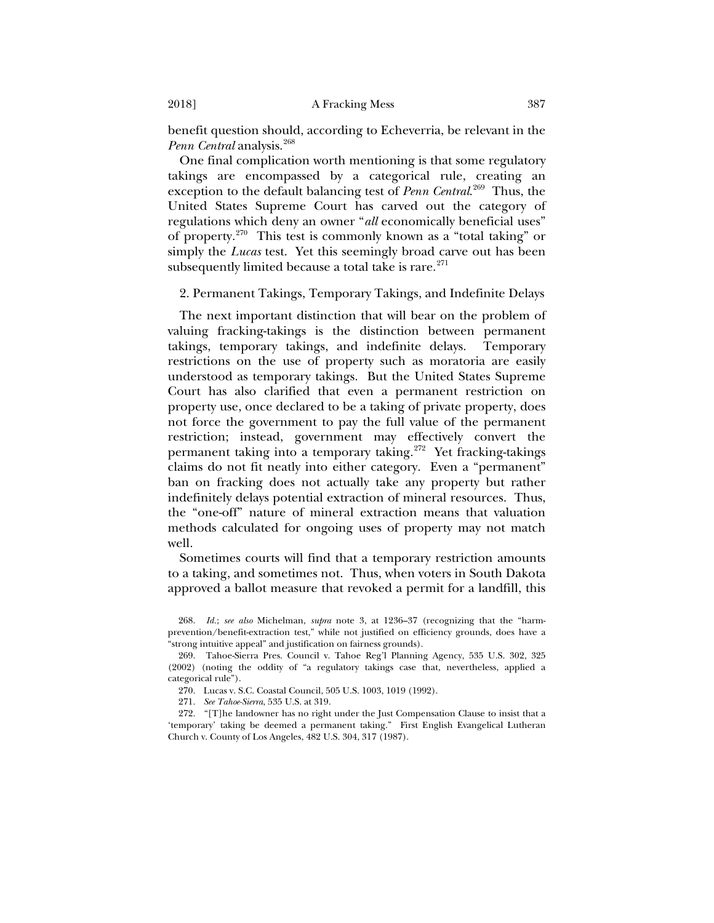benefit question should, according to Echeverria, be relevant in the *Penn Central* analysis.<sup>[268](#page-52-0)</sup>

One final complication worth mentioning is that some regulatory takings are encompassed by a categorical rule, creating an exception to the default balancing test of *Penn Central*. [269](#page-52-1) Thus, the United States Supreme Court has carved out the category of regulations which deny an owner "*all* economically beneficial uses" of property.[270](#page-52-2) This test is commonly known as a "total taking" or simply the *Lucas* test. Yet this seemingly broad carve out has been subsequently limited because a total take is rare. $271$ 

2. Permanent Takings, Temporary Takings, and Indefinite Delays

The next important distinction that will bear on the problem of valuing fracking-takings is the distinction between permanent takings, temporary takings, and indefinite delays. Temporary restrictions on the use of property such as moratoria are easily understood as temporary takings. But the United States Supreme Court has also clarified that even a permanent restriction on property use, once declared to be a taking of private property, does not force the government to pay the full value of the permanent restriction; instead, government may effectively convert the permanent taking into a temporary taking.[272](#page-52-4) Yet fracking-takings claims do not fit neatly into either category. Even a "permanent" ban on fracking does not actually take any property but rather indefinitely delays potential extraction of mineral resources. Thus, the "one-off" nature of mineral extraction means that valuation methods calculated for ongoing uses of property may not match well.

Sometimes courts will find that a temporary restriction amounts to a taking, and sometimes not. Thus, when voters in South Dakota approved a ballot measure that revoked a permit for a landfill, this

<span id="page-52-0"></span><sup>268.</sup> *Id.*; *see also* Michelman, *supra* note [3,](#page-1-0) at 1236–37 (recognizing that the "harmprevention/benefit-extraction test," while not justified on efficiency grounds, does have a "strong intuitive appeal" and justification on fairness grounds).

<span id="page-52-1"></span><sup>269.</sup> Tahoe-Sierra Pres. Council v. Tahoe Reg'l Planning Agency, 535 U.S. 302, 325 (2002) (noting the oddity of "a regulatory takings case that, nevertheless, applied a categorical rule").

<sup>270.</sup> Lucas v. S.C. Coastal Council, 505 U.S. 1003, 1019 (1992).

<sup>271.</sup> *See Tahoe-Sierra*, 535 U.S. at 319.

<span id="page-52-4"></span><span id="page-52-3"></span><span id="page-52-2"></span><sup>272.</sup> "[T]he landowner has no right under the Just Compensation Clause to insist that a 'temporary' taking be deemed a permanent taking." First English Evangelical Lutheran Church v. County of Los Angeles, 482 U.S. 304, 317 (1987).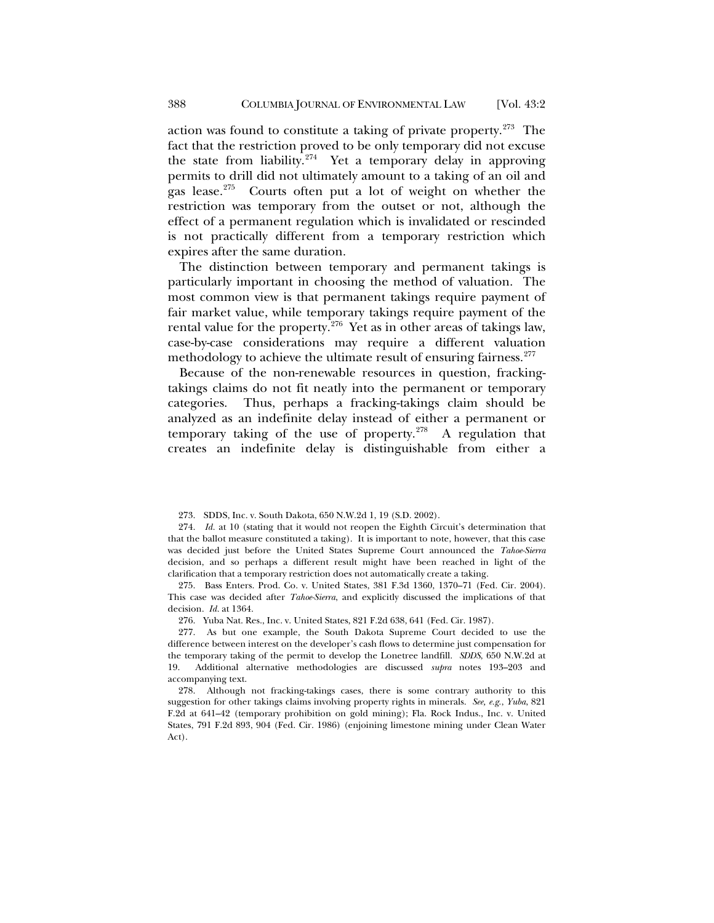action was found to constitute a taking of private property.<sup>[273](#page-53-0)</sup> The fact that the restriction proved to be only temporary did not excuse the state from liability.<sup>274</sup> Yet a temporary delay in approving permits to drill did not ultimately amount to a taking of an oil and gas lease.[275](#page-53-2) Courts often put a lot of weight on whether the restriction was temporary from the outset or not, although the effect of a permanent regulation which is invalidated or rescinded is not practically different from a temporary restriction which expires after the same duration.

The distinction between temporary and permanent takings is particularly important in choosing the method of valuation. The most common view is that permanent takings require payment of fair market value, while temporary takings require payment of the rental value for the property.<sup>[276](#page-53-3)</sup> Yet as in other areas of takings law, case-by-case considerations may require a different valuation methodology to achieve the ultimate result of ensuring fairness.<sup>277</sup>

Because of the non-renewable resources in question, frackingtakings claims do not fit neatly into the permanent or temporary categories. Thus, perhaps a fracking-takings claim should be analyzed as an indefinite delay instead of either a permanent or temporary taking of the use of property.<sup>278</sup> A regulation that creates an indefinite delay is distinguishable from either a

<span id="page-53-2"></span>275. Bass Enters. Prod. Co. v. United States, 381 F.3d 1360, 1370–71 (Fed. Cir. 2004). This case was decided after *Tahoe-Sierra*, and explicitly discussed the implications of that decision. *Id.* at 1364.

276. Yuba Nat. Res., Inc. v. United States, 821 F.2d 638, 641 (Fed. Cir. 1987).

<span id="page-53-4"></span><span id="page-53-3"></span>277. As but one example, the South Dakota Supreme Court decided to use the difference between interest on the developer's cash flows to determine just compensation for the temporary taking of the permit to develop the Lonetree landfill. *SDDS*, 650 N.W.2d at 19. Additional alternative methodologies are discussed *supra* notes [193](#page-38-7)[–203](#page-39-7) and accompanying text.

<span id="page-53-5"></span>278. Although not fracking-takings cases, there is some contrary authority to this suggestion for other takings claims involving property rights in minerals. *See, e.g.*, *Yuba*, 821 F.2d at 641–42 (temporary prohibition on gold mining); Fla. Rock Indus., Inc. v. United States, 791 F.2d 893, 904 (Fed. Cir. 1986) (enjoining limestone mining under Clean Water Act).

<sup>273.</sup> SDDS, Inc. v. South Dakota, 650 N.W.2d 1, 19 (S.D. 2002).

<span id="page-53-1"></span><span id="page-53-0"></span><sup>274.</sup> *Id.* at 10 (stating that it would not reopen the Eighth Circuit's determination that that the ballot measure constituted a taking). It is important to note, however, that this case was decided just before the United States Supreme Court announced the *Tahoe-Sierra* decision, and so perhaps a different result might have been reached in light of the clarification that a temporary restriction does not automatically create a taking.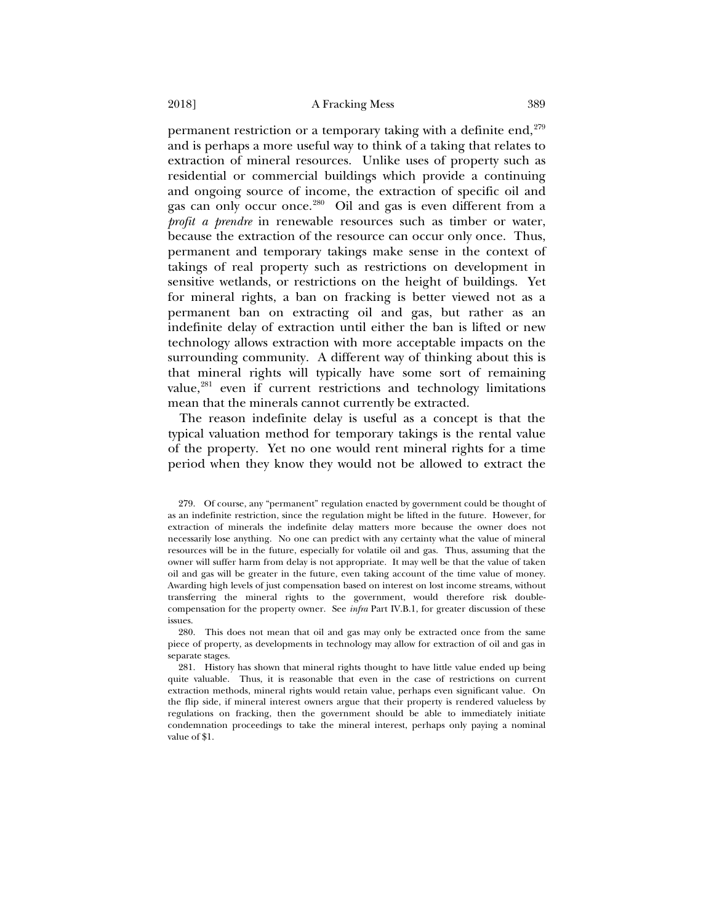permanent restriction or a temporary taking with a definite end, $279$ and is perhaps a more useful way to think of a taking that relates to extraction of mineral resources. Unlike uses of property such as residential or commercial buildings which provide a continuing and ongoing source of income, the extraction of specific oil and gas can only occur once.<sup>[280](#page-54-1)</sup> Oil and gas is even different from a *profit a prendre* in renewable resources such as timber or water, because the extraction of the resource can occur only once. Thus, permanent and temporary takings make sense in the context of takings of real property such as restrictions on development in sensitive wetlands, or restrictions on the height of buildings. Yet for mineral rights, a ban on fracking is better viewed not as a permanent ban on extracting oil and gas, but rather as an indefinite delay of extraction until either the ban is lifted or new technology allows extraction with more acceptable impacts on the surrounding community. A different way of thinking about this is that mineral rights will typically have some sort of remaining value,<sup>[281](#page-54-2)</sup> even if current restrictions and technology limitations mean that the minerals cannot currently be extracted.

The reason indefinite delay is useful as a concept is that the typical valuation method for temporary takings is the rental value of the property. Yet no one would rent mineral rights for a time period when they know they would not be allowed to extract the

<span id="page-54-1"></span>280. This does not mean that oil and gas may only be extracted once from the same piece of property, as developments in technology may allow for extraction of oil and gas in separate stages.

<span id="page-54-2"></span>281. History has shown that mineral rights thought to have little value ended up being quite valuable. Thus, it is reasonable that even in the case of restrictions on current extraction methods, mineral rights would retain value, perhaps even significant value. On the flip side, if mineral interest owners argue that their property is rendered valueless by regulations on fracking, then the government should be able to immediately initiate condemnation proceedings to take the mineral interest, perhaps only paying a nominal value of \$1.

<span id="page-54-0"></span><sup>279.</sup> Of course, any "permanent" regulation enacted by government could be thought of as an indefinite restriction, since the regulation might be lifted in the future. However, for extraction of minerals the indefinite delay matters more because the owner does not necessarily lose anything. No one can predict with any certainty what the value of mineral resources will be in the future, especially for volatile oil and gas. Thus, assuming that the owner will suffer harm from delay is not appropriate. It may well be that the value of taken oil and gas will be greater in the future, even taking account of the time value of money. Awarding high levels of just compensation based on interest on lost income streams, without transferring the mineral rights to the government, would therefore risk doublecompensation for the property owner. See *infra* Part IV.B.1, for greater discussion of these issues.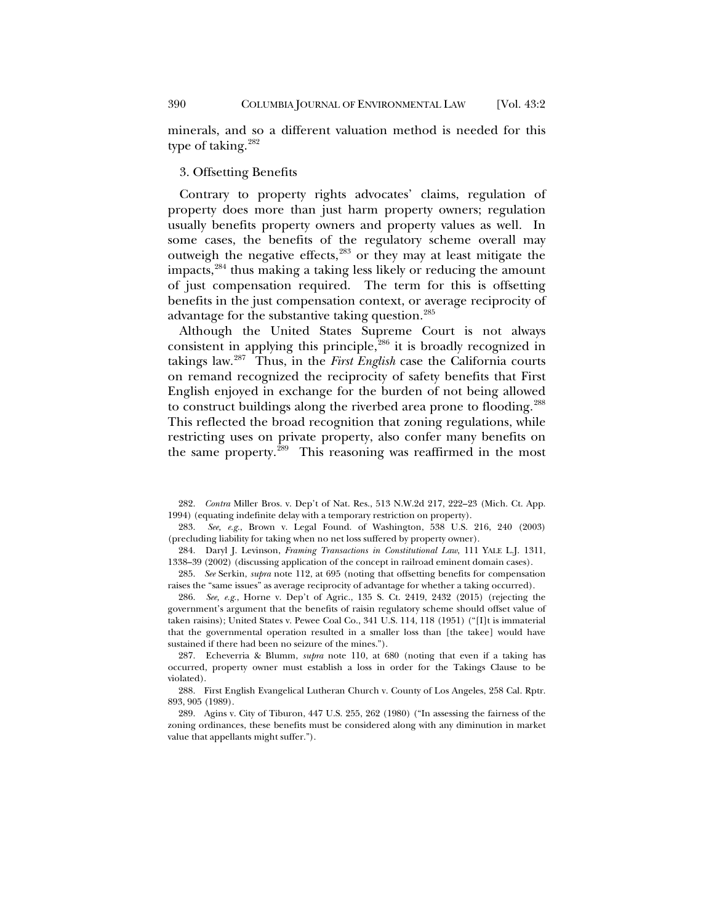minerals, and so a different valuation method is needed for this type of taking.<sup>[282](#page-55-0)</sup>

## 3. Offsetting Benefits

Contrary to property rights advocates' claims, regulation of property does more than just harm property owners; regulation usually benefits property owners and property values as well. In some cases, the benefits of the regulatory scheme overall may outweigh the negative effects,<sup>[283](#page-55-1)</sup> or they may at least mitigate the impacts,[284](#page-55-2) thus making a taking less likely or reducing the amount of just compensation required. The term for this is offsetting benefits in the just compensation context, or average reciprocity of advantage for the substantive taking question.<sup>[285](#page-55-3)</sup>

Although the United States Supreme Court is not always consistent in applying this principle,<sup>[286](#page-55-4)</sup> it is broadly recognized in takings law.[287](#page-55-5) Thus, in the *First English* case the California courts on remand recognized the reciprocity of safety benefits that First English enjoyed in exchange for the burden of not being allowed to construct buildings along the riverbed area prone to flooding.<sup>[288](#page-55-6)</sup> This reflected the broad recognition that zoning regulations, while restricting uses on private property, also confer many benefits on the same property.<sup>289</sup> This reasoning was reaffirmed in the most

<span id="page-55-1"></span>283. *See, e.g.*, Brown v. Legal Found. of Washington, 538 U.S. 216, 240 (2003) (precluding liability for taking when no net loss suffered by property owner).

<span id="page-55-4"></span>286. *See, e.g.*, Horne v. Dep't of Agric., 135 S. Ct. 2419, 2432 (2015) (rejecting the government's argument that the benefits of raisin regulatory scheme should offset value of taken raisins); United States v. Pewee Coal Co., 341 U.S. 114, 118 (1951) ("[I]t is immaterial that the governmental operation resulted in a smaller loss than [the takee] would have sustained if there had been no seizure of the mines.").

<span id="page-55-5"></span>287. Echeverria & Blumm, *supra* note [110,](#page-22-1) at 680 (noting that even if a taking has occurred, property owner must establish a loss in order for the Takings Clause to be violated).

<span id="page-55-6"></span>288. First English Evangelical Lutheran Church v. County of Los Angeles, 258 Cal. Rptr. 893, 905 (1989).

<span id="page-55-7"></span>289. Agins v. City of Tiburon, 447 U.S. 255, 262 (1980) ("In assessing the fairness of the zoning ordinances, these benefits must be considered along with any diminution in market value that appellants might suffer.").

<span id="page-55-0"></span><sup>282.</sup> *Contra* Miller Bros. v. Dep't of Nat. Res., 513 N.W.2d 217, 222–23 (Mich. Ct. App. 1994) (equating indefinite delay with a temporary restriction on property).

<span id="page-55-2"></span><sup>284.</sup> Daryl J. Levinson, *Framing Transactions in Constitutional Law*, 111 YALE L.J. 1311, 1338–39 (2002) (discussing application of the concept in railroad eminent domain cases).

<span id="page-55-3"></span><sup>285.</sup> *See* Serkin, *supra* note [112,](#page-23-0) at 695 (noting that offsetting benefits for compensation raises the "same issues" as average reciprocity of advantage for whether a taking occurred).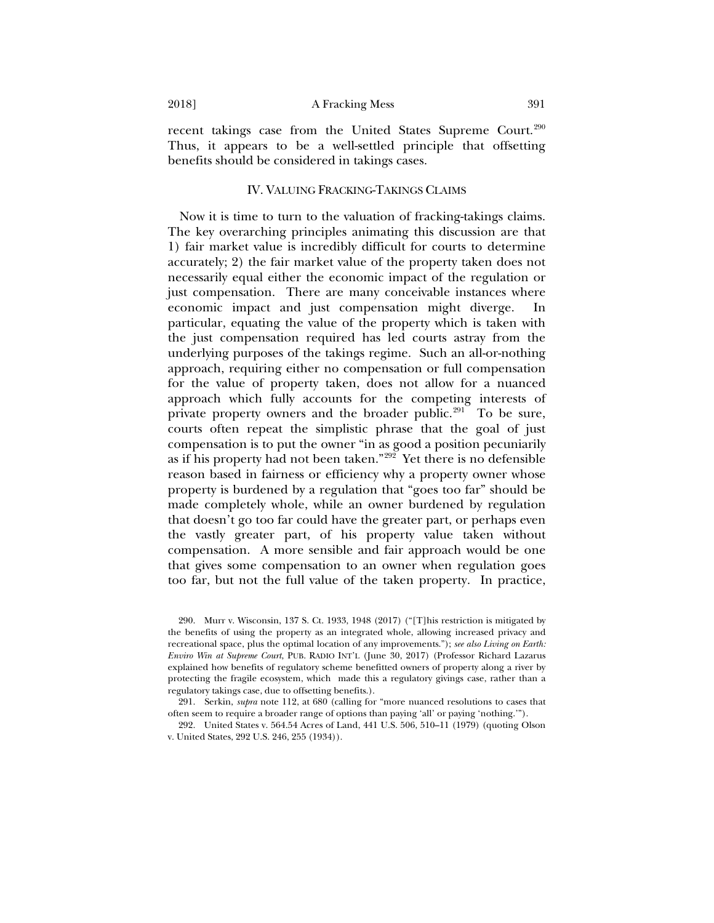recent takings case from the United States Supreme Court.<sup>[290](#page-56-0)</sup> Thus, it appears to be a well-settled principle that offsetting benefits should be considered in takings cases.

#### IV. VALUING FRACKING-TAKINGS CLAIMS

Now it is time to turn to the valuation of fracking-takings claims. The key overarching principles animating this discussion are that 1) fair market value is incredibly difficult for courts to determine accurately; 2) the fair market value of the property taken does not necessarily equal either the economic impact of the regulation or just compensation. There are many conceivable instances where economic impact and just compensation might diverge. In particular, equating the value of the property which is taken with the just compensation required has led courts astray from the underlying purposes of the takings regime. Such an all-or-nothing approach, requiring either no compensation or full compensation for the value of property taken, does not allow for a nuanced approach which fully accounts for the competing interests of private property owners and the broader public. $291$  To be sure, courts often repeat the simplistic phrase that the goal of just compensation is to put the owner "in as good a position pecuniarily as if his property had not been taken."[292](#page-56-2) Yet there is no defensible reason based in fairness or efficiency why a property owner whose property is burdened by a regulation that "goes too far" should be made completely whole, while an owner burdened by regulation that doesn't go too far could have the greater part, or perhaps even the vastly greater part, of his property value taken without compensation. A more sensible and fair approach would be one that gives some compensation to an owner when regulation goes too far, but not the full value of the taken property. In practice,

<span id="page-56-0"></span>290. Murr v. Wisconsin, 137 S. Ct. 1933, 1948 (2017) ("[T]his restriction is mitigated by the benefits of using the property as an integrated whole, allowing increased privacy and recreational space, plus the optimal location of any improvements."); *see also Living on Earth: Enviro Win at Supreme Court*, PUB. RADIO INT'L (June 30, 2017) (Professor Richard Lazarus explained how benefits of regulatory scheme benefitted owners of property along a river by protecting the fragile ecosystem, which made this a regulatory givings case, rather than a regulatory takings case, due to offsetting benefits.).

<span id="page-56-1"></span>291. Serkin, *supra* not[e 112,](#page-23-0) at 680 (calling for "more nuanced resolutions to cases that often seem to require a broader range of options than paying 'all' or paying 'nothing.'").

<span id="page-56-2"></span>292. United States v. 564.54 Acres of Land, 441 U.S. 506, 510–11 (1979) (quoting Olson v. United States, 292 U.S. 246, 255 (1934)).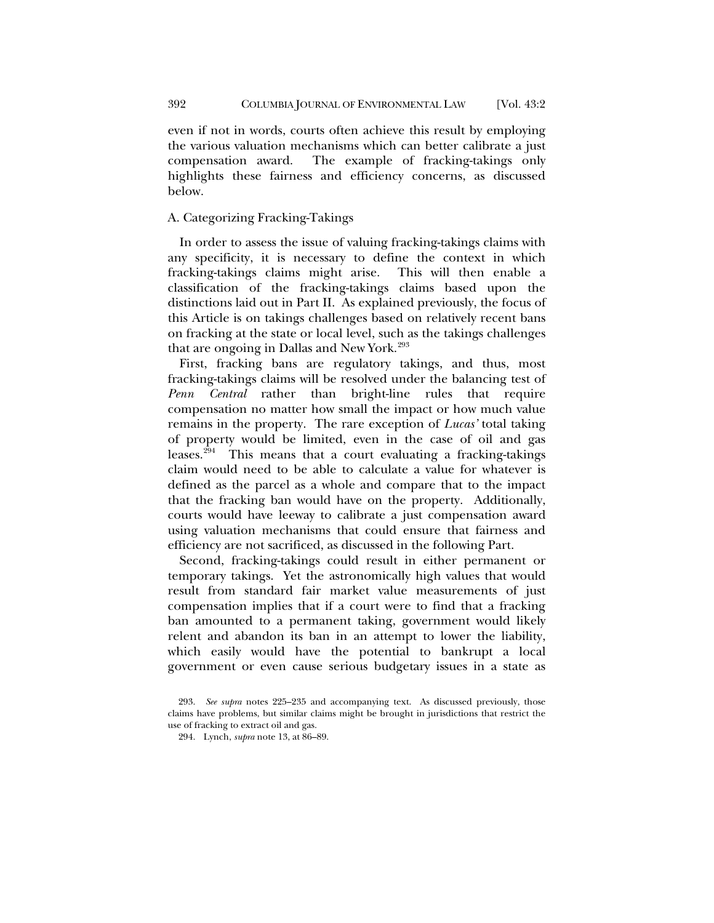even if not in words, courts often achieve this result by employing the various valuation mechanisms which can better calibrate a just compensation award. The example of fracking-takings only highlights these fairness and efficiency concerns, as discussed below.

# A. Categorizing Fracking-Takings

In order to assess the issue of valuing fracking-takings claims with any specificity, it is necessary to define the context in which fracking-takings claims might arise. This will then enable a classification of the fracking-takings claims based upon the distinctions laid out in Part II. As explained previously, the focus of this Article is on takings challenges based on relatively recent bans on fracking at the state or local level, such as the takings challenges that are ongoing in Dallas and New York.<sup>[293](#page-57-0)</sup>

First, fracking bans are regulatory takings, and thus, most fracking-takings claims will be resolved under the balancing test of *Penn Central* rather than bright-line rules that require compensation no matter how small the impact or how much value remains in the property. The rare exception of *Lucas'* total taking of property would be limited, even in the case of oil and gas leases.<sup>294</sup> This means that a court evaluating a fracking-takings claim would need to be able to calculate a value for whatever is defined as the parcel as a whole and compare that to the impact that the fracking ban would have on the property. Additionally, courts would have leeway to calibrate a just compensation award using valuation mechanisms that could ensure that fairness and efficiency are not sacrificed, as discussed in the following Part.

Second, fracking-takings could result in either permanent or temporary takings. Yet the astronomically high values that would result from standard fair market value measurements of just compensation implies that if a court were to find that a fracking ban amounted to a permanent taking, government would likely relent and abandon its ban in an attempt to lower the liability, which easily would have the potential to bankrupt a local government or even cause serious budgetary issues in a state as

<span id="page-57-1"></span><span id="page-57-0"></span><sup>293.</sup> *See supra* notes [225](#page-44-5)[–235](#page-45-6) and accompanying text. As discussed previously, those claims have problems, but similar claims might be brought in jurisdictions that restrict the use of fracking to extract oil and gas.

<sup>294.</sup> Lynch, *supra* not[e 13,](#page-4-0) at 86–89.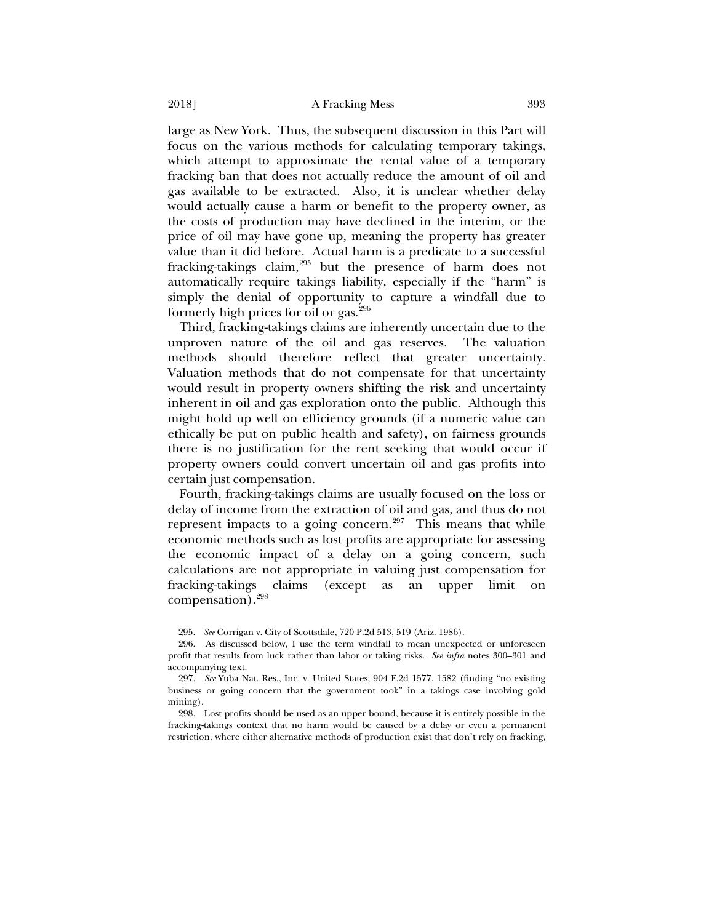large as New York. Thus, the subsequent discussion in this Part will focus on the various methods for calculating temporary takings, which attempt to approximate the rental value of a temporary fracking ban that does not actually reduce the amount of oil and gas available to be extracted. Also, it is unclear whether delay would actually cause a harm or benefit to the property owner, as the costs of production may have declined in the interim, or the price of oil may have gone up, meaning the property has greater value than it did before. Actual harm is a predicate to a successful fracking-takings claim,[295](#page-58-0) but the presence of harm does not automatically require takings liability, especially if the "harm" is simply the denial of opportunity to capture a windfall due to formerly high prices for oil or gas.[296](#page-58-1)

Third, fracking-takings claims are inherently uncertain due to the unproven nature of the oil and gas reserves. The valuation methods should therefore reflect that greater uncertainty. Valuation methods that do not compensate for that uncertainty would result in property owners shifting the risk and uncertainty inherent in oil and gas exploration onto the public. Although this might hold up well on efficiency grounds (if a numeric value can ethically be put on public health and safety), on fairness grounds there is no justification for the rent seeking that would occur if property owners could convert uncertain oil and gas profits into certain just compensation.

Fourth, fracking-takings claims are usually focused on the loss or delay of income from the extraction of oil and gas, and thus do not represent impacts to a going concern.<sup>297</sup> This means that while economic methods such as lost profits are appropriate for assessing the economic impact of a delay on a going concern, such calculations are not appropriate in valuing just compensation for fracking-takings claims (except as an upper limit on compensation).<sup>[298](#page-58-3)</sup>

295. *See* Corrigan v. City of Scottsdale, 720 P.2d 513, 519 (Ariz. 1986).

<span id="page-58-1"></span><span id="page-58-0"></span>296. As discussed below, I use the term windfall to mean unexpected or unforeseen profit that results from luck rather than labor or taking risks. *See infra* notes [300–](#page-60-0)[301](#page-60-1) and accompanying text.

<span id="page-58-2"></span>297. *See* Yuba Nat. Res., Inc. v. United States, 904 F.2d 1577, 1582 (finding "no existing business or going concern that the government took" in a takings case involving gold mining).

<span id="page-58-3"></span>298. Lost profits should be used as an upper bound, because it is entirely possible in the fracking-takings context that no harm would be caused by a delay or even a permanent restriction, where either alternative methods of production exist that don't rely on fracking,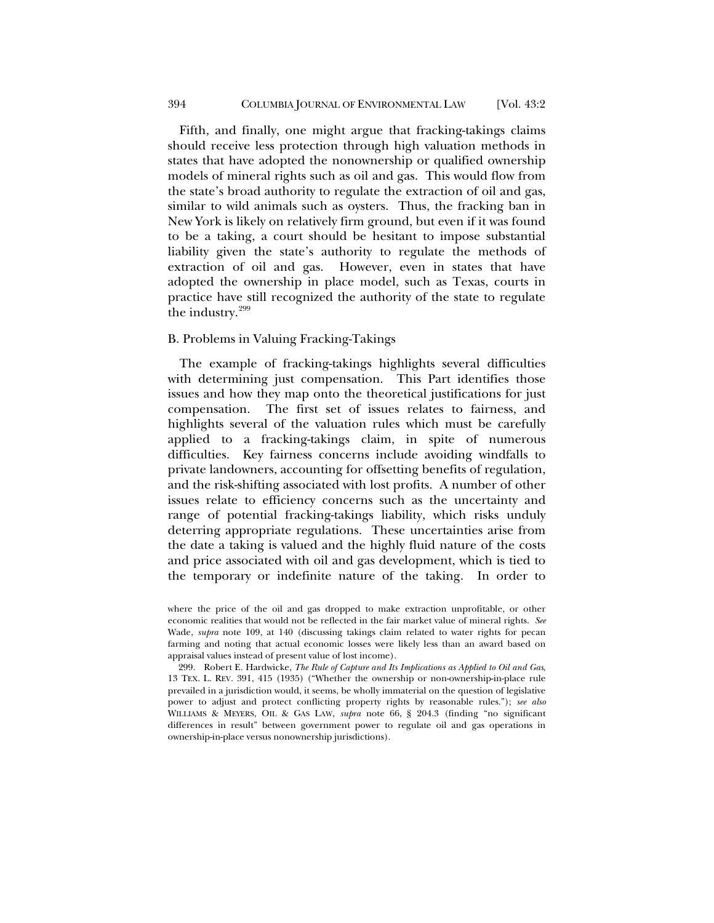Fifth, and finally, one might argue that fracking-takings claims should receive less protection through high valuation methods in states that have adopted the nonownership or qualified ownership models of mineral rights such as oil and gas. This would flow from the state's broad authority to regulate the extraction of oil and gas, similar to wild animals such as oysters. Thus, the fracking ban in New York is likely on relatively firm ground, but even if it was found to be a taking, a court should be hesitant to impose substantial liability given the state's authority to regulate the methods of extraction of oil and gas. However, even in states that have adopted the ownership in place model, such as Texas, courts in practice have still recognized the authority of the state to regulate the industry.<sup>[299](#page-59-0)</sup>

# B. Problems in Valuing Fracking-Takings

The example of fracking-takings highlights several difficulties with determining just compensation. This Part identifies those issues and how they map onto the theoretical justifications for just compensation. The first set of issues relates to fairness, and highlights several of the valuation rules which must be carefully applied to a fracking-takings claim, in spite of numerous difficulties. Key fairness concerns include avoiding windfalls to private landowners, accounting for offsetting benefits of regulation, and the risk-shifting associated with lost profits. A number of other issues relate to efficiency concerns such as the uncertainty and range of potential fracking-takings liability, which risks unduly deterring appropriate regulations. These uncertainties arise from the date a taking is valued and the highly fluid nature of the costs and price associated with oil and gas development, which is tied to the temporary or indefinite nature of the taking. In order to

where the price of the oil and gas dropped to make extraction unprofitable, or other economic realities that would not be reflected in the fair market value of mineral rights. *See* Wade, *supra* note [109,](#page-22-0) at 140 (discussing takings claim related to water rights for pecan farming and noting that actual economic losses were likely less than an award based on appraisal values instead of present value of lost income).

<span id="page-59-0"></span><sup>299.</sup> Robert E. Hardwicke, *The Rule of Capture and Its Implications as Applied to Oil and Gas*, 13 TEX. L. REV. 391, 415 (1935) ("Whether the ownership or non-ownership-in-place rule prevailed in a jurisdiction would, it seems, be wholly immaterial on the question of legislative power to adjust and protect conflicting property rights by reasonable rules."); *see also*  WILLIAMS & MEYERS, OIL & GAS LAW, *supra* note [66,](#page-15-0) § 204.3 (finding "no significant differences in result" between government power to regulate oil and gas operations in ownership-in-place versus nonownership jurisdictions).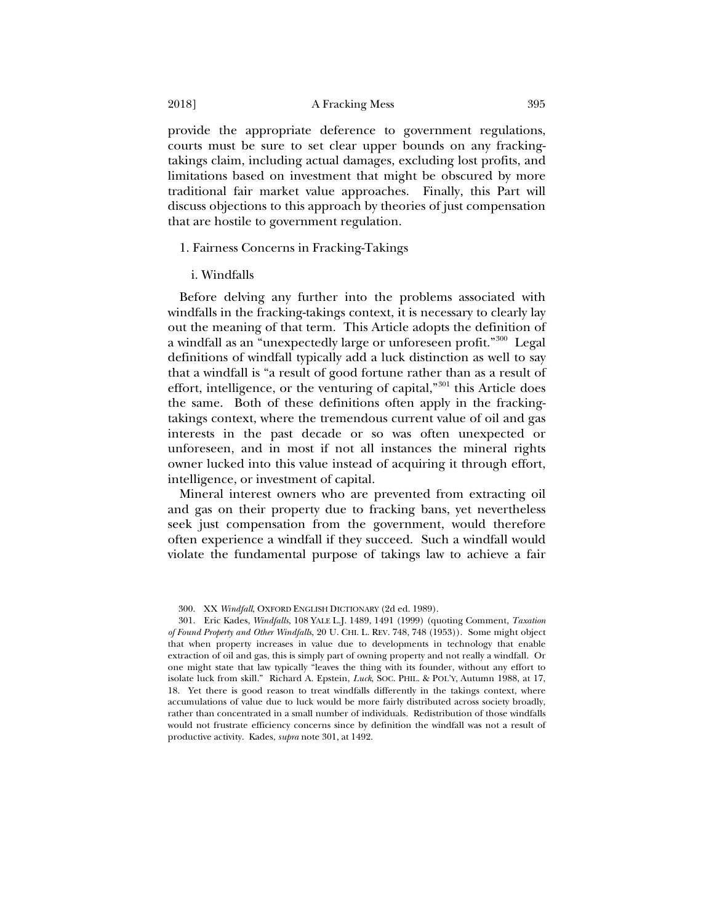provide the appropriate deference to government regulations, courts must be sure to set clear upper bounds on any frackingtakings claim, including actual damages, excluding lost profits, and limitations based on investment that might be obscured by more traditional fair market value approaches. Finally, this Part will discuss objections to this approach by theories of just compensation that are hostile to government regulation.

- <span id="page-60-0"></span>1. Fairness Concerns in Fracking-Takings
	- i. Windfalls

<span id="page-60-1"></span>Before delving any further into the problems associated with windfalls in the fracking-takings context, it is necessary to clearly lay out the meaning of that term. This Article adopts the definition of a windfall as an "unexpectedly large or unforeseen profit.["300](#page-60-2) Legal definitions of windfall typically add a luck distinction as well to say that a windfall is "a result of good fortune rather than as a result of effort, intelligence, or the venturing of capital,"[301](#page-60-3) this Article does the same. Both of these definitions often apply in the frackingtakings context, where the tremendous current value of oil and gas interests in the past decade or so was often unexpected or unforeseen, and in most if not all instances the mineral rights owner lucked into this value instead of acquiring it through effort, intelligence, or investment of capital.

Mineral interest owners who are prevented from extracting oil and gas on their property due to fracking bans, yet nevertheless seek just compensation from the government, would therefore often experience a windfall if they succeed. Such a windfall would violate the fundamental purpose of takings law to achieve a fair

300. XX *Windfall*, OXFORD ENGLISH DICTIONARY (2d ed. 1989).

<span id="page-60-3"></span><span id="page-60-2"></span>301. Eric Kades, *Windfalls*, 108 YALE L.J. 1489, 1491 (1999) (quoting Comment, *Taxation of Found Property and Other Windfalls*, 20 U. CHI. L. REV. 748, 748 (1953)). Some might object that when property increases in value due to developments in technology that enable extraction of oil and gas, this is simply part of owning property and not really a windfall. Or one might state that law typically "leaves the thing with its founder, without any effort to isolate luck from skill." Richard A. Epstein, *Luck*, SOC. PHIL. & POL'Y, Autumn 1988, at 17, 18. Yet there is good reason to treat windfalls differently in the takings context, where accumulations of value due to luck would be more fairly distributed across society broadly, rather than concentrated in a small number of individuals. Redistribution of those windfalls would not frustrate efficiency concerns since by definition the windfall was not a result of productive activity. Kades, *supra* not[e 301,](#page-60-1) at 1492.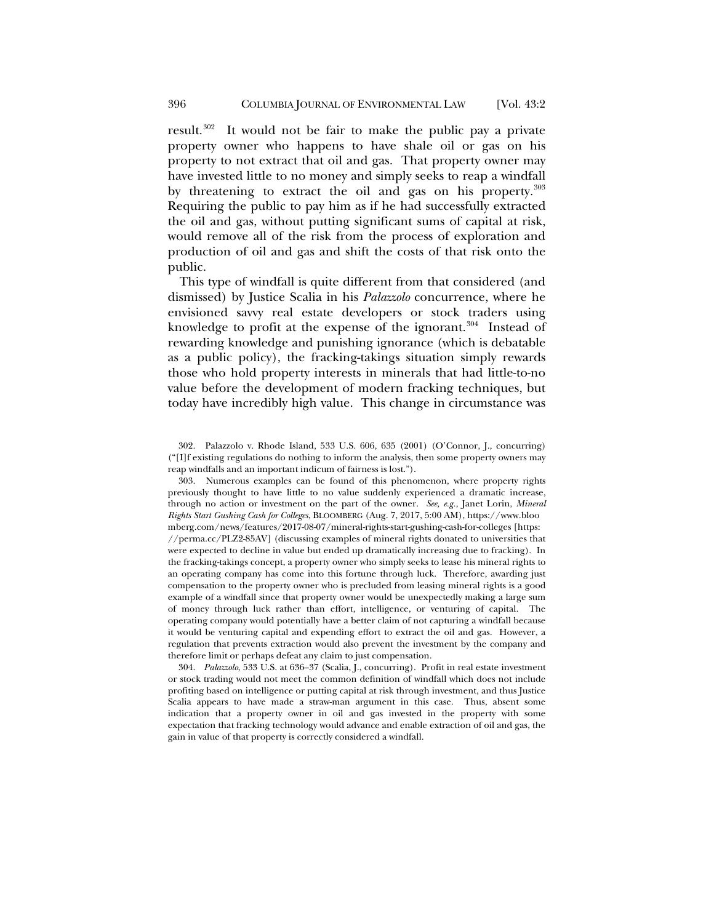result.[302](#page-61-0) It would not be fair to make the public pay a private property owner who happens to have shale oil or gas on his property to not extract that oil and gas. That property owner may have invested little to no money and simply seeks to reap a windfall by threatening to extract the oil and gas on his property.<sup>[303](#page-61-1)</sup> Requiring the public to pay him as if he had successfully extracted the oil and gas, without putting significant sums of capital at risk, would remove all of the risk from the process of exploration and production of oil and gas and shift the costs of that risk onto the public.

This type of windfall is quite different from that considered (and dismissed) by Justice Scalia in his *Palazzolo* concurrence, where he envisioned savvy real estate developers or stock traders using knowledge to profit at the expense of the ignorant.<sup>[304](#page-61-2)</sup> Instead of rewarding knowledge and punishing ignorance (which is debatable as a public policy), the fracking-takings situation simply rewards those who hold property interests in minerals that had little-to-no value before the development of modern fracking techniques, but today have incredibly high value. This change in circumstance was

<span id="page-61-1"></span>303. Numerous examples can be found of this phenomenon, where property rights previously thought to have little to no value suddenly experienced a dramatic increase, through no action or investment on the part of the owner. *See, e.g.*, Janet Lorin, *Mineral Rights Start Gushing Cash for Colleges*, BLOOMBERG (Aug. 7, 2017, 5:00 AM), https://www.bloo mberg.com/news/features/2017-08-07/mineral-rights-start-gushing-cash-for-colleges [https: //perma.cc/PLZ2-85AV] (discussing examples of mineral rights donated to universities that were expected to decline in value but ended up dramatically increasing due to fracking). In the fracking-takings concept, a property owner who simply seeks to lease his mineral rights to an operating company has come into this fortune through luck. Therefore, awarding just compensation to the property owner who is precluded from leasing mineral rights is a good example of a windfall since that property owner would be unexpectedly making a large sum of money through luck rather than effort, intelligence, or venturing of capital. The operating company would potentially have a better claim of not capturing a windfall because it would be venturing capital and expending effort to extract the oil and gas. However, a regulation that prevents extraction would also prevent the investment by the company and therefore limit or perhaps defeat any claim to just compensation.

<span id="page-61-2"></span>304. *Palazzolo*, 533 U.S. at 636–37 (Scalia, J., concurring). Profit in real estate investment or stock trading would not meet the common definition of windfall which does not include profiting based on intelligence or putting capital at risk through investment, and thus Justice Scalia appears to have made a straw-man argument in this case. Thus, absent some indication that a property owner in oil and gas invested in the property with some expectation that fracking technology would advance and enable extraction of oil and gas, the gain in value of that property is correctly considered a windfall.

<span id="page-61-0"></span><sup>302.</sup> Palazzolo v. Rhode Island, 533 U.S. 606, 635 (2001) (O'Connor, J., concurring) ("[I]f existing regulations do nothing to inform the analysis, then some property owners may reap windfalls and an important indicum of fairness is lost.").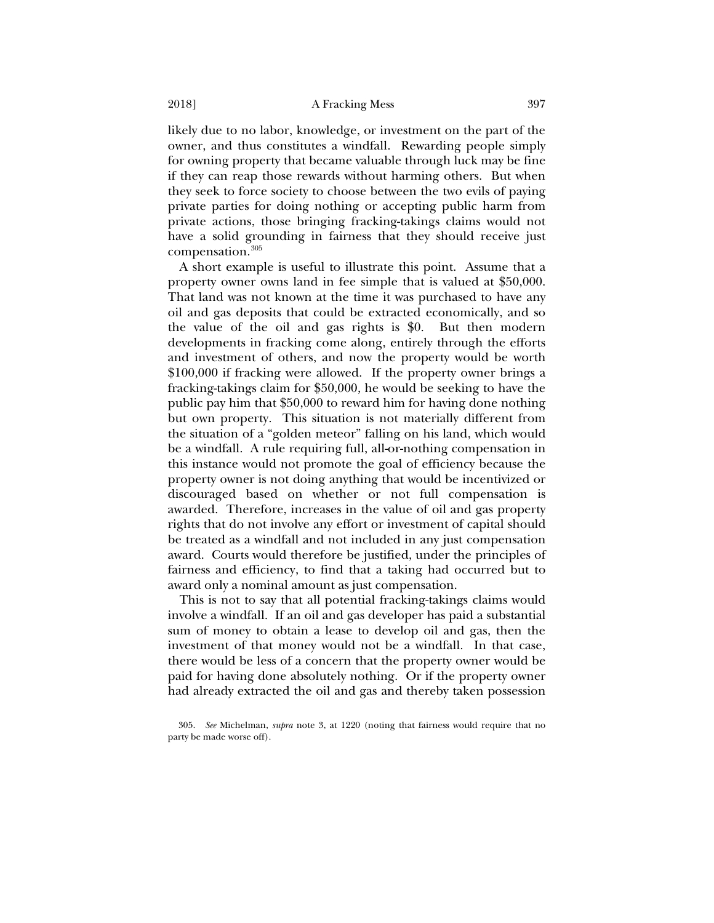likely due to no labor, knowledge, or investment on the part of the owner, and thus constitutes a windfall. Rewarding people simply for owning property that became valuable through luck may be fine if they can reap those rewards without harming others. But when they seek to force society to choose between the two evils of paying private parties for doing nothing or accepting public harm from private actions, those bringing fracking-takings claims would not have a solid grounding in fairness that they should receive just compensation.[305](#page-62-0)

A short example is useful to illustrate this point. Assume that a property owner owns land in fee simple that is valued at \$50,000. That land was not known at the time it was purchased to have any oil and gas deposits that could be extracted economically, and so the value of the oil and gas rights is \$0. But then modern developments in fracking come along, entirely through the efforts and investment of others, and now the property would be worth \$100,000 if fracking were allowed. If the property owner brings a fracking-takings claim for \$50,000, he would be seeking to have the public pay him that \$50,000 to reward him for having done nothing but own property. This situation is not materially different from the situation of a "golden meteor" falling on his land, which would be a windfall. A rule requiring full, all-or-nothing compensation in this instance would not promote the goal of efficiency because the property owner is not doing anything that would be incentivized or discouraged based on whether or not full compensation is awarded. Therefore, increases in the value of oil and gas property rights that do not involve any effort or investment of capital should be treated as a windfall and not included in any just compensation award. Courts would therefore be justified, under the principles of fairness and efficiency, to find that a taking had occurred but to award only a nominal amount as just compensation.

This is not to say that all potential fracking-takings claims would involve a windfall. If an oil and gas developer has paid a substantial sum of money to obtain a lease to develop oil and gas, then the investment of that money would not be a windfall. In that case, there would be less of a concern that the property owner would be paid for having done absolutely nothing. Or if the property owner had already extracted the oil and gas and thereby taken possession

<span id="page-62-0"></span><sup>305.</sup> *See* Michelman, *supra* note [3,](#page-1-0) at 1220 (noting that fairness would require that no party be made worse off).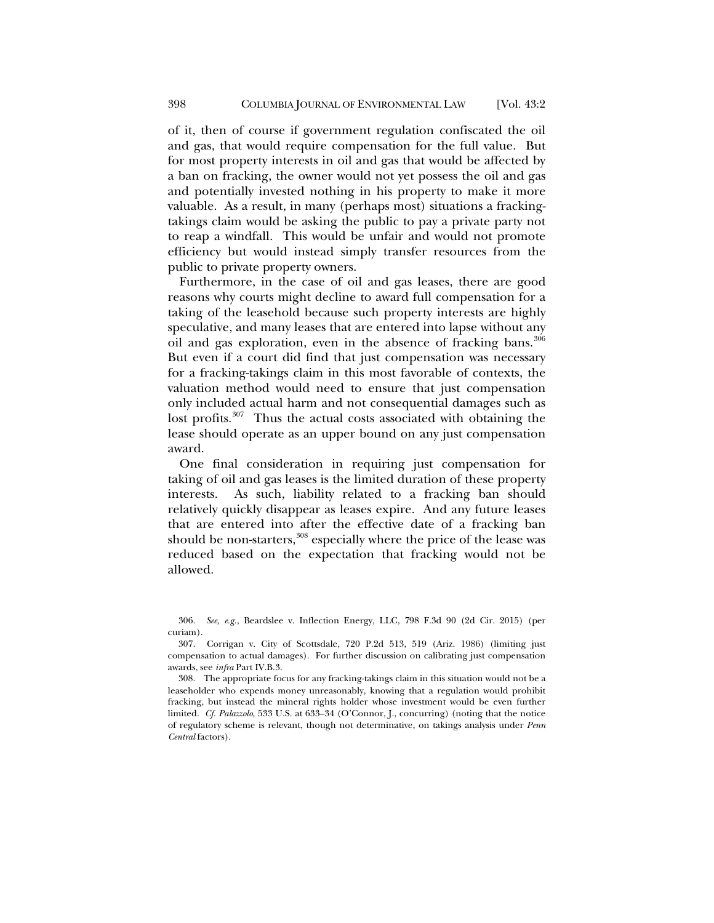of it, then of course if government regulation confiscated the oil and gas, that would require compensation for the full value. But for most property interests in oil and gas that would be affected by a ban on fracking, the owner would not yet possess the oil and gas and potentially invested nothing in his property to make it more valuable. As a result, in many (perhaps most) situations a frackingtakings claim would be asking the public to pay a private party not to reap a windfall. This would be unfair and would not promote efficiency but would instead simply transfer resources from the public to private property owners.

Furthermore, in the case of oil and gas leases, there are good reasons why courts might decline to award full compensation for a taking of the leasehold because such property interests are highly speculative, and many leases that are entered into lapse without any oil and gas exploration, even in the absence of fracking bans.<sup>[306](#page-63-0)</sup> But even if a court did find that just compensation was necessary for a fracking-takings claim in this most favorable of contexts, the valuation method would need to ensure that just compensation only included actual harm and not consequential damages such as lost profits.<sup>[307](#page-63-1)</sup> Thus the actual costs associated with obtaining the lease should operate as an upper bound on any just compensation award.

One final consideration in requiring just compensation for taking of oil and gas leases is the limited duration of these property interests. As such, liability related to a fracking ban should relatively quickly disappear as leases expire. And any future leases that are entered into after the effective date of a fracking ban should be non-starters,<sup>[308](#page-63-2)</sup> especially where the price of the lease was reduced based on the expectation that fracking would not be allowed.

<span id="page-63-0"></span>306. *See, e.g.*, Beardslee v. Inflection Energy, LLC, 798 F.3d 90 (2d Cir. 2015) (per curiam).

<span id="page-63-1"></span>307. Corrigan v. City of Scottsdale, 720 P.2d 513, 519 (Ariz. 1986) (limiting just compensation to actual damages). For further discussion on calibrating just compensation awards, see *infra* Part IV.B.3.

<span id="page-63-2"></span>308. The appropriate focus for any fracking-takings claim in this situation would not be a leaseholder who expends money unreasonably, knowing that a regulation would prohibit fracking, but instead the mineral rights holder whose investment would be even further limited. *Cf. Palazzolo*, 533 U.S. at 633–34 (O'Connor, J., concurring) (noting that the notice of regulatory scheme is relevant, though not determinative, on takings analysis under *Penn Central* factors).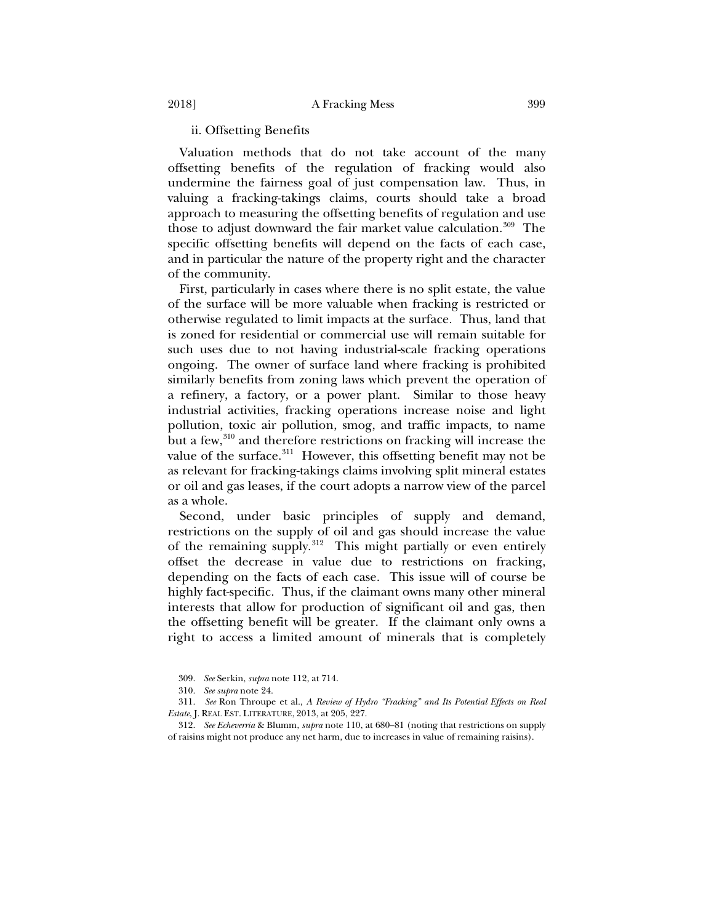# ii. Offsetting Benefits

Valuation methods that do not take account of the many offsetting benefits of the regulation of fracking would also undermine the fairness goal of just compensation law. Thus, in valuing a fracking-takings claims, courts should take a broad approach to measuring the offsetting benefits of regulation and use those to adjust downward the fair market value calculation. $309$  The specific offsetting benefits will depend on the facts of each case, and in particular the nature of the property right and the character of the community.

First, particularly in cases where there is no split estate, the value of the surface will be more valuable when fracking is restricted or otherwise regulated to limit impacts at the surface. Thus, land that is zoned for residential or commercial use will remain suitable for such uses due to not having industrial-scale fracking operations ongoing. The owner of surface land where fracking is prohibited similarly benefits from zoning laws which prevent the operation of a refinery, a factory, or a power plant. Similar to those heavy industrial activities, fracking operations increase noise and light pollution, toxic air pollution, smog, and traffic impacts, to name but a few,<sup>310</sup> and therefore restrictions on fracking will increase the value of the surface.<sup>[311](#page-64-2)</sup> However, this offsetting benefit may not be as relevant for fracking-takings claims involving split mineral estates or oil and gas leases, if the court adopts a narrow view of the parcel as a whole.

Second, under basic principles of supply and demand, restrictions on the supply of oil and gas should increase the value of the remaining supply.<sup>312</sup> This might partially or even entirely offset the decrease in value due to restrictions on fracking, depending on the facts of each case. This issue will of course be highly fact-specific. Thus, if the claimant owns many other mineral interests that allow for production of significant oil and gas, then the offsetting benefit will be greater. If the claimant only owns a right to access a limited amount of minerals that is completely

<sup>309.</sup> *See* Serkin, *supra* not[e 112,](#page-23-0) at 714.

<sup>310.</sup> *See supra* note [24.](#page-8-0)

<span id="page-64-2"></span><span id="page-64-1"></span><span id="page-64-0"></span><sup>311.</sup> *See* Ron Throupe et al., *A Review of Hydro "Fracking" and Its Potential Effects on Real Estate*, J. REAL EST. LITERATURE, 2013, at 205, 227.

<span id="page-64-3"></span><sup>312.</sup> *See Echeverria* & Blumm, *supra* not[e 110,](#page-22-1) at 680–81 (noting that restrictions on supply of raisins might not produce any net harm, due to increases in value of remaining raisins).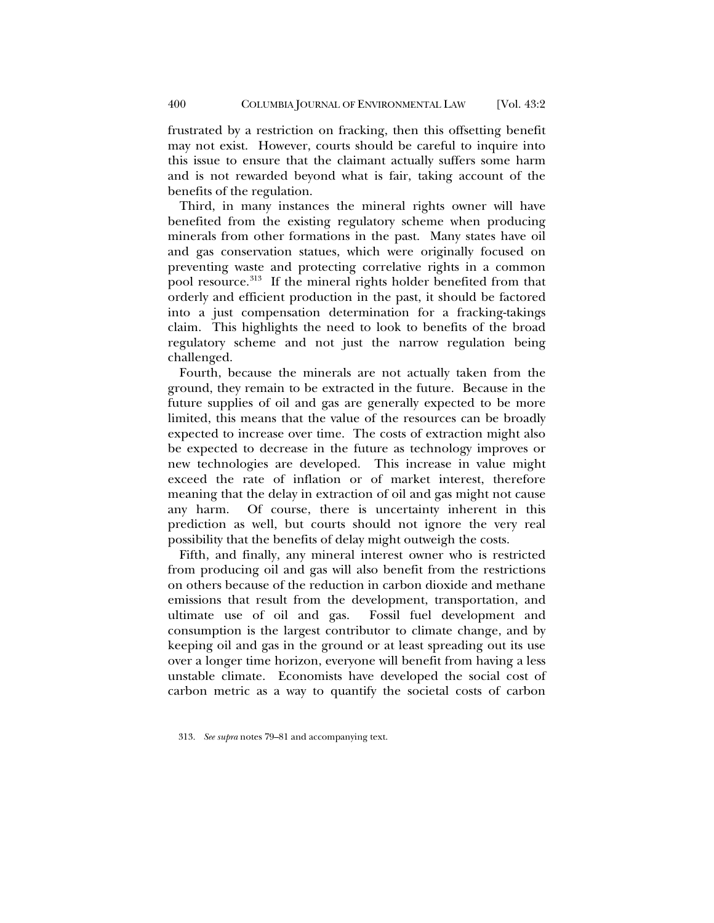frustrated by a restriction on fracking, then this offsetting benefit may not exist. However, courts should be careful to inquire into this issue to ensure that the claimant actually suffers some harm and is not rewarded beyond what is fair, taking account of the benefits of the regulation.

Third, in many instances the mineral rights owner will have benefited from the existing regulatory scheme when producing minerals from other formations in the past. Many states have oil and gas conservation statues, which were originally focused on preventing waste and protecting correlative rights in a common pool resource.<sup>313</sup> If the mineral rights holder benefited from that orderly and efficient production in the past, it should be factored into a just compensation determination for a fracking-takings claim. This highlights the need to look to benefits of the broad regulatory scheme and not just the narrow regulation being challenged.

Fourth, because the minerals are not actually taken from the ground, they remain to be extracted in the future. Because in the future supplies of oil and gas are generally expected to be more limited, this means that the value of the resources can be broadly expected to increase over time. The costs of extraction might also be expected to decrease in the future as technology improves or new technologies are developed. This increase in value might exceed the rate of inflation or of market interest, therefore meaning that the delay in extraction of oil and gas might not cause any harm. Of course, there is uncertainty inherent in this prediction as well, but courts should not ignore the very real possibility that the benefits of delay might outweigh the costs.

Fifth, and finally, any mineral interest owner who is restricted from producing oil and gas will also benefit from the restrictions on others because of the reduction in carbon dioxide and methane emissions that result from the development, transportation, and ultimate use of oil and gas. Fossil fuel development and consumption is the largest contributor to climate change, and by keeping oil and gas in the ground or at least spreading out its use over a longer time horizon, everyone will benefit from having a less unstable climate. Economists have developed the social cost of carbon metric as a way to quantify the societal costs of carbon

<span id="page-65-0"></span><sup>313.</sup> *See supra* note[s 79](#page-17-0)[–81](#page-18-0) and accompanying text.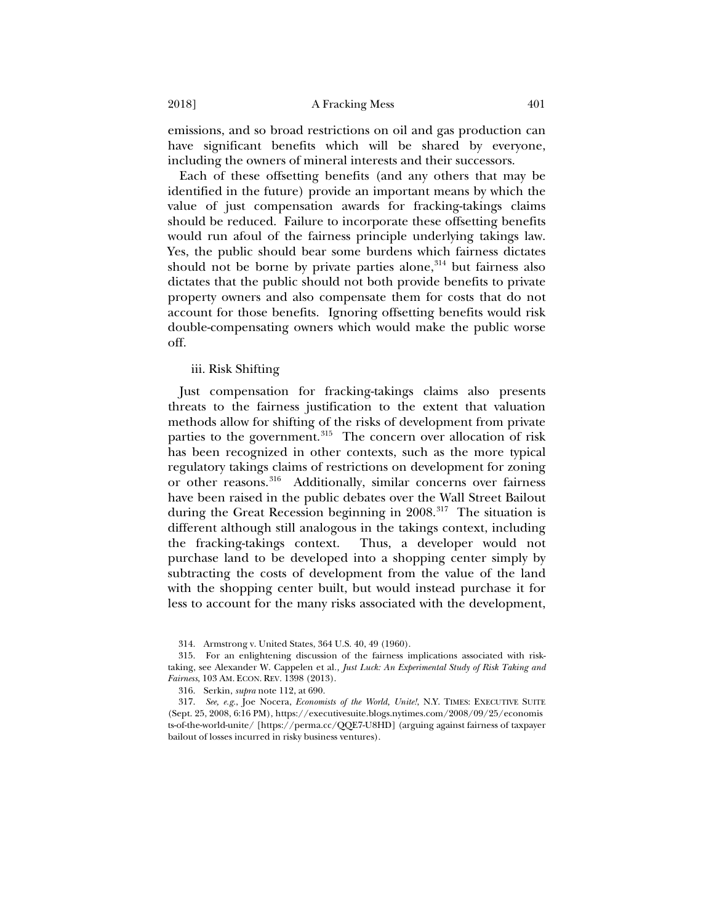emissions, and so broad restrictions on oil and gas production can have significant benefits which will be shared by everyone, including the owners of mineral interests and their successors.

Each of these offsetting benefits (and any others that may be identified in the future) provide an important means by which the value of just compensation awards for fracking-takings claims should be reduced. Failure to incorporate these offsetting benefits would run afoul of the fairness principle underlying takings law. Yes, the public should bear some burdens which fairness dictates should not be borne by private parties alone, $314$  but fairness also dictates that the public should not both provide benefits to private property owners and also compensate them for costs that do not account for those benefits. Ignoring offsetting benefits would risk double-compensating owners which would make the public worse off.

### iii. Risk Shifting

Just compensation for fracking-takings claims also presents threats to the fairness justification to the extent that valuation methods allow for shifting of the risks of development from private parties to the government.<sup>[315](#page-66-1)</sup> The concern over allocation of risk has been recognized in other contexts, such as the more typical regulatory takings claims of restrictions on development for zoning or other reasons.<sup>[316](#page-66-2)</sup> Additionally, similar concerns over fairness have been raised in the public debates over the Wall Street Bailout during the Great Recession beginning in  $2008$ <sup>[317](#page-66-3)</sup> The situation is different although still analogous in the takings context, including the fracking-takings context. Thus, a developer would not purchase land to be developed into a shopping center simply by subtracting the costs of development from the value of the land with the shopping center built, but would instead purchase it for less to account for the many risks associated with the development,

<sup>314.</sup> Armstrong v. United States, 364 U.S. 40, 49 (1960).

<span id="page-66-1"></span><span id="page-66-0"></span><sup>315.</sup> For an enlightening discussion of the fairness implications associated with risktaking, see Alexander W. Cappelen et al*., Just Luck: An Experimental Study of Risk Taking and Fairness*, 103 AM. ECON. REV. 1398 (2013).

<sup>316.</sup> Serkin, *supra* not[e 112,](#page-23-0) at 690.

<span id="page-66-3"></span><span id="page-66-2"></span><sup>317.</sup> *See, e.g.*, Joe Nocera, *Economists of the World, Unite!*, N.Y. TIMES: EXECUTIVE SUITE (Sept. 25, 2008, 6:16 PM), https://executivesuite.blogs.nytimes.com/2008/09/25/economis ts-of-the-world-unite/ [https://perma.cc/QQE7-U8HD] (arguing against fairness of taxpayer bailout of losses incurred in risky business ventures).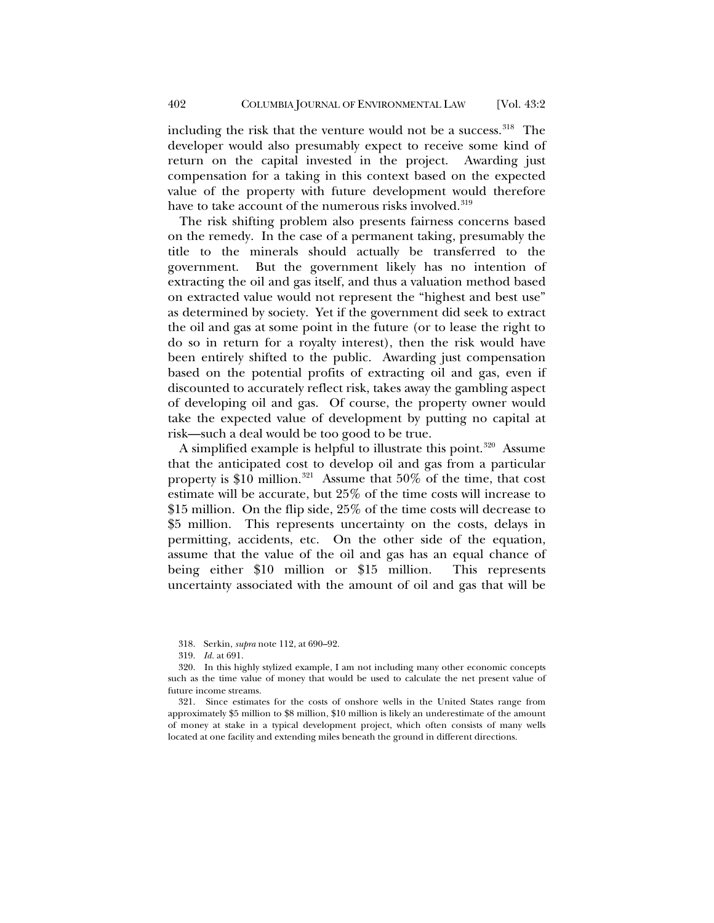including the risk that the venture would not be a success.  $318$  The developer would also presumably expect to receive some kind of return on the capital invested in the project. Awarding just compensation for a taking in this context based on the expected value of the property with future development would therefore have to take account of the numerous risks involved.<sup>[319](#page-67-1)</sup>

The risk shifting problem also presents fairness concerns based on the remedy. In the case of a permanent taking, presumably the title to the minerals should actually be transferred to the government. But the government likely has no intention of extracting the oil and gas itself, and thus a valuation method based on extracted value would not represent the "highest and best use" as determined by society. Yet if the government did seek to extract the oil and gas at some point in the future (or to lease the right to do so in return for a royalty interest), then the risk would have been entirely shifted to the public. Awarding just compensation based on the potential profits of extracting oil and gas, even if discounted to accurately reflect risk, takes away the gambling aspect of developing oil and gas. Of course, the property owner would take the expected value of development by putting no capital at risk—such a deal would be too good to be true.

A simplified example is helpful to illustrate this point.<sup>[320](#page-67-2)</sup> Assume that the anticipated cost to develop oil and gas from a particular property is \$10 million.<sup>[321](#page-67-3)</sup> Assume that  $50\%$  of the time, that cost estimate will be accurate, but 25% of the time costs will increase to \$15 million. On the flip side, 25% of the time costs will decrease to \$5 million. This represents uncertainty on the costs, delays in permitting, accidents, etc. On the other side of the equation, assume that the value of the oil and gas has an equal chance of being either \$10 million or \$15 million. This represents uncertainty associated with the amount of oil and gas that will be

<sup>318.</sup> Serkin, *supra* not[e 112,](#page-23-0) at 690–92.

<sup>319.</sup> *Id.* at 691.

<span id="page-67-2"></span><span id="page-67-1"></span><span id="page-67-0"></span><sup>320.</sup> In this highly stylized example, I am not including many other economic concepts such as the time value of money that would be used to calculate the net present value of future income streams.

<span id="page-67-3"></span><sup>321.</sup> Since estimates for the costs of onshore wells in the United States range from approximately \$5 million to \$8 million, \$10 million is likely an underestimate of the amount of money at stake in a typical development project, which often consists of many wells located at one facility and extending miles beneath the ground in different directions.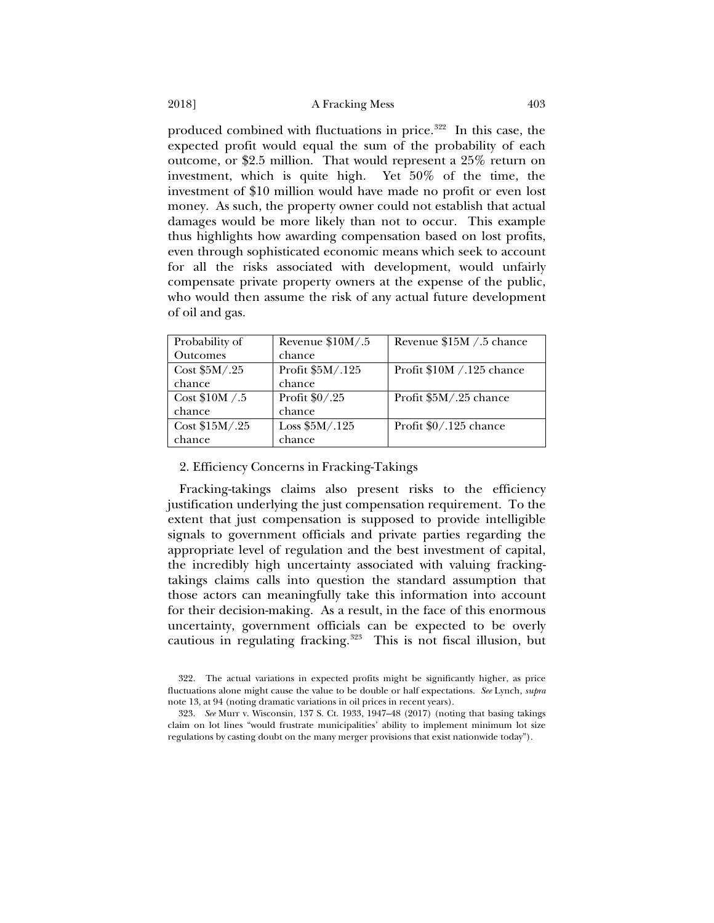produced combined with fluctuations in price. $322$  In this case, the expected profit would equal the sum of the probability of each outcome, or \$2.5 million. That would represent a 25% return on investment, which is quite high. Yet 50% of the time, the investment of \$10 million would have made no profit or even lost money. As such, the property owner could not establish that actual damages would be more likely than not to occur. This example thus highlights how awarding compensation based on lost profits, even through sophisticated economic means which seek to account for all the risks associated with development, would unfairly compensate private property owners at the expense of the public, who would then assume the risk of any actual future development of oil and gas.

| Probability of  | Revenue $$10M/.5$ | Revenue \$15M / .5 chance  |
|-----------------|-------------------|----------------------------|
| Outcomes        | chance            |                            |
| Cost \$5M/.25   | Profit \$5M/.125  | Profit \$10M / .125 chance |
| chance          | chance            |                            |
| Cost \$10M / .5 | Profit \$0/.25    | Profit \$5M/.25 chance     |
| chance          | chance            |                            |
| Cost \$15M/.25  | Loss \$5M/.125    | Profit \$0/.125 chance     |
| chance          | chance            |                            |

#### 2. Efficiency Concerns in Fracking-Takings

Fracking-takings claims also present risks to the efficiency justification underlying the just compensation requirement. To the extent that just compensation is supposed to provide intelligible signals to government officials and private parties regarding the appropriate level of regulation and the best investment of capital, the incredibly high uncertainty associated with valuing frackingtakings claims calls into question the standard assumption that those actors can meaningfully take this information into account for their decision-making. As a result, in the face of this enormous uncertainty, government officials can be expected to be overly cautious in regulating fracking.<sup>323</sup> This is not fiscal illusion, but

<span id="page-68-0"></span><sup>322.</sup> The actual variations in expected profits might be significantly higher, as price fluctuations alone might cause the value to be double or half expectations. *See* Lynch, *supra* note [13,](#page-4-0) at 94 (noting dramatic variations in oil prices in recent years).

<span id="page-68-1"></span><sup>323.</sup> *See* Murr v. Wisconsin, 137 S. Ct. 1933, 1947–48 (2017) (noting that basing takings claim on lot lines "would frustrate municipalities' ability to implement minimum lot size regulations by casting doubt on the many merger provisions that exist nationwide today").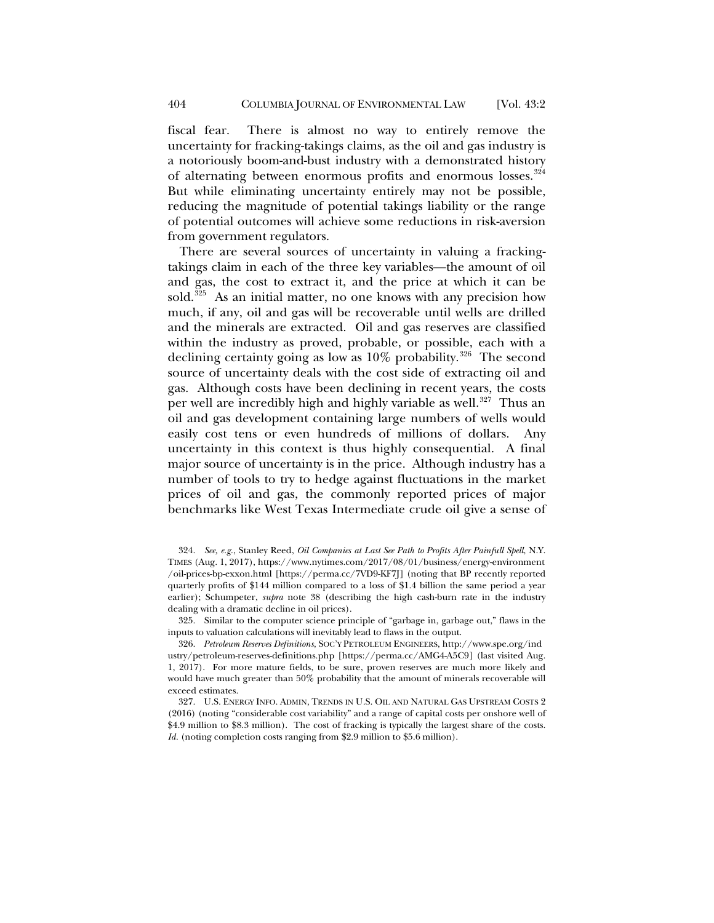fiscal fear. There is almost no way to entirely remove the uncertainty for fracking-takings claims, as the oil and gas industry is a notoriously boom-and-bust industry with a demonstrated history of alternating between enormous profits and enormous losses.<sup>[324](#page-69-0)</sup> But while eliminating uncertainty entirely may not be possible, reducing the magnitude of potential takings liability or the range of potential outcomes will achieve some reductions in risk-aversion from government regulators.

There are several sources of uncertainty in valuing a frackingtakings claim in each of the three key variables—the amount of oil and gas, the cost to extract it, and the price at which it can be sold.<sup>[325](#page-69-1)</sup> As an initial matter, no one knows with any precision how much, if any, oil and gas will be recoverable until wells are drilled and the minerals are extracted. Oil and gas reserves are classified within the industry as proved, probable, or possible, each with a declining certainty going as low as  $10\%$  probability.<sup>[326](#page-69-2)</sup> The second source of uncertainty deals with the cost side of extracting oil and gas. Although costs have been declining in recent years, the costs per well are incredibly high and highly variable as well.<sup>327</sup> Thus an oil and gas development containing large numbers of wells would easily cost tens or even hundreds of millions of dollars. Any uncertainty in this context is thus highly consequential. A final major source of uncertainty is in the price. Although industry has a number of tools to try to hedge against fluctuations in the market prices of oil and gas, the commonly reported prices of major benchmarks like West Texas Intermediate crude oil give a sense of

<span id="page-69-1"></span>325. Similar to the computer science principle of "garbage in, garbage out," flaws in the inputs to valuation calculations will inevitably lead to flaws in the output.

<span id="page-69-0"></span><sup>324.</sup> *See, e.g.*, Stanley Reed, *Oil Companies at Last See Path to Profits After Painfull Spell*, N.Y. TIMES (Aug. 1, 2017), https://www.nytimes.com/2017/08/01/business/energy-environment /oil-prices-bp-exxon.html [https://perma.cc/7VD9-KF7J] (noting that BP recently reported quarterly profits of \$144 million compared to a loss of \$1.4 billion the same period a year earlier); Schumpeter, *supra* note [38](#page-10-0) (describing the high cash-burn rate in the industry dealing with a dramatic decline in oil prices).

<span id="page-69-2"></span><sup>326.</sup> *Petroleum Reserves Definitions*, SOC'Y PETROLEUM ENGINEERS, http://www.spe.org/ind ustry/petroleum-reserves-definitions.php [https://perma.cc/AMG4-A5C9] (last visited Aug. 1, 2017). For more mature fields, to be sure, proven reserves are much more likely and would have much greater than 50% probability that the amount of minerals recoverable will exceed estimates.

<span id="page-69-3"></span><sup>327.</sup> U.S. ENERGY INFO. ADMIN, TRENDS IN U.S. OIL AND NATURAL GAS UPSTREAM COSTS 2 (2016) (noting "considerable cost variability" and a range of capital costs per onshore well of \$4.9 million to \$8.3 million). The cost of fracking is typically the largest share of the costs. *Id.* (noting completion costs ranging from \$2.9 million to \$5.6 million).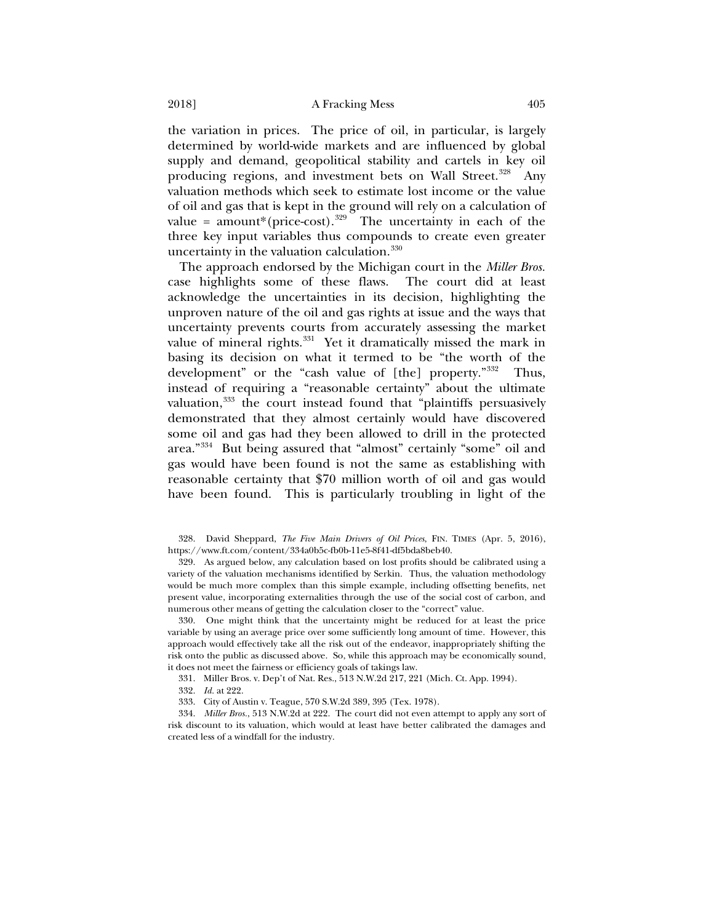the variation in prices. The price of oil, in particular, is largely determined by world-wide markets and are influenced by global supply and demand, geopolitical stability and cartels in key oil producing regions, and investment bets on Wall Street.<sup>[328](#page-70-0)</sup> Any valuation methods which seek to estimate lost income or the value of oil and gas that is kept in the ground will rely on a calculation of value = amount\*(price-cost).<sup>[329](#page-70-1)</sup> The uncertainty in each of the three key input variables thus compounds to create even greater uncertainty in the valuation calculation.[330](#page-70-2)

The approach endorsed by the Michigan court in the *Miller Bros.* case highlights some of these flaws. The court did at least acknowledge the uncertainties in its decision, highlighting the unproven nature of the oil and gas rights at issue and the ways that uncertainty prevents courts from accurately assessing the market value of mineral rights.<sup>[331](#page-70-3)</sup> Yet it dramatically missed the mark in basing its decision on what it termed to be "the worth of the development" or the "cash value of [the] property."[332](#page-70-4) Thus, instead of requiring a "reasonable certainty" about the ultimate valuation,<sup>333</sup> the court instead found that "plaintiffs persuasively demonstrated that they almost certainly would have discovered some oil and gas had they been allowed to drill in the protected area."[334](#page-70-6) But being assured that "almost" certainly "some" oil and gas would have been found is not the same as establishing with reasonable certainty that \$70 million worth of oil and gas would have been found. This is particularly troubling in light of the

<span id="page-70-1"></span>329. As argued below, any calculation based on lost profits should be calibrated using a variety of the valuation mechanisms identified by Serkin. Thus, the valuation methodology would be much more complex than this simple example, including offsetting benefits, net present value, incorporating externalities through the use of the social cost of carbon, and numerous other means of getting the calculation closer to the "correct" value.

<span id="page-70-2"></span>330. One might think that the uncertainty might be reduced for at least the price variable by using an average price over some sufficiently long amount of time. However, this approach would effectively take all the risk out of the endeavor, inappropriately shifting the risk onto the public as discussed above. So, while this approach may be economically sound, it does not meet the fairness or efficiency goals of takings law.

331. Miller Bros. v. Dep't of Nat. Res., 513 N.W.2d 217, 221 (Mich. Ct. App. 1994).

332. *Id.* at 222.

333. City of Austin v. Teague, 570 S.W.2d 389, 395 (Tex. 1978).

<span id="page-70-6"></span><span id="page-70-5"></span><span id="page-70-4"></span><span id="page-70-3"></span>334. *Miller Bros.*, 513 N.W.2d at 222. The court did not even attempt to apply any sort of risk discount to its valuation, which would at least have better calibrated the damages and created less of a windfall for the industry.

<span id="page-70-0"></span><sup>328.</sup> David Sheppard, *The Five Main Drivers of Oil Prices*, FIN. TIMES (Apr. 5, 2016), https://www.ft.com/content/334a0b5c-fb0b-11e5-8f41-df5bda8beb40.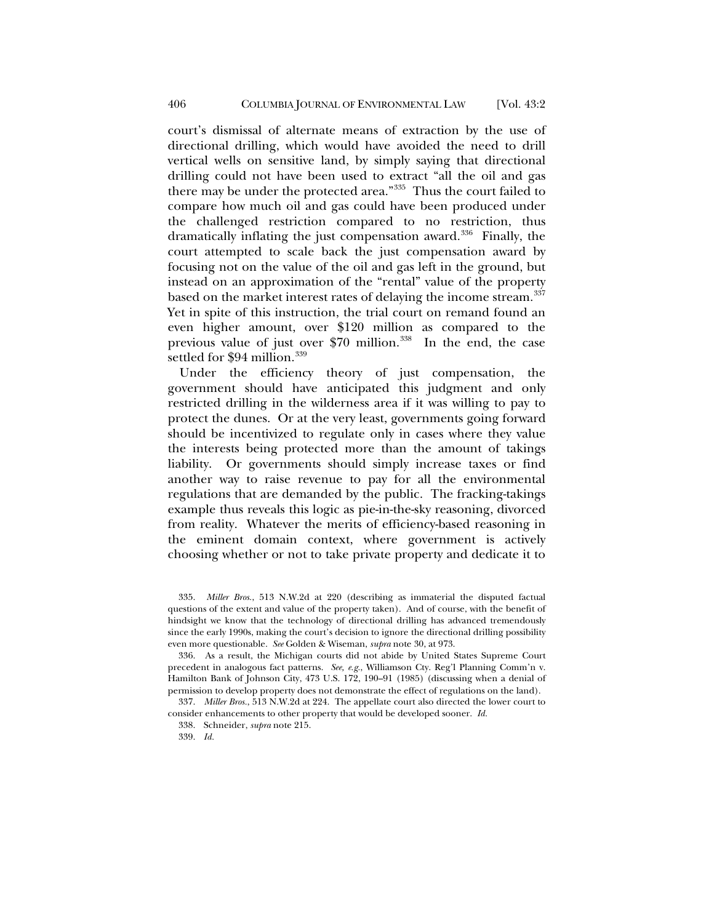court's dismissal of alternate means of extraction by the use of directional drilling, which would have avoided the need to drill vertical wells on sensitive land, by simply saying that directional drilling could not have been used to extract "all the oil and gas there may be under the protected area."[335](#page-71-0) Thus the court failed to compare how much oil and gas could have been produced under the challenged restriction compared to no restriction, thus dramatically inflating the just compensation award.<sup>[336](#page-71-1)</sup> Finally, the court attempted to scale back the just compensation award by focusing not on the value of the oil and gas left in the ground, but instead on an approximation of the "rental" value of the property based on the market interest rates of delaying the income stream.<sup>[337](#page-71-2)</sup> Yet in spite of this instruction, the trial court on remand found an even higher amount, over \$120 million as compared to the previous value of just over \$70 million.<sup>[338](#page-71-3)</sup> In the end, the case settled for \$94 million.<sup>[339](#page-71-4)</sup>

Under the efficiency theory of just compensation, the government should have anticipated this judgment and only restricted drilling in the wilderness area if it was willing to pay to protect the dunes. Or at the very least, governments going forward should be incentivized to regulate only in cases where they value the interests being protected more than the amount of takings liability. Or governments should simply increase taxes or find another way to raise revenue to pay for all the environmental regulations that are demanded by the public. The fracking-takings example thus reveals this logic as pie-in-the-sky reasoning, divorced from reality. Whatever the merits of efficiency-based reasoning in the eminent domain context, where government is actively choosing whether or not to take private property and dedicate it to

<span id="page-71-0"></span><sup>335.</sup> *Miller Bros.*, 513 N.W.2d at 220 (describing as immaterial the disputed factual questions of the extent and value of the property taken). And of course, with the benefit of hindsight we know that the technology of directional drilling has advanced tremendously since the early 1990s, making the court's decision to ignore the directional drilling possibility even more questionable. *See* Golden & Wiseman, *supra* note [30,](#page-9-0) at 973.

<span id="page-71-1"></span><sup>336.</sup> As a result, the Michigan courts did not abide by United States Supreme Court precedent in analogous fact patterns. *See, e.g.*, Williamson Cty. Reg'l Planning Comm'n v. Hamilton Bank of Johnson City, 473 U.S. 172, 190–91 (1985) (discussing when a denial of permission to develop property does not demonstrate the effect of regulations on the land).

<span id="page-71-4"></span><span id="page-71-3"></span><span id="page-71-2"></span><sup>337.</sup> *Miller Bros.*, 513 N.W.2d at 224. The appellate court also directed the lower court to consider enhancements to other property that would be developed sooner. *Id.*

<sup>338.</sup> Schneider, *supra* not[e 215.](#page-42-0) 

<sup>339.</sup> *Id.*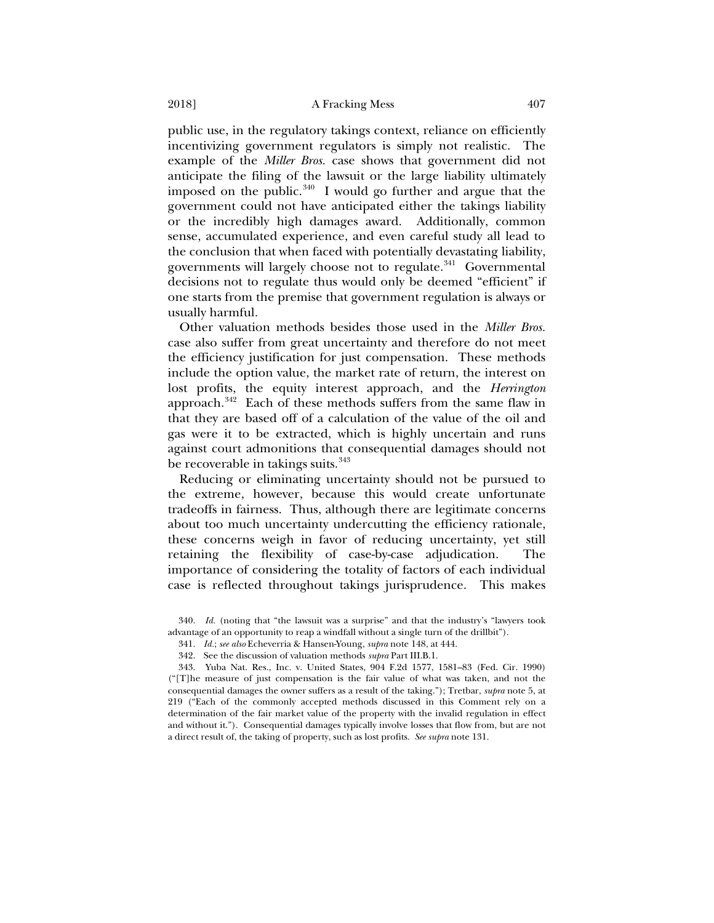public use, in the regulatory takings context, reliance on efficiently incentivizing government regulators is simply not realistic. The example of the *Miller Bros.* case shows that government did not anticipate the filing of the lawsuit or the large liability ultimately imposed on the public.<sup>340</sup> I would go further and argue that the government could not have anticipated either the takings liability or the incredibly high damages award. Additionally, common sense, accumulated experience, and even careful study all lead to the conclusion that when faced with potentially devastating liability, governments will largely choose not to regulate.<sup>341</sup> Governmental decisions not to regulate thus would only be deemed "efficient" if one starts from the premise that government regulation is always or usually harmful.

Other valuation methods besides those used in the *Miller Bros.* case also suffer from great uncertainty and therefore do not meet the efficiency justification for just compensation. These methods include the option value, the market rate of return, the interest on lost profits, the equity interest approach, and the *Herrington* approach.[342](#page-72-2) Each of these methods suffers from the same flaw in that they are based off of a calculation of the value of the oil and gas were it to be extracted, which is highly uncertain and runs against court admonitions that consequential damages should not be recoverable in takings suits.<sup>[343](#page-72-3)</sup>

Reducing or eliminating uncertainty should not be pursued to the extreme, however, because this would create unfortunate tradeoffs in fairness. Thus, although there are legitimate concerns about too much uncertainty undercutting the efficiency rationale, these concerns weigh in favor of reducing uncertainty, yet still retaining the flexibility of case-by-case adjudication. The importance of considering the totality of factors of each individual case is reflected throughout takings jurisprudence. This makes

<span id="page-72-0"></span>340. *Id.* (noting that "the lawsuit was a surprise" and that the industry's "lawyers took advantage of an opportunity to reap a windfall without a single turn of the drillbit").

341. *Id.*; *see also* Echeverria & Hansen-Young, *supra* not[e 148,](#page-30-0) at 444.

<sup>342.</sup> See the discussion of valuation methods *supra* Part III.B.1.

<span id="page-72-3"></span><span id="page-72-2"></span><span id="page-72-1"></span><sup>343.</sup> Yuba Nat. Res., Inc. v. United States, 904 F.2d 1577, 1581–83 (Fed. Cir. 1990) ("[T]he measure of just compensation is the fair value of what was taken, and not the consequential damages the owner suffers as a result of the taking."); Tretbar, *supra* note [5,](#page-2-0) at 219 ("Each of the commonly accepted methods discussed in this Comment rely on a determination of the fair market value of the property with the invalid regulation in effect and without it."). Consequential damages typically involve losses that flow from, but are not a direct result of, the taking of property, such as lost profits. *See supra* note [131](#page-27-0)*.*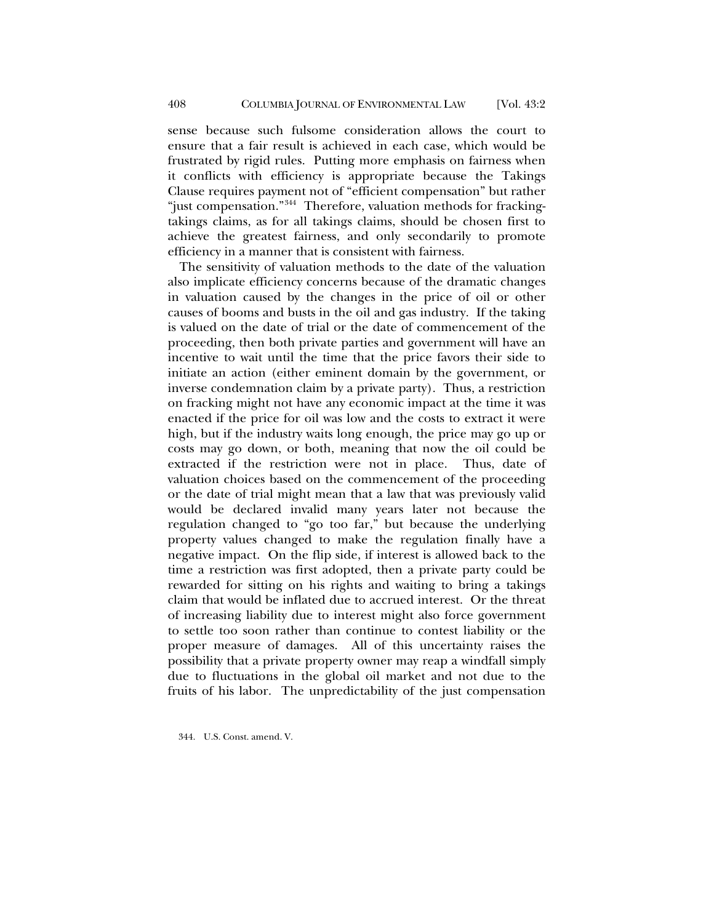sense because such fulsome consideration allows the court to ensure that a fair result is achieved in each case, which would be frustrated by rigid rules. Putting more emphasis on fairness when it conflicts with efficiency is appropriate because the Takings Clause requires payment not of "efficient compensation" but rather "just compensation."<sup>[344](#page-73-0)</sup> Therefore, valuation methods for frackingtakings claims, as for all takings claims, should be chosen first to achieve the greatest fairness, and only secondarily to promote efficiency in a manner that is consistent with fairness.

The sensitivity of valuation methods to the date of the valuation also implicate efficiency concerns because of the dramatic changes in valuation caused by the changes in the price of oil or other causes of booms and busts in the oil and gas industry. If the taking is valued on the date of trial or the date of commencement of the proceeding, then both private parties and government will have an incentive to wait until the time that the price favors their side to initiate an action (either eminent domain by the government, or inverse condemnation claim by a private party). Thus, a restriction on fracking might not have any economic impact at the time it was enacted if the price for oil was low and the costs to extract it were high, but if the industry waits long enough, the price may go up or costs may go down, or both, meaning that now the oil could be extracted if the restriction were not in place. Thus, date of valuation choices based on the commencement of the proceeding or the date of trial might mean that a law that was previously valid would be declared invalid many years later not because the regulation changed to "go too far," but because the underlying property values changed to make the regulation finally have a negative impact. On the flip side, if interest is allowed back to the time a restriction was first adopted, then a private party could be rewarded for sitting on his rights and waiting to bring a takings claim that would be inflated due to accrued interest. Or the threat of increasing liability due to interest might also force government to settle too soon rather than continue to contest liability or the proper measure of damages. All of this uncertainty raises the possibility that a private property owner may reap a windfall simply due to fluctuations in the global oil market and not due to the fruits of his labor. The unpredictability of the just compensation

<span id="page-73-0"></span>344. U.S. Const. amend. V.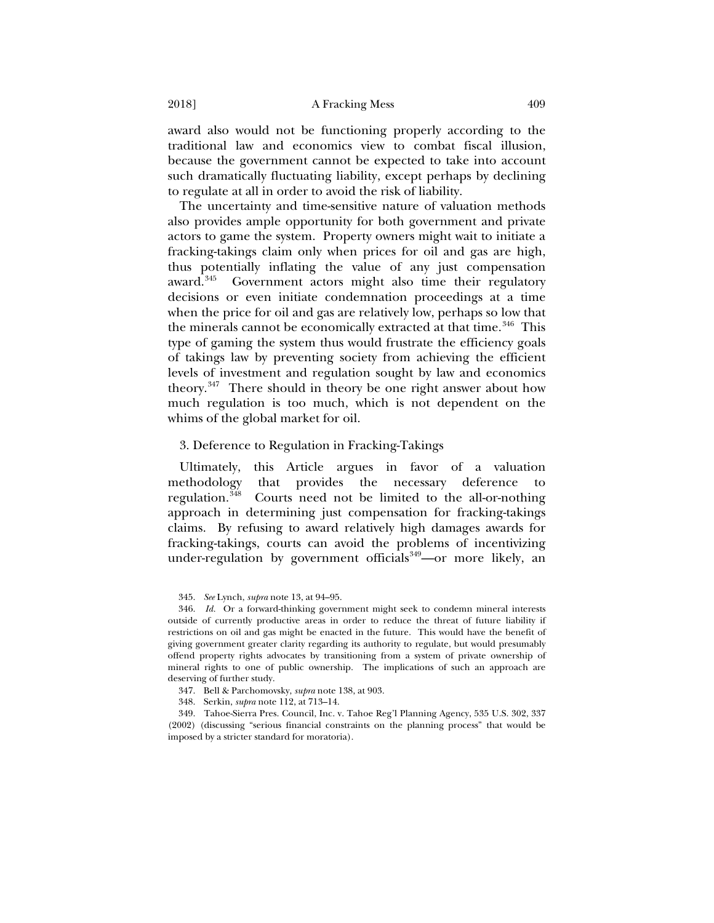award also would not be functioning properly according to the traditional law and economics view to combat fiscal illusion, because the government cannot be expected to take into account such dramatically fluctuating liability, except perhaps by declining to regulate at all in order to avoid the risk of liability.

The uncertainty and time-sensitive nature of valuation methods also provides ample opportunity for both government and private actors to game the system. Property owners might wait to initiate a fracking-takings claim only when prices for oil and gas are high, thus potentially inflating the value of any just compensation award.<sup>345</sup> Government actors might also time their regulatory decisions or even initiate condemnation proceedings at a time when the price for oil and gas are relatively low, perhaps so low that the minerals cannot be economically extracted at that time.<sup>[346](#page-74-1)</sup> This type of gaming the system thus would frustrate the efficiency goals of takings law by preventing society from achieving the efficient levels of investment and regulation sought by law and economics theory.<sup>[347](#page-74-2)</sup> There should in theory be one right answer about how much regulation is too much, which is not dependent on the whims of the global market for oil.

## 3. Deference to Regulation in Fracking-Takings

Ultimately, this Article argues in favor of a valuation methodology that provides the necessary deference regulation.<sup>348</sup> Courts need not be limited to the all-or-not Courts need not be limited to the all-or-nothing approach in determining just compensation for fracking-takings claims. By refusing to award relatively high damages awards for fracking-takings, courts can avoid the problems of incentivizing under-regulation by government officials<sup>349</sup>-or more likely, an

<sup>345.</sup> *See* Lynch, *supra* not[e 13,](#page-4-0) at 94–95.

<span id="page-74-1"></span><span id="page-74-0"></span><sup>346.</sup> *Id.* Or a forward-thinking government might seek to condemn mineral interests outside of currently productive areas in order to reduce the threat of future liability if restrictions on oil and gas might be enacted in the future. This would have the benefit of giving government greater clarity regarding its authority to regulate, but would presumably offend property rights advocates by transitioning from a system of private ownership of mineral rights to one of public ownership. The implications of such an approach are deserving of further study.

<sup>347.</sup> Bell & Parchomovsky, *supra* not[e 138,](#page-28-0) at 903.

<sup>348.</sup> Serkin, *supra* not[e 112,](#page-23-0) at 713–14.

<span id="page-74-4"></span><span id="page-74-3"></span><span id="page-74-2"></span><sup>349.</sup> Tahoe-Sierra Pres. Council, Inc. v. Tahoe Reg'l Planning Agency, 535 U.S. 302, 337 (2002) (discussing "serious financial constraints on the planning process" that would be imposed by a stricter standard for moratoria).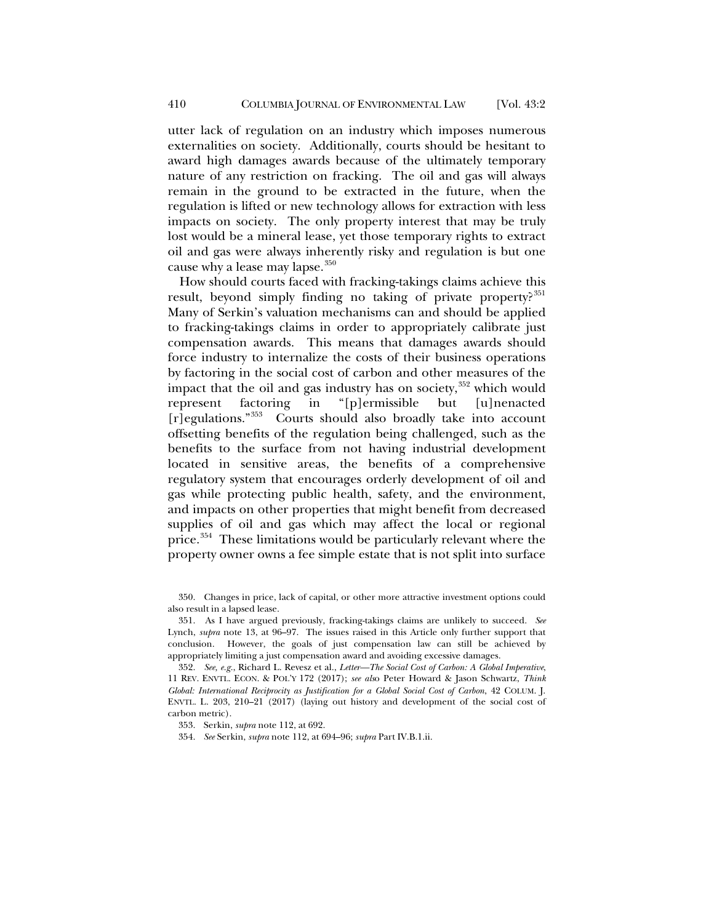utter lack of regulation on an industry which imposes numerous externalities on society. Additionally, courts should be hesitant to award high damages awards because of the ultimately temporary nature of any restriction on fracking. The oil and gas will always remain in the ground to be extracted in the future, when the regulation is lifted or new technology allows for extraction with less impacts on society. The only property interest that may be truly lost would be a mineral lease, yet those temporary rights to extract oil and gas were always inherently risky and regulation is but one cause why a lease may lapse.<sup>[350](#page-75-0)</sup>

How should courts faced with fracking-takings claims achieve this result, beyond simply finding no taking of private property?<sup>[351](#page-75-1)</sup> Many of Serkin's valuation mechanisms can and should be applied to fracking-takings claims in order to appropriately calibrate just compensation awards. This means that damages awards should force industry to internalize the costs of their business operations by factoring in the social cost of carbon and other measures of the impact that the oil and gas industry has on society, $352$  which would represent factoring in "[p]ermissible but [u]nenacted [r]egulations."[353](#page-75-3) Courts should also broadly take into account offsetting benefits of the regulation being challenged, such as the benefits to the surface from not having industrial development located in sensitive areas, the benefits of a comprehensive regulatory system that encourages orderly development of oil and gas while protecting public health, safety, and the environment, and impacts on other properties that might benefit from decreased supplies of oil and gas which may affect the local or regional price.[354](#page-75-4) These limitations would be particularly relevant where the property owner owns a fee simple estate that is not split into surface

<span id="page-75-0"></span>350. Changes in price, lack of capital, or other more attractive investment options could also result in a lapsed lease.

353. Serkin, *supra* not[e 112,](#page-23-0) at 692.

<span id="page-75-4"></span>354. *See* Serkin, *supra* not[e 112,](#page-23-0) at 694–96; *supra* Part IV.B.1.ii.

<span id="page-75-1"></span><sup>351.</sup> As I have argued previously, fracking-takings claims are unlikely to succeed. *See* Lynch, *supra* note [13,](#page-4-0) at 96–97. The issues raised in this Article only further support that conclusion. However, the goals of just compensation law can still be achieved by appropriately limiting a just compensation award and avoiding excessive damages.

<span id="page-75-3"></span><span id="page-75-2"></span><sup>352.</sup> *See, e.g.*, Richard L. Revesz et al., *Letter—The Social Cost of Carbon: A Global Imperative*, 11 REV. ENVTL. ECON. & POL'Y 172 (2017); *see als*o Peter Howard & Jason Schwartz, *Think Global: International Reciprocity as Justification for a Global Social Cost of Carbon*, 42 COLUM. J. ENVTL. L. 203, 210–21 (2017) (laying out history and development of the social cost of carbon metric).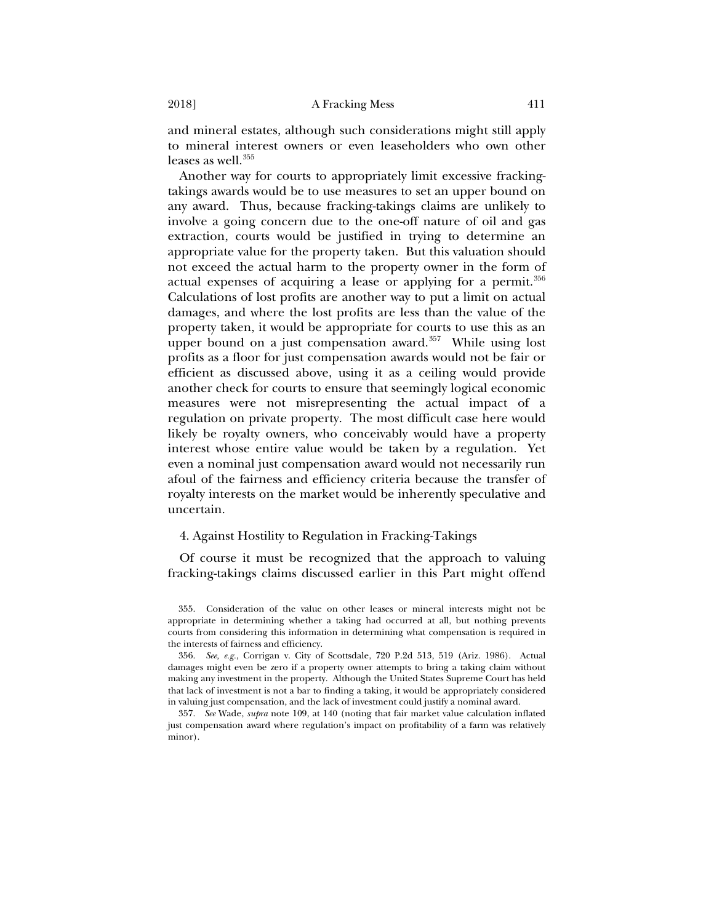and mineral estates, although such considerations might still apply to mineral interest owners or even leaseholders who own other leases as well.<sup>[355](#page-76-0)</sup>

Another way for courts to appropriately limit excessive frackingtakings awards would be to use measures to set an upper bound on any award. Thus, because fracking-takings claims are unlikely to involve a going concern due to the one-off nature of oil and gas extraction, courts would be justified in trying to determine an appropriate value for the property taken. But this valuation should not exceed the actual harm to the property owner in the form of actual expenses of acquiring a lease or applying for a permit.<sup>[356](#page-76-1)</sup> Calculations of lost profits are another way to put a limit on actual damages, and where the lost profits are less than the value of the property taken, it would be appropriate for courts to use this as an upper bound on a just compensation award.<sup>[357](#page-76-2)</sup> While using lost profits as a floor for just compensation awards would not be fair or efficient as discussed above, using it as a ceiling would provide another check for courts to ensure that seemingly logical economic measures were not misrepresenting the actual impact of a regulation on private property. The most difficult case here would likely be royalty owners, who conceivably would have a property interest whose entire value would be taken by a regulation. Yet even a nominal just compensation award would not necessarily run afoul of the fairness and efficiency criteria because the transfer of royalty interests on the market would be inherently speculative and uncertain.

## 4. Against Hostility to Regulation in Fracking-Takings

Of course it must be recognized that the approach to valuing fracking-takings claims discussed earlier in this Part might offend

<span id="page-76-0"></span><sup>355.</sup> Consideration of the value on other leases or mineral interests might not be appropriate in determining whether a taking had occurred at all, but nothing prevents courts from considering this information in determining what compensation is required in the interests of fairness and efficiency.

<span id="page-76-1"></span><sup>356.</sup> *See, e.g.*, Corrigan v. City of Scottsdale, 720 P.2d 513, 519 (Ariz. 1986). Actual damages might even be zero if a property owner attempts to bring a taking claim without making any investment in the property. Although the United States Supreme Court has held that lack of investment is not a bar to finding a taking, it would be appropriately considered in valuing just compensation, and the lack of investment could justify a nominal award.

<span id="page-76-2"></span><sup>357.</sup> *See* Wade, *supra* not[e 109,](#page-22-0) at 140 (noting that fair market value calculation inflated just compensation award where regulation's impact on profitability of a farm was relatively minor).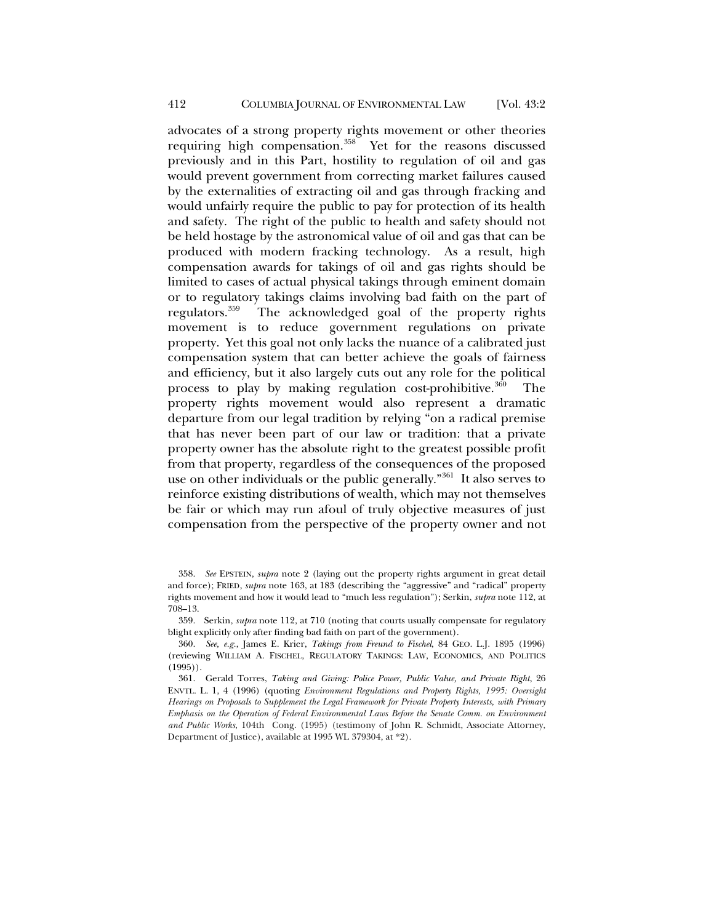advocates of a strong property rights movement or other theories requiring high compensation.<sup>[358](#page-77-0)</sup> Yet for the reasons discussed previously and in this Part, hostility to regulation of oil and gas would prevent government from correcting market failures caused by the externalities of extracting oil and gas through fracking and would unfairly require the public to pay for protection of its health and safety. The right of the public to health and safety should not be held hostage by the astronomical value of oil and gas that can be produced with modern fracking technology. As a result, high compensation awards for takings of oil and gas rights should be limited to cases of actual physical takings through eminent domain or to regulatory takings claims involving bad faith on the part of regulators.[359](#page-77-1) The acknowledged goal of the property rights movement is to reduce government regulations on private property. Yet this goal not only lacks the nuance of a calibrated just compensation system that can better achieve the goals of fairness and efficiency, but it also largely cuts out any role for the political process to play by making regulation cost-prohibitive.<sup>360</sup> The property rights movement would also represent a dramatic departure from our legal tradition by relying "on a radical premise that has never been part of our law or tradition: that a private property owner has the absolute right to the greatest possible profit from that property, regardless of the consequences of the proposed use on other individuals or the public generally."[361](#page-77-3) It also serves to reinforce existing distributions of wealth, which may not themselves be fair or which may run afoul of truly objective measures of just compensation from the perspective of the property owner and not

<span id="page-77-1"></span>359. Serkin, *supra* not[e 112,](#page-23-0) at 710 (noting that courts usually compensate for regulatory blight explicitly only after finding bad faith on part of the government).

<span id="page-77-0"></span><sup>358.</sup> *See* EPSTEIN, *supra* note [2](#page-1-0) (laying out the property rights argument in great detail and force); FRIED, *supra* not[e 163,](#page-32-0) at 183 (describing the "aggressive" and "radical" property rights movement and how it would lead to "much less regulation"); Serkin, *supra* note [112,](#page-23-0) at 708–13.

<span id="page-77-2"></span><sup>360.</sup> *See, e.g.*, James E. Krier, *Takings from Freund to Fischel*, 84 GEO. L.J. 1895 (1996) (reviewing WILLIAM A. FISCHEL, REGULATORY TAKINGS: LAW, ECONOMICS, AND POLITICS (1995)).

<span id="page-77-3"></span><sup>361.</sup> Gerald Torres, *Taking and Giving: Police Power, Public Value, and Private Right*, 26 ENVTL. L. 1, 4 (1996) (quoting *Environment Regulations and Property Rights, 1995: Oversight Hearings on Proposals to Supplement the Legal Framework for Private Property Interests, with Primary Emphasis on the Operation of Federal Environmental Laws Before the Senate Comm. on Environment and Public Works*, 104th Cong. (1995) (testimony of John R. Schmidt, Associate Attorney, Department of Justice), available at 1995 WL 379304, at \*2).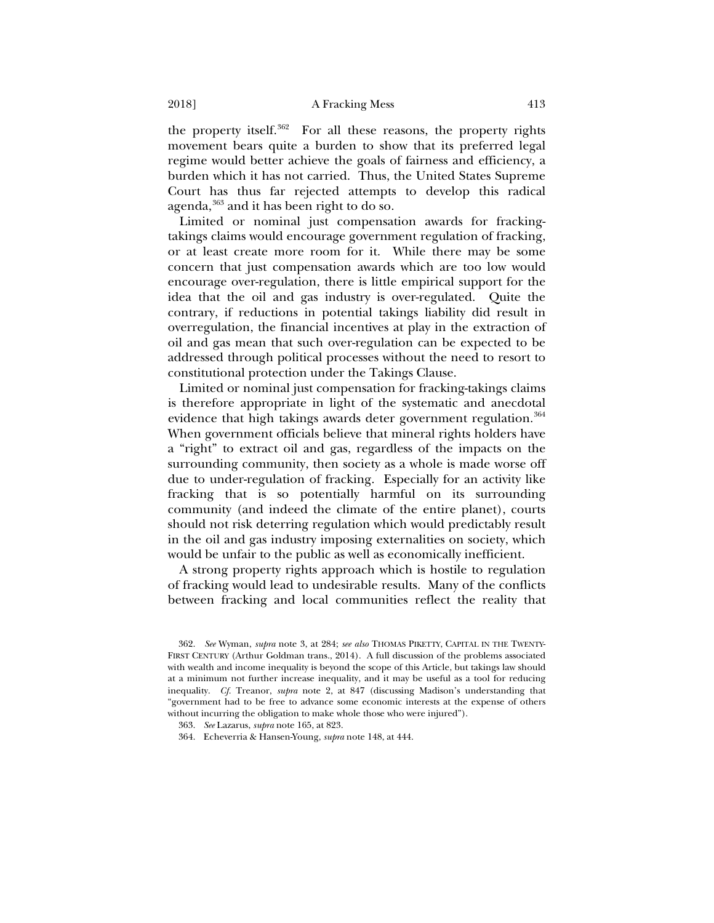the property itself. $362$  For all these reasons, the property rights movement bears quite a burden to show that its preferred legal regime would better achieve the goals of fairness and efficiency, a burden which it has not carried. Thus, the United States Supreme Court has thus far rejected attempts to develop this radical agenda, $363$  and it has been right to do so.

Limited or nominal just compensation awards for frackingtakings claims would encourage government regulation of fracking, or at least create more room for it. While there may be some concern that just compensation awards which are too low would encourage over-regulation, there is little empirical support for the idea that the oil and gas industry is over-regulated. Quite the contrary, if reductions in potential takings liability did result in overregulation, the financial incentives at play in the extraction of oil and gas mean that such over-regulation can be expected to be addressed through political processes without the need to resort to constitutional protection under the Takings Clause.

Limited or nominal just compensation for fracking-takings claims is therefore appropriate in light of the systematic and anecdotal evidence that high takings awards deter government regulation.<sup>[364](#page-78-2)</sup> When government officials believe that mineral rights holders have a "right" to extract oil and gas, regardless of the impacts on the surrounding community, then society as a whole is made worse off due to under-regulation of fracking. Especially for an activity like fracking that is so potentially harmful on its surrounding community (and indeed the climate of the entire planet), courts should not risk deterring regulation which would predictably result in the oil and gas industry imposing externalities on society, which would be unfair to the public as well as economically inefficient.

A strong property rights approach which is hostile to regulation of fracking would lead to undesirable results. Many of the conflicts between fracking and local communities reflect the reality that

<span id="page-78-0"></span><sup>362.</sup> *See* Wyman, *supra* note [3,](#page-1-1) at 284; *see also* THOMAS PIKETTY, CAPITAL IN THE TWENTY-FIRST CENTURY (Arthur Goldman trans., 2014). A full discussion of the problems associated with wealth and income inequality is beyond the scope of this Article, but takings law should at a minimum not further increase inequality, and it may be useful as a tool for reducing inequality. *Cf.* Treanor, *supra* note [2,](#page-1-0) at 847 (discussing Madison's understanding that "government had to be free to advance some economic interests at the expense of others without incurring the obligation to make whole those who were injured").

<span id="page-78-1"></span><sup>363.</sup> *See* Lazarus, *supra* not[e 165,](#page-33-0) at 823.

<span id="page-78-2"></span><sup>364.</sup> Echeverria & Hansen-Young, *supra* not[e 148,](#page-30-0) at 444.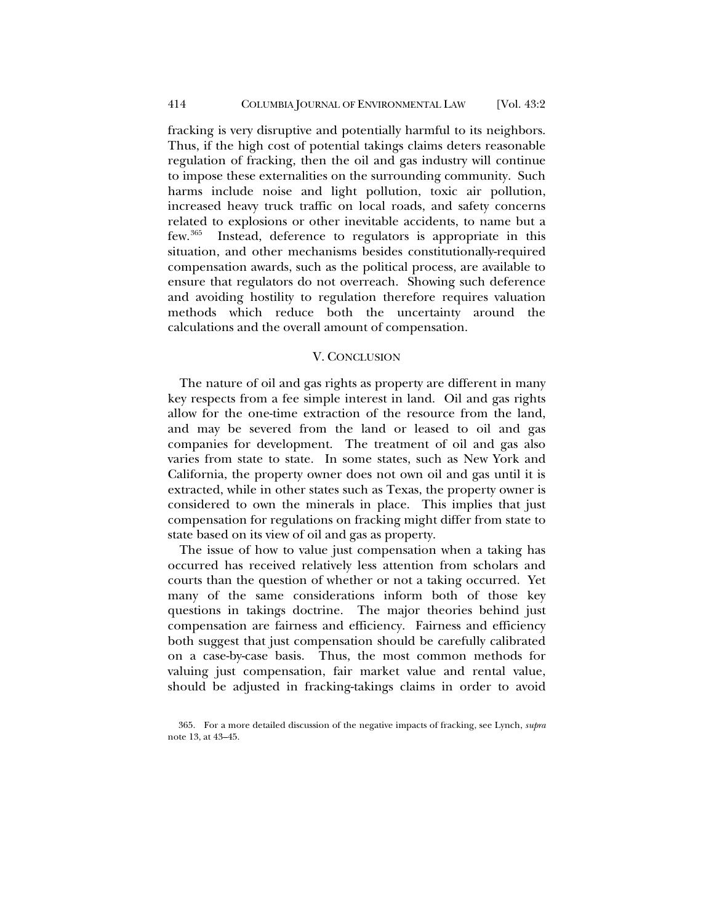fracking is very disruptive and potentially harmful to its neighbors. Thus, if the high cost of potential takings claims deters reasonable regulation of fracking, then the oil and gas industry will continue to impose these externalities on the surrounding community. Such harms include noise and light pollution, toxic air pollution, increased heavy truck traffic on local roads, and safety concerns related to explosions or other inevitable accidents, to name but a few.[365](#page-79-0) Instead, deference to regulators is appropriate in this situation, and other mechanisms besides constitutionally-required compensation awards, such as the political process, are available to ensure that regulators do not overreach. Showing such deference and avoiding hostility to regulation therefore requires valuation methods which reduce both the uncertainty around the calculations and the overall amount of compensation.

## V. CONCLUSION

The nature of oil and gas rights as property are different in many key respects from a fee simple interest in land. Oil and gas rights allow for the one-time extraction of the resource from the land, and may be severed from the land or leased to oil and gas companies for development. The treatment of oil and gas also varies from state to state. In some states, such as New York and California, the property owner does not own oil and gas until it is extracted, while in other states such as Texas, the property owner is considered to own the minerals in place. This implies that just compensation for regulations on fracking might differ from state to state based on its view of oil and gas as property.

The issue of how to value just compensation when a taking has occurred has received relatively less attention from scholars and courts than the question of whether or not a taking occurred. Yet many of the same considerations inform both of those key questions in takings doctrine. The major theories behind just compensation are fairness and efficiency. Fairness and efficiency both suggest that just compensation should be carefully calibrated on a case-by-case basis. Thus, the most common methods for valuing just compensation, fair market value and rental value, should be adjusted in fracking-takings claims in order to avoid

<span id="page-79-0"></span><sup>365.</sup> For a more detailed discussion of the negative impacts of fracking, see Lynch, *supra* note [13,](#page-4-1) at 43–45.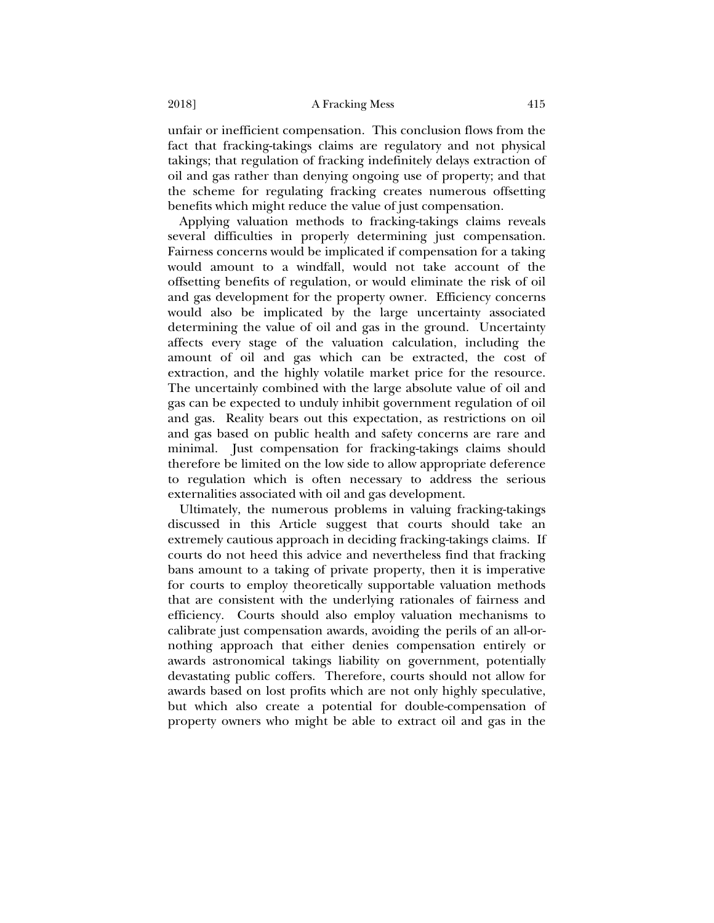## 2018] A Fracking Mess 415

unfair or inefficient compensation. This conclusion flows from the fact that fracking-takings claims are regulatory and not physical takings; that regulation of fracking indefinitely delays extraction of oil and gas rather than denying ongoing use of property; and that the scheme for regulating fracking creates numerous offsetting benefits which might reduce the value of just compensation.

Applying valuation methods to fracking-takings claims reveals several difficulties in properly determining just compensation. Fairness concerns would be implicated if compensation for a taking would amount to a windfall, would not take account of the offsetting benefits of regulation, or would eliminate the risk of oil and gas development for the property owner. Efficiency concerns would also be implicated by the large uncertainty associated determining the value of oil and gas in the ground. Uncertainty affects every stage of the valuation calculation, including the amount of oil and gas which can be extracted, the cost of extraction, and the highly volatile market price for the resource. The uncertainly combined with the large absolute value of oil and gas can be expected to unduly inhibit government regulation of oil and gas. Reality bears out this expectation, as restrictions on oil and gas based on public health and safety concerns are rare and minimal. Just compensation for fracking-takings claims should therefore be limited on the low side to allow appropriate deference to regulation which is often necessary to address the serious externalities associated with oil and gas development.

Ultimately, the numerous problems in valuing fracking-takings discussed in this Article suggest that courts should take an extremely cautious approach in deciding fracking-takings claims. If courts do not heed this advice and nevertheless find that fracking bans amount to a taking of private property, then it is imperative for courts to employ theoretically supportable valuation methods that are consistent with the underlying rationales of fairness and efficiency. Courts should also employ valuation mechanisms to calibrate just compensation awards, avoiding the perils of an all-ornothing approach that either denies compensation entirely or awards astronomical takings liability on government, potentially devastating public coffers. Therefore, courts should not allow for awards based on lost profits which are not only highly speculative, but which also create a potential for double-compensation of property owners who might be able to extract oil and gas in the